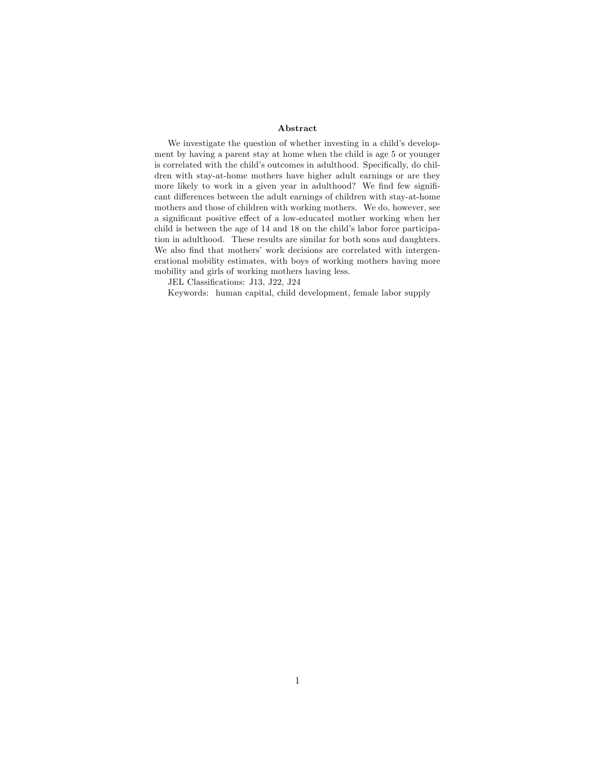#### Abstract

We investigate the question of whether investing in a child's development by having a parent stay at home when the child is age 5 or younger is correlated with the child's outcomes in adulthood. Specifically, do children with stay-at-home mothers have higher adult earnings or are they more likely to work in a given year in adulthood? We find few significant differences between the adult earnings of children with stay-at-home mothers and those of children with working mothers. We do, however, see a significant positive effect of a low-educated mother working when her child is between the age of  $14$  and  $18$  on the child's labor force participation in adulthood. These results are similar for both sons and daughters. We also find that mothers' work decisions are correlated with intergenerational mobility estimates, with boys of working mothers having more mobility and girls of working mothers having less.

JEL Classifications: J13, J22, J24

Keywords: human capital, child development, female labor supply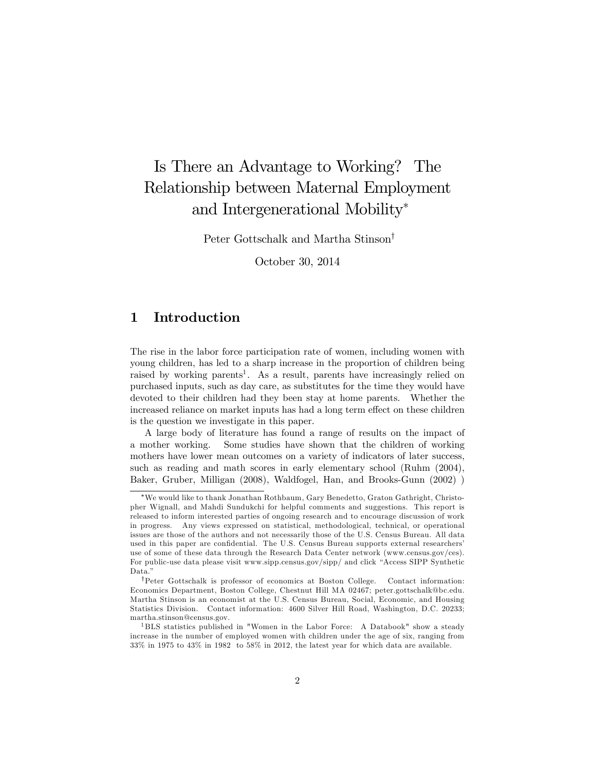# Is There an Advantage to Working? The Relationship between Maternal Employment and Intergenerational Mobility

Peter Gottschalk and Martha Stinson<sup>†</sup>

October 30, 2014

# 1 Introduction

The rise in the labor force participation rate of women, including women with young children, has led to a sharp increase in the proportion of children being raised by working parents<sup>1</sup>. As a result, parents have increasingly relied on purchased inputs, such as day care, as substitutes for the time they would have devoted to their children had they been stay at home parents. Whether the increased reliance on market inputs has had a long term effect on these children is the question we investigate in this paper.

A large body of literature has found a range of results on the impact of a mother working. Some studies have shown that the children of working mothers have lower mean outcomes on a variety of indicators of later success, such as reading and math scores in early elementary school (Ruhm (2004), Baker, Gruber, Milligan (2008), Waldfogel, Han, and Brooks-Gunn (2002) )

We would like to thank Jonathan Rothbaum, Gary Benedetto, Graton Gathright, Christopher Wignall, and Mahdi Sundukchi for helpful comments and suggestions. This report is released to inform interested parties of ongoing research and to encourage discussion of work in progress. Any views expressed on statistical, methodological, technical, or operational issues are those of the authors and not necessarily those of the U.S. Census Bureau. All data used in this paper are confidential. The U.S. Census Bureau supports external researchers' use of some of these data through the Research Data Center network (www.census.gov/ces). For public-use data please visit www.sipp.census.gov/sipp/ and click "Access SIPP Synthetic Data.<sup>n</sup>

yPeter Gottschalk is professor of economics at Boston College. Contact information: Economics Department, Boston College, Chestnut Hill MA 02467; peter.gottschalk@bc.edu. Martha Stinson is an economist at the U.S. Census Bureau, Social, Economic, and Housing Statistics Division. Contact information: 4600 Silver Hill Road, Washington, D.C. 20233; martha.stinson@census.gov.

<sup>1</sup> BLS statistics published in "Women in the Labor Force: A Databook" show a steady increase in the number of employed women with children under the age of six, ranging from 33% in 1975 to 43% in 1982 to 58% in 2012, the latest year for which data are available.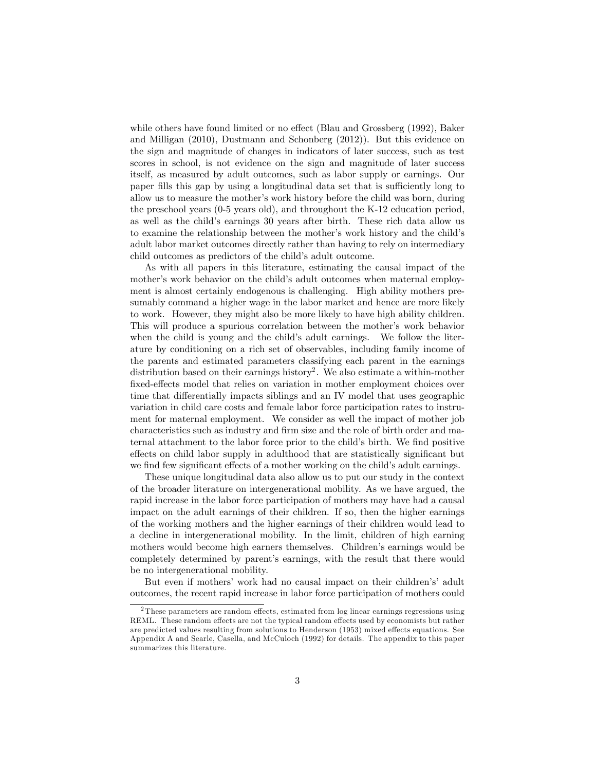while others have found limited or no effect (Blau and Grossberg  $(1992)$ , Baker and Milligan (2010), Dustmann and Schonberg (2012)). But this evidence on the sign and magnitude of changes in indicators of later success, such as test scores in school, is not evidence on the sign and magnitude of later success itself, as measured by adult outcomes, such as labor supply or earnings. Our paper fills this gap by using a longitudinal data set that is sufficiently long to allow us to measure the mother's work history before the child was born, during the preschool years (0-5 years old), and throughout the K-12 education period, as well as the child's earnings 30 years after birth. These rich data allow us to examine the relationship between the mother's work history and the child's adult labor market outcomes directly rather than having to rely on intermediary child outcomes as predictors of the child's adult outcome.

As with all papers in this literature, estimating the causal impact of the mother's work behavior on the child's adult outcomes when maternal employment is almost certainly endogenous is challenging. High ability mothers presumably command a higher wage in the labor market and hence are more likely to work. However, they might also be more likely to have high ability children. This will produce a spurious correlation between the mother's work behavior when the child is young and the child's adult earnings. We follow the literature by conditioning on a rich set of observables, including family income of the parents and estimated parameters classifying each parent in the earnings distribution based on their earnings history<sup>2</sup>. We also estimate a within-mother fixed-effects model that relies on variation in mother employment choices over time that differentially impacts siblings and an IV model that uses geographic variation in child care costs and female labor force participation rates to instrument for maternal employment. We consider as well the impact of mother job characteristics such as industry and firm size and the role of birth order and maternal attachment to the labor force prior to the child's birth. We find positive effects on child labor supply in adulthood that are statistically significant but we find few significant effects of a mother working on the child's adult earnings.

These unique longitudinal data also allow us to put our study in the context of the broader literature on intergenerational mobility. As we have argued, the rapid increase in the labor force participation of mothers may have had a causal impact on the adult earnings of their children. If so, then the higher earnings of the working mothers and the higher earnings of their children would lead to a decline in intergenerational mobility. In the limit, children of high earning mothers would become high earners themselves. Children's earnings would be completely determined by parent's earnings, with the result that there would be no intergenerational mobility.

But even if mothers' work had no causal impact on their children's' adult outcomes, the recent rapid increase in labor force participation of mothers could

 $2$ These parameters are random effects, estimated from log linear earnings regressions using REML. These random effects are not the typical random effects used by economists but rather are predicted values resulting from solutions to Henderson (1953) mixed effects equations. See Appendix A and Searle, Casella, and McCuloch (1992) for details. The appendix to this paper summarizes this literature.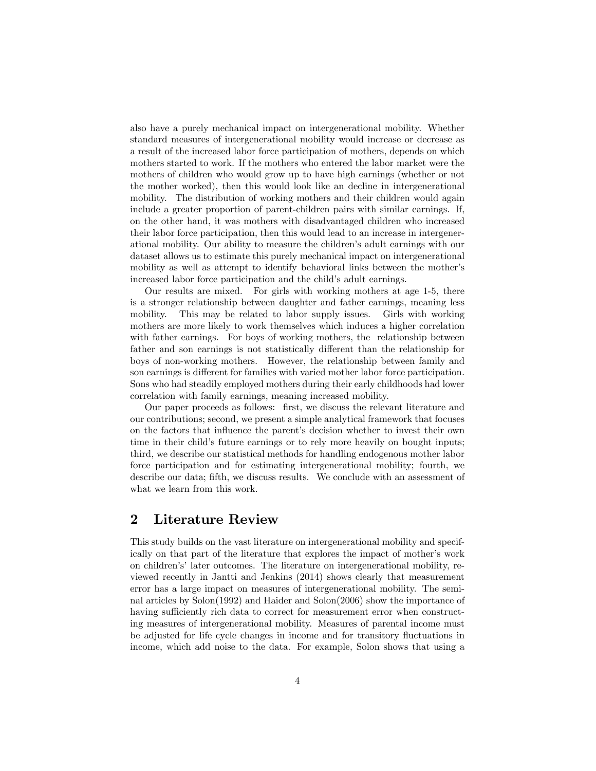also have a purely mechanical impact on intergenerational mobility. Whether standard measures of intergenerational mobility would increase or decrease as a result of the increased labor force participation of mothers, depends on which mothers started to work. If the mothers who entered the labor market were the mothers of children who would grow up to have high earnings (whether or not the mother worked), then this would look like an decline in intergenerational mobility. The distribution of working mothers and their children would again include a greater proportion of parent-children pairs with similar earnings. If, on the other hand, it was mothers with disadvantaged children who increased their labor force participation, then this would lead to an increase in intergenerational mobility. Our ability to measure the childrenís adult earnings with our dataset allows us to estimate this purely mechanical impact on intergenerational mobility as well as attempt to identify behavioral links between the mother's increased labor force participation and the child's adult earnings.

Our results are mixed. For girls with working mothers at age 1-5, there is a stronger relationship between daughter and father earnings, meaning less mobility. This may be related to labor supply issues. Girls with working mothers are more likely to work themselves which induces a higher correlation with father earnings. For boys of working mothers, the relationship between father and son earnings is not statistically different than the relationship for boys of non-working mothers. However, the relationship between family and son earnings is different for families with varied mother labor force participation. Sons who had steadily employed mothers during their early childhoods had lower correlation with family earnings, meaning increased mobility.

Our paper proceeds as follows: first, we discuss the relevant literature and our contributions; second, we present a simple analytical framework that focuses on the factors that ináuence the parentís decision whether to invest their own time in their child's future earnings or to rely more heavily on bought inputs; third, we describe our statistical methods for handling endogenous mother labor force participation and for estimating intergenerational mobility; fourth, we describe our data; fifth, we discuss results. We conclude with an assessment of what we learn from this work.

## 2 Literature Review

This study builds on the vast literature on intergenerational mobility and specifically on that part of the literature that explores the impact of motherís work on childrenísílater outcomes. The literature on intergenerational mobility, reviewed recently in Jantti and Jenkins (2014) shows clearly that measurement error has a large impact on measures of intergenerational mobility. The seminal articles by Solon(1992) and Haider and Solon(2006) show the importance of having sufficiently rich data to correct for measurement error when constructing measures of intergenerational mobility. Measures of parental income must be adjusted for life cycle changes in income and for transitory fluctuations in income, which add noise to the data. For example, Solon shows that using a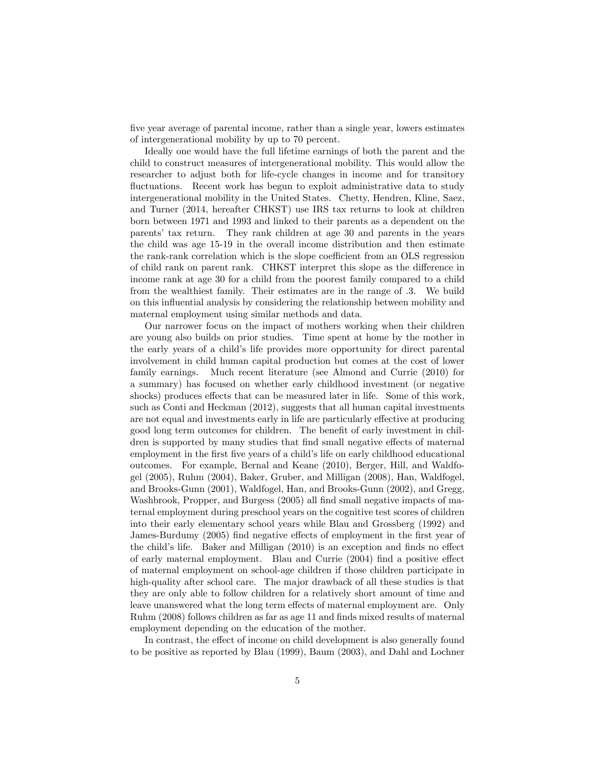Öve year average of parental income, rather than a single year, lowers estimates of intergenerational mobility by up to 70 percent.

Ideally one would have the full lifetime earnings of both the parent and the child to construct measures of intergenerational mobility. This would allow the researcher to adjust both for life-cycle changes in income and for transitory fluctuations. Recent work has begun to exploit administrative data to study intergenerational mobility in the United States. Chetty, Hendren, Kline, Saez, and Turner (2014, hereafter CHKST) use IRS tax returns to look at children born between 1971 and 1993 and linked to their parents as a dependent on the parentsí tax return. They rank children at age 30 and parents in the years the child was age 15-19 in the overall income distribution and then estimate the rank-rank correlation which is the slope coefficient from an OLS regression of child rank on parent rank. CHKST interpret this slope as the difference in income rank at age 30 for a child from the poorest family compared to a child from the wealthiest family. Their estimates are in the range of .3. We build on this ináuential analysis by considering the relationship between mobility and maternal employment using similar methods and data.

Our narrower focus on the impact of mothers working when their children are young also builds on prior studies. Time spent at home by the mother in the early years of a childís life provides more opportunity for direct parental involvement in child human capital production but comes at the cost of lower family earnings. Much recent literature (see Almond and Currie (2010) for a summary) has focused on whether early childhood investment (or negative shocks) produces effects that can be measured later in life. Some of this work, such as Conti and Heckman (2012), suggests that all human capital investments are not equal and investments early in life are particularly effective at producing good long term outcomes for children. The benefit of early investment in children is supported by many studies that find small negative effects of maternal employment in the first five years of a child's life on early childhood educational outcomes. For example, Bernal and Keane (2010), Berger, Hill, and Waldfogel (2005), Ruhm (2004), Baker, Gruber, and Milligan (2008), Han, Waldfogel, and Brooks-Gunn (2001), Waldfogel, Han, and Brooks-Gunn (2002), and Gregg, Washbrook, Propper, and Burgess (2005) all find small negative impacts of maternal employment during preschool years on the cognitive test scores of children into their early elementary school years while Blau and Grossberg (1992) and James-Burdumy (2005) find negative effects of employment in the first year of the child's life. Baker and Milligan  $(2010)$  is an exception and finds no effect of early maternal employment. Blau and Currie  $(2004)$  find a positive effect of maternal employment on school-age children if those children participate in high-quality after school care. The major drawback of all these studies is that they are only able to follow children for a relatively short amount of time and leave unanswered what the long term effects of maternal employment are. Only Ruhm (2008) follows children as far as age 11 and finds mixed results of maternal employment depending on the education of the mother.

In contrast, the effect of income on child development is also generally found to be positive as reported by Blau (1999), Baum (2003), and Dahl and Lochner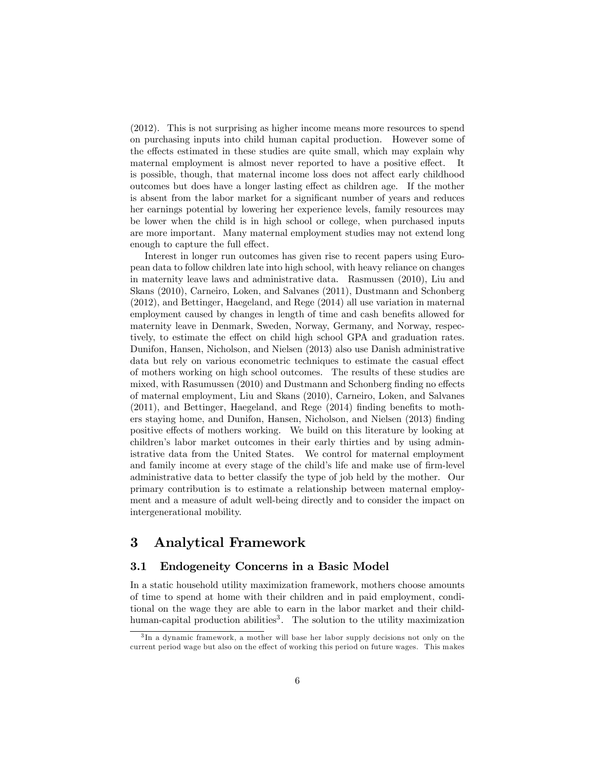(2012). This is not surprising as higher income means more resources to spend on purchasing inputs into child human capital production. However some of the effects estimated in these studies are quite small, which may explain why maternal employment is almost never reported to have a positive effect. It is possible, though, that maternal income loss does not affect early childhood outcomes but does have a longer lasting effect as children age. If the mother is absent from the labor market for a significant number of years and reduces her earnings potential by lowering her experience levels, family resources may be lower when the child is in high school or college, when purchased inputs are more important. Many maternal employment studies may not extend long enough to capture the full effect.

Interest in longer run outcomes has given rise to recent papers using European data to follow children late into high school, with heavy reliance on changes in maternity leave laws and administrative data. Rasmussen (2010), Liu and Skans (2010), Carneiro, Loken, and Salvanes (2011), Dustmann and Schonberg (2012), and Bettinger, Haegeland, and Rege (2014) all use variation in maternal employment caused by changes in length of time and cash benefits allowed for maternity leave in Denmark, Sweden, Norway, Germany, and Norway, respectively, to estimate the effect on child high school GPA and graduation rates. Dunifon, Hansen, Nicholson, and Nielsen (2013) also use Danish administrative data but rely on various econometric techniques to estimate the casual effect of mothers working on high school outcomes. The results of these studies are mixed, with Rasumussen  $(2010)$  and Dustmann and Schonberg finding no effects of maternal employment, Liu and Skans (2010), Carneiro, Loken, and Salvanes  $(2011)$ , and Bettinger, Haegeland, and Rege  $(2014)$  finding benefits to mothers staying home, and Dunifon, Hansen, Nicholson, and Nielsen (2013) finding positive effects of mothers working. We build on this literature by looking at children's labor market outcomes in their early thirties and by using administrative data from the United States. We control for maternal employment and family income at every stage of the child's life and make use of firm-level administrative data to better classify the type of job held by the mother. Our primary contribution is to estimate a relationship between maternal employment and a measure of adult well-being directly and to consider the impact on intergenerational mobility.

## 3 Analytical Framework

#### 3.1 Endogeneity Concerns in a Basic Model

In a static household utility maximization framework, mothers choose amounts of time to spend at home with their children and in paid employment, conditional on the wage they are able to earn in the labor market and their childhuman-capital production abilities<sup>3</sup>. The solution to the utility maximization

<sup>3</sup> In a dynamic framework, a mother will base her labor supply decisions not only on the current period wage but also on the effect of working this period on future wages. This makes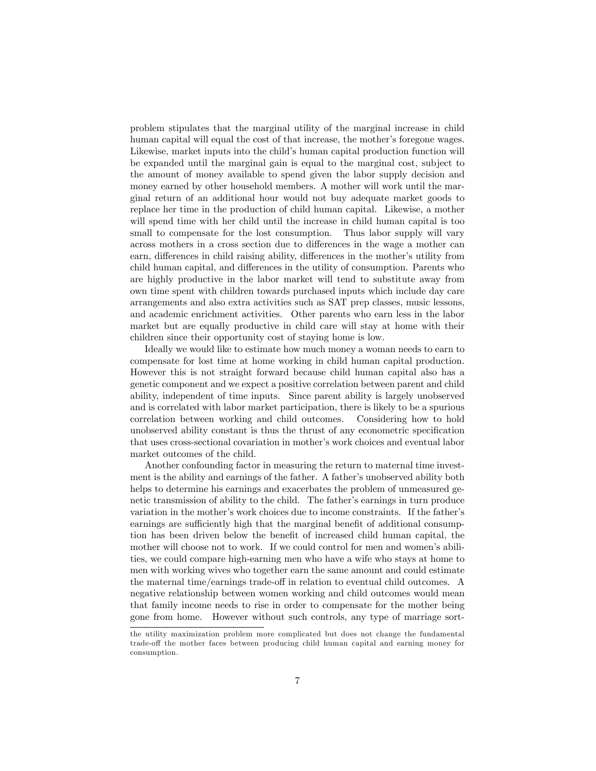problem stipulates that the marginal utility of the marginal increase in child human capital will equal the cost of that increase, the mother's foregone wages. Likewise, market inputs into the child's human capital production function will be expanded until the marginal gain is equal to the marginal cost, subject to the amount of money available to spend given the labor supply decision and money earned by other household members. A mother will work until the marginal return of an additional hour would not buy adequate market goods to replace her time in the production of child human capital. Likewise, a mother will spend time with her child until the increase in child human capital is too small to compensate for the lost consumption. Thus labor supply will vary across mothers in a cross section due to differences in the wage a mother can earn, differences in child raising ability, differences in the mother's utility from child human capital, and differences in the utility of consumption. Parents who are highly productive in the labor market will tend to substitute away from own time spent with children towards purchased inputs which include day care arrangements and also extra activities such as SAT prep classes, music lessons, and academic enrichment activities. Other parents who earn less in the labor market but are equally productive in child care will stay at home with their children since their opportunity cost of staying home is low.

Ideally we would like to estimate how much money a woman needs to earn to compensate for lost time at home working in child human capital production. However this is not straight forward because child human capital also has a genetic component and we expect a positive correlation between parent and child ability, independent of time inputs. Since parent ability is largely unobserved and is correlated with labor market participation, there is likely to be a spurious correlation between working and child outcomes. Considering how to hold unobserved ability constant is thus the thrust of any econometric specification that uses cross-sectional covariation in mother's work choices and eventual labor market outcomes of the child.

Another confounding factor in measuring the return to maternal time investment is the ability and earnings of the father. A father's unobserved ability both helps to determine his earnings and exacerbates the problem of unmeasured genetic transmission of ability to the child. The father's earnings in turn produce variation in the mother's work choices due to income constraints. If the father's earnings are sufficiently high that the marginal benefit of additional consumption has been driven below the benefit of increased child human capital, the mother will choose not to work. If we could control for men and women's abilities, we could compare high-earning men who have a wife who stays at home to men with working wives who together earn the same amount and could estimate the maternal time/earnings trade-off in relation to eventual child outcomes. A negative relationship between women working and child outcomes would mean that family income needs to rise in order to compensate for the mother being gone from home. However without such controls, any type of marriage sort-

the utility maximization problem more complicated but does not change the fundamental trade-off the mother faces between producing child human capital and earning money for consumption.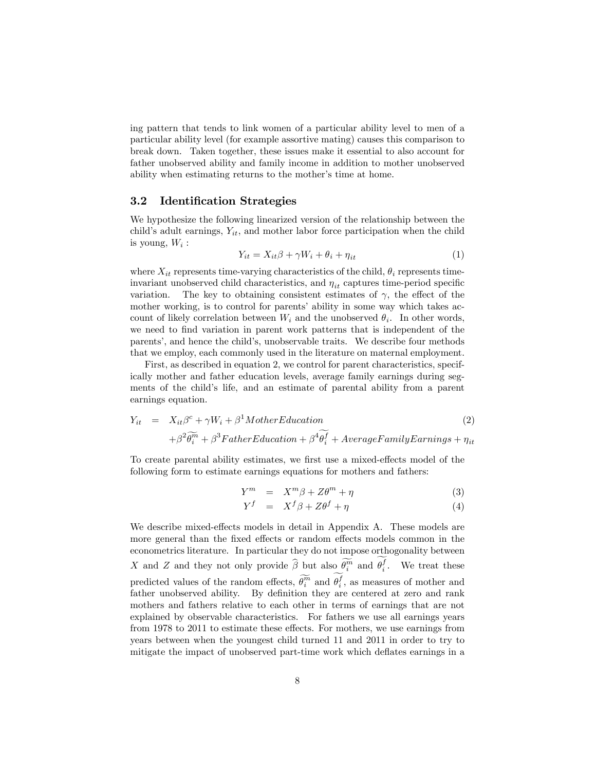ing pattern that tends to link women of a particular ability level to men of a particular ability level (for example assortive mating) causes this comparison to break down. Taken together, these issues make it essential to also account for father unobserved ability and family income in addition to mother unobserved ability when estimating returns to the mother's time at home.

#### 3.2 Identification Strategies

We hypothesize the following linearized version of the relationship between the child's adult earnings,  $Y_{it}$ , and mother labor force participation when the child is young,  $W_i$  :

$$
Y_{it} = X_{it}\beta + \gamma W_i + \theta_i + \eta_{it} \tag{1}
$$

where  $X_{it}$  represents time-varying characteristics of the child,  $\theta_i$  represents timeinvariant unobserved child characteristics, and  $\eta_{it}$  captures time-period specific variation. The key to obtaining consistent estimates of  $\gamma$ , the effect of the mother working, is to control for parents' ability in some way which takes account of likely correlation between  $W_i$  and the unobserved  $\theta_i$ . In other words, we need to find variation in parent work patterns that is independent of the parents', and hence the child's, unobservable traits. We describe four methods that we employ, each commonly used in the literature on maternal employment.

First, as described in equation 2, we control for parent characteristics, specifically mother and father education levels, average family earnings during segments of the child's life, and an estimate of parental ability from a parent earnings equation.

$$
Y_{it} = X_{it}\beta^{c} + \gamma W_{i} + \beta^{1} MotherEducation + \beta^{2}\widetilde{\theta_{i}^{m}} + \beta^{3} FatherEducation + \beta^{4}\widetilde{\theta_{i}^{f}} + AverageFamilyEarnings + \eta_{it}
$$
\n(2)

To create parental ability estimates, we first use a mixed-effects model of the following form to estimate earnings equations for mothers and fathers:

$$
Y^m = X^m \beta + Z\theta^m + \eta \tag{3}
$$

$$
Y^f = X^f \beta + Z \theta^f + \eta \tag{4}
$$

We describe mixed-effects models in detail in Appendix  $A$ . These models are more general than the fixed effects or random effects models common in the econometrics literature. In particular they do not impose orthogonality between X and Z and they not only provide  $\widehat{\beta}$  but also  $\widehat{\theta}_i^m$  and  $\theta_i^f$ . We treat these predicted values of the random effects,  $\tilde{\theta_i^m}$  and  $\theta_i^f$ , as measures of mother and father unobserved ability. By definition they are centered at zero and rank mothers and fathers relative to each other in terms of earnings that are not explained by observable characteristics. For fathers we use all earnings years from 1978 to 2011 to estimate these effects. For mothers, we use earnings from years between when the youngest child turned 11 and 2011 in order to try to mitigate the impact of unobserved part-time work which deflates earnings in a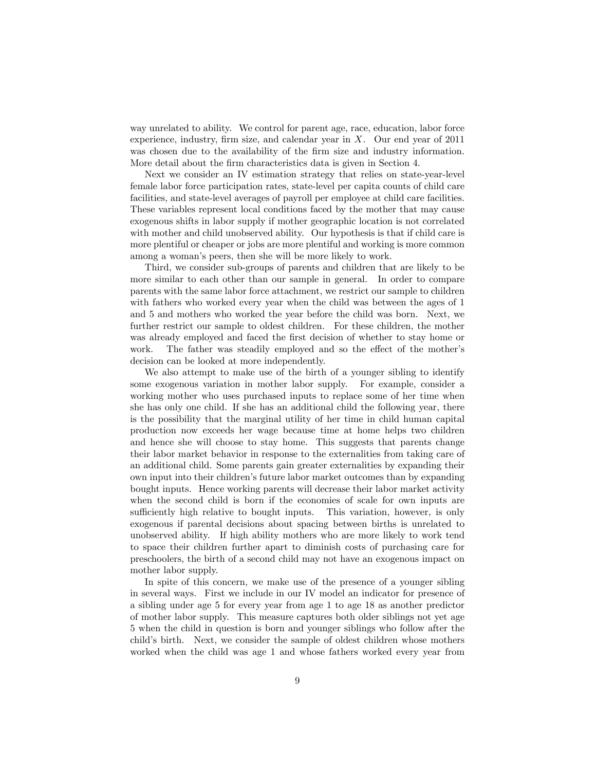way unrelated to ability. We control for parent age, race, education, labor force experience, industry, firm size, and calendar year in  $X$ . Our end year of 2011 was chosen due to the availability of the firm size and industry information. More detail about the firm characteristics data is given in Section 4.

Next we consider an IV estimation strategy that relies on state-year-level female labor force participation rates, state-level per capita counts of child care facilities, and state-level averages of payroll per employee at child care facilities. These variables represent local conditions faced by the mother that may cause exogenous shifts in labor supply if mother geographic location is not correlated with mother and child unobserved ability. Our hypothesis is that if child care is more plentiful or cheaper or jobs are more plentiful and working is more common among a woman's peers, then she will be more likely to work.

Third, we consider sub-groups of parents and children that are likely to be more similar to each other than our sample in general. In order to compare parents with the same labor force attachment, we restrict our sample to children with fathers who worked every year when the child was between the ages of 1 and 5 and mothers who worked the year before the child was born. Next, we further restrict our sample to oldest children. For these children, the mother was already employed and faced the first decision of whether to stay home or work. The father was steadily employed and so the effect of the mother's decision can be looked at more independently.

We also attempt to make use of the birth of a younger sibling to identify some exogenous variation in mother labor supply. For example, consider a working mother who uses purchased inputs to replace some of her time when she has only one child. If she has an additional child the following year, there is the possibility that the marginal utility of her time in child human capital production now exceeds her wage because time at home helps two children and hence she will choose to stay home. This suggests that parents change their labor market behavior in response to the externalities from taking care of an additional child. Some parents gain greater externalities by expanding their own input into their childrenís future labor market outcomes than by expanding bought inputs. Hence working parents will decrease their labor market activity when the second child is born if the economies of scale for own inputs are sufficiently high relative to bought inputs. This variation, however, is only exogenous if parental decisions about spacing between births is unrelated to unobserved ability. If high ability mothers who are more likely to work tend to space their children further apart to diminish costs of purchasing care for preschoolers, the birth of a second child may not have an exogenous impact on mother labor supply.

In spite of this concern, we make use of the presence of a younger sibling in several ways. First we include in our IV model an indicator for presence of a sibling under age 5 for every year from age 1 to age 18 as another predictor of mother labor supply. This measure captures both older siblings not yet age 5 when the child in question is born and younger siblings who follow after the child's birth. Next, we consider the sample of oldest children whose mothers worked when the child was age 1 and whose fathers worked every year from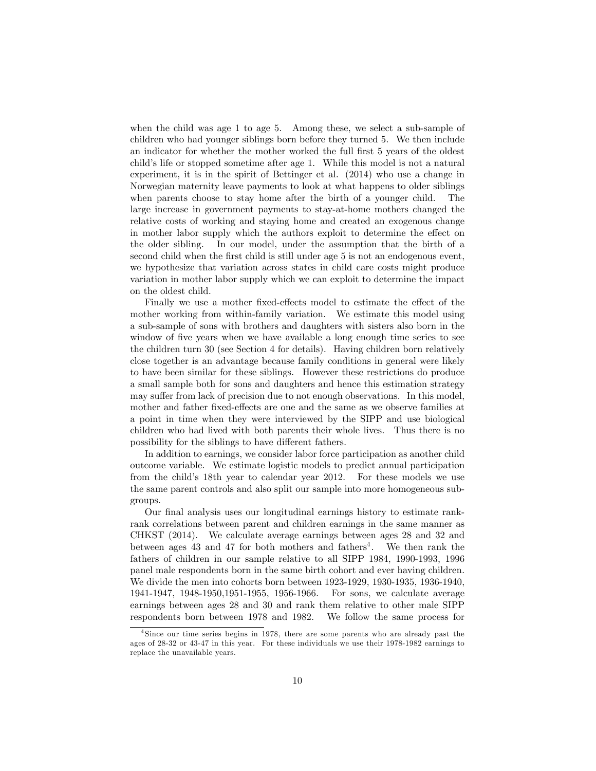when the child was age 1 to age 5. Among these, we select a sub-sample of children who had younger siblings born before they turned 5. We then include an indicator for whether the mother worked the full first 5 years of the oldest child's life or stopped sometime after age 1. While this model is not a natural experiment, it is in the spirit of Bettinger et al. (2014) who use a change in Norwegian maternity leave payments to look at what happens to older siblings when parents choose to stay home after the birth of a younger child. The large increase in government payments to stay-at-home mothers changed the relative costs of working and staying home and created an exogenous change in mother labor supply which the authors exploit to determine the effect on the older sibling. In our model, under the assumption that the birth of a second child when the first child is still under age 5 is not an endogenous event, we hypothesize that variation across states in child care costs might produce variation in mother labor supply which we can exploit to determine the impact on the oldest child.

Finally we use a mother fixed-effects model to estimate the effect of the mother working from within-family variation. We estimate this model using a sub-sample of sons with brothers and daughters with sisters also born in the window of five years when we have available a long enough time series to see the children turn 30 (see Section 4 for details). Having children born relatively close together is an advantage because family conditions in general were likely to have been similar for these siblings. However these restrictions do produce a small sample both for sons and daughters and hence this estimation strategy may suffer from lack of precision due to not enough observations. In this model, mother and father fixed-effects are one and the same as we observe families at a point in time when they were interviewed by the SIPP and use biological children who had lived with both parents their whole lives. Thus there is no possibility for the siblings to have different fathers.

In addition to earnings, we consider labor force participation as another child outcome variable. We estimate logistic models to predict annual participation from the childís 18th year to calendar year 2012. For these models we use the same parent controls and also split our sample into more homogeneous subgroups.

Our final analysis uses our longitudinal earnings history to estimate rankrank correlations between parent and children earnings in the same manner as CHKST (2014). We calculate average earnings between ages 28 and 32 and between ages 43 and 47 for both mothers and fathers<sup>4</sup>. We then rank the fathers of children in our sample relative to all SIPP 1984, 1990-1993, 1996 panel male respondents born in the same birth cohort and ever having children. We divide the men into cohorts born between 1923-1929, 1930-1935, 1936-1940, 1941-1947, 1948-1950,1951-1955, 1956-1966. For sons, we calculate average earnings between ages 28 and 30 and rank them relative to other male SIPP respondents born between 1978 and 1982. We follow the same process for

<sup>&</sup>lt;sup>4</sup>Since our time series begins in 1978, there are some parents who are already past the ages of 28-32 or 43-47 in this year. For these individuals we use their 1978-1982 earnings to replace the unavailable years.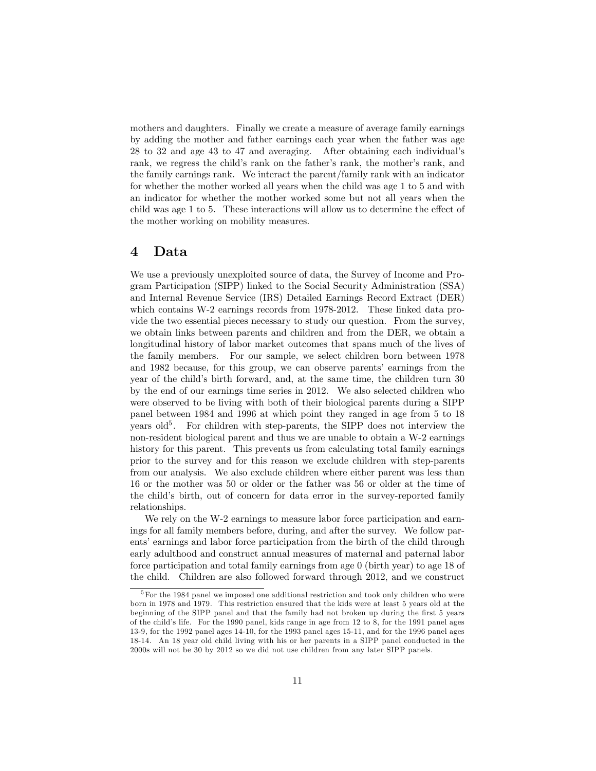mothers and daughters. Finally we create a measure of average family earnings by adding the mother and father earnings each year when the father was age 28 to 32 and age 43 to 47 and averaging. After obtaining each individualís rank, we regress the child's rank on the father's rank, the mother's rank, and the family earnings rank. We interact the parent/family rank with an indicator for whether the mother worked all years when the child was age 1 to 5 and with an indicator for whether the mother worked some but not all years when the child was age  $1$  to  $5$ . These interactions will allow us to determine the effect of the mother working on mobility measures.

## 4 Data

We use a previously unexploited source of data, the Survey of Income and Program Participation (SIPP) linked to the Social Security Administration (SSA) and Internal Revenue Service (IRS) Detailed Earnings Record Extract (DER) which contains W-2 earnings records from 1978-2012. These linked data provide the two essential pieces necessary to study our question. From the survey, we obtain links between parents and children and from the DER, we obtain a longitudinal history of labor market outcomes that spans much of the lives of the family members. For our sample, we select children born between 1978 and 1982 because, for this group, we can observe parentsí earnings from the year of the child's birth forward, and, at the same time, the children turn 30 by the end of our earnings time series in 2012. We also selected children who were observed to be living with both of their biological parents during a SIPP panel between 1984 and 1996 at which point they ranged in age from 5 to 18 years  $old^5$ . For children with step-parents, the SIPP does not interview the non-resident biological parent and thus we are unable to obtain a W-2 earnings history for this parent. This prevents us from calculating total family earnings prior to the survey and for this reason we exclude children with step-parents from our analysis. We also exclude children where either parent was less than 16 or the mother was 50 or older or the father was 56 or older at the time of the child's birth, out of concern for data error in the survey-reported family relationships.

We rely on the W-2 earnings to measure labor force participation and earnings for all family members before, during, and after the survey. We follow parents' earnings and labor force participation from the birth of the child through early adulthood and construct annual measures of maternal and paternal labor force participation and total family earnings from age 0 (birth year) to age 18 of the child. Children are also followed forward through 2012, and we construct

 $5$  For the 1984 panel we imposed one additional restriction and took only children who were born in 1978 and 1979. This restriction ensured that the kids were at least 5 years old at the beginning of the SIPP panel and that the family had not broken up during the first 5 years of the childís life. For the 1990 panel, kids range in age from 12 to 8, for the 1991 panel ages 13-9, for the 1992 panel ages 14-10, for the 1993 panel ages 15-11, and for the 1996 panel ages 18-14. An 18 year old child living with his or her parents in a SIPP panel conducted in the 2000s will not be 30 by 2012 so we did not use children from any later SIPP panels.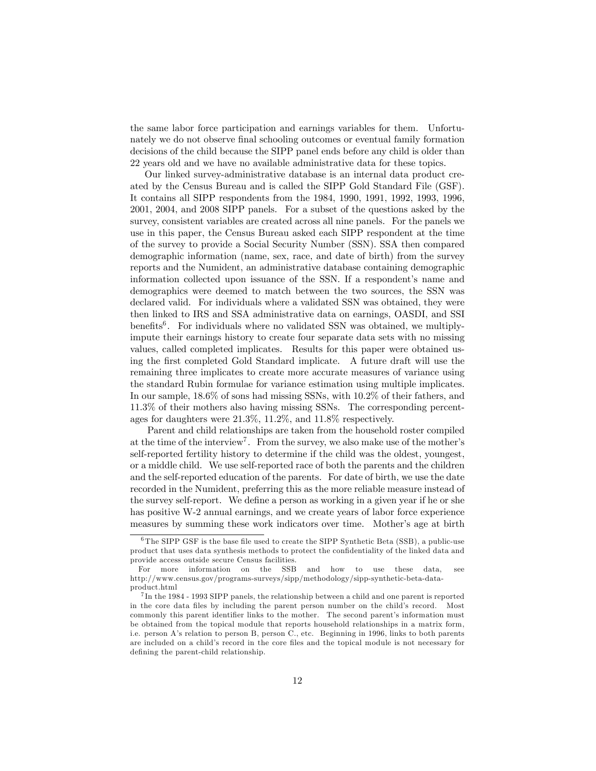the same labor force participation and earnings variables for them. Unfortunately we do not observe final schooling outcomes or eventual family formation decisions of the child because the SIPP panel ends before any child is older than 22 years old and we have no available administrative data for these topics.

Our linked survey-administrative database is an internal data product created by the Census Bureau and is called the SIPP Gold Standard File (GSF). It contains all SIPP respondents from the 1984, 1990, 1991, 1992, 1993, 1996, 2001, 2004, and 2008 SIPP panels. For a subset of the questions asked by the survey, consistent variables are created across all nine panels. For the panels we use in this paper, the Census Bureau asked each SIPP respondent at the time of the survey to provide a Social Security Number (SSN). SSA then compared demographic information (name, sex, race, and date of birth) from the survey reports and the Numident, an administrative database containing demographic information collected upon issuance of the SSN. If a respondent's name and demographics were deemed to match between the two sources, the SSN was declared valid. For individuals where a validated SSN was obtained, they were then linked to IRS and SSA administrative data on earnings, OASDI, and SSI benefits<sup>6</sup>. For individuals where no validated SSN was obtained, we multiplyimpute their earnings history to create four separate data sets with no missing values, called completed implicates. Results for this paper were obtained using the first completed Gold Standard implicate. A future draft will use the remaining three implicates to create more accurate measures of variance using the standard Rubin formulae for variance estimation using multiple implicates. In our sample, 18.6% of sons had missing SSNs, with 10.2% of their fathers, and 11.3% of their mothers also having missing SSNs. The corresponding percentages for daughters were 21.3%, 11.2%, and 11.8% respectively.

Parent and child relationships are taken from the household roster compiled at the time of the interview<sup>7</sup>. From the survey, we also make use of the mother's self-reported fertility history to determine if the child was the oldest, youngest, or a middle child. We use self-reported race of both the parents and the children and the self-reported education of the parents. For date of birth, we use the date recorded in the Numident, preferring this as the more reliable measure instead of the survey self-report. We define a person as working in a given year if he or she has positive W-2 annual earnings, and we create years of labor force experience measures by summing these work indicators over time. Mother's age at birth

 $6$ The SIPP GSF is the base file used to create the SIPP Synthetic Beta (SSB), a public-use product that uses data synthesis methods to protect the confidentiality of the linked data and provide access outside secure Census facilities.

For more information on the SSB and how to use these data, see http://www.census.gov/programs-surveys/sipp/methodology/sipp-synthetic-beta-dataproduct.html

 $^{7}$ In the 1984 - 1993 SIPP panels, the relationship between a child and one parent is reported in the core data files by including the parent person number on the child's record. Most commonly this parent identifier links to the mother. The second parent's information must be obtained from the topical module that reports household relationships in a matrix form, i.e. person Aís relation to person B, person C., etc. Beginning in 1996, links to both parents are included on a child's record in the core files and the topical module is not necessary for defining the parent-child relationship.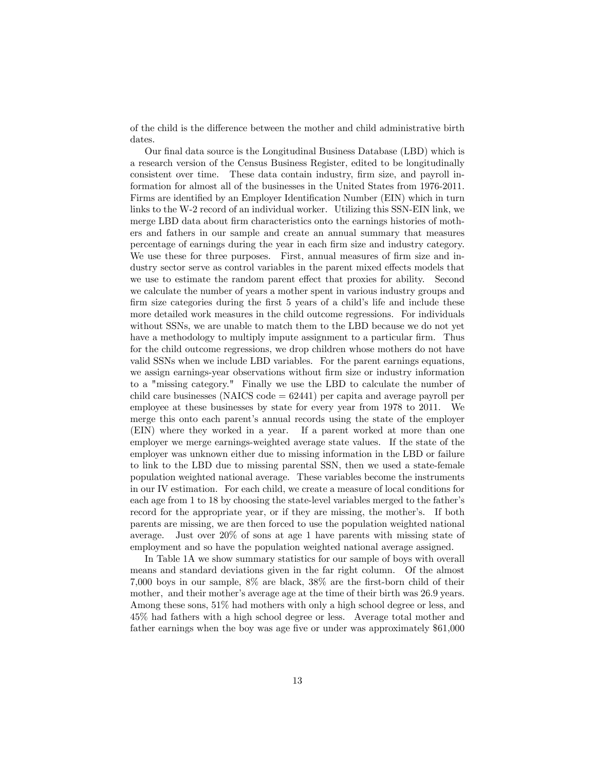of the child is the difference between the mother and child administrative birth dates.

Our final data source is the Longitudinal Business Database (LBD) which is a research version of the Census Business Register, edited to be longitudinally consistent over time. These data contain industry, Örm size, and payroll information for almost all of the businesses in the United States from 1976-2011. Firms are identified by an Employer Identification Number (EIN) which in turn links to the W-2 record of an individual worker. Utilizing this SSN-EIN link, we merge LBD data about firm characteristics onto the earnings histories of mothers and fathers in our sample and create an annual summary that measures percentage of earnings during the year in each Örm size and industry category. We use these for three purposes. First, annual measures of firm size and industry sector serve as control variables in the parent mixed effects models that we use to estimate the random parent effect that proxies for ability. Second we calculate the number of years a mother spent in various industry groups and firm size categories during the first 5 years of a child's life and include these more detailed work measures in the child outcome regressions. For individuals without SSNs, we are unable to match them to the LBD because we do not yet have a methodology to multiply impute assignment to a particular firm. Thus for the child outcome regressions, we drop children whose mothers do not have valid SSNs when we include LBD variables. For the parent earnings equations, we assign earnings-year observations without firm size or industry information to a "missing category." Finally we use the LBD to calculate the number of child care businesses (NAICS code  $= 62441$ ) per capita and average payroll per employee at these businesses by state for every year from 1978 to 2011. We merge this onto each parent's annual records using the state of the employer (EIN) where they worked in a year. If a parent worked at more than one employer we merge earnings-weighted average state values. If the state of the employer was unknown either due to missing information in the LBD or failure to link to the LBD due to missing parental SSN, then we used a state-female population weighted national average. These variables become the instruments in our IV estimation. For each child, we create a measure of local conditions for each age from 1 to 18 by choosing the state-level variables merged to the father's record for the appropriate year, or if they are missing, the mother's. If both parents are missing, we are then forced to use the population weighted national average. Just over 20% of sons at age 1 have parents with missing state of employment and so have the population weighted national average assigned.

In Table 1A we show summary statistics for our sample of boys with overall means and standard deviations given in the far right column. Of the almost 7,000 boys in our sample,  $8\%$  are black,  $38\%$  are the first-born child of their mother, and their mother's average age at the time of their birth was 26.9 years. Among these sons, 51% had mothers with only a high school degree or less, and 45% had fathers with a high school degree or less. Average total mother and father earnings when the boy was age five or under was approximately \$61,000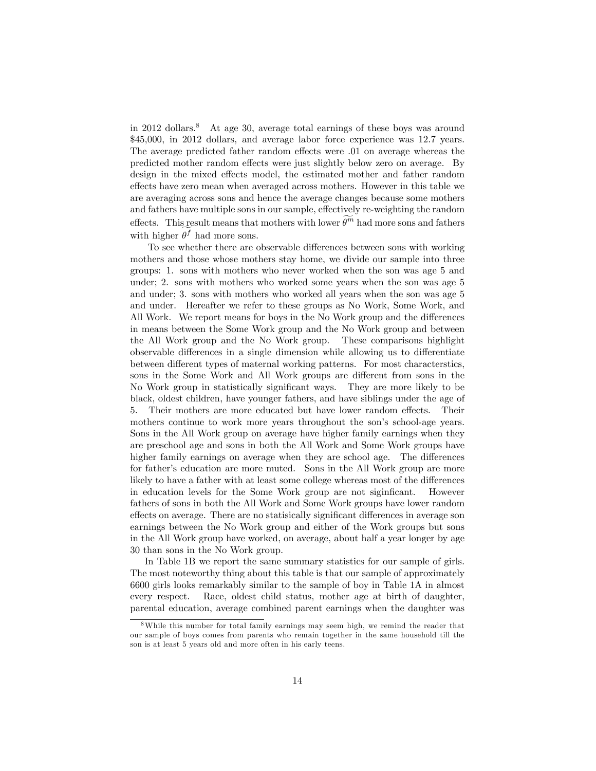in 2012 dollars.<sup>8</sup> At age 30, average total earnings of these boys was around \$45,000, in 2012 dollars, and average labor force experience was 12.7 years. The average predicted father random effects were .01 on average whereas the predicted mother random effects were just slightly below zero on average. By design in the mixed effects model, the estimated mother and father random effects have zero mean when averaged across mothers. However in this table we are averaging across sons and hence the average changes because some mothers and fathers have multiple sons in our sample, effectively re-weighting the random effects. This result means that mothers with lower  $\theta^m$  had more sons and fathers with higher  $\theta^f$  had more sons.

To see whether there are observable differences between sons with working mothers and those whose mothers stay home, we divide our sample into three groups: 1. sons with mothers who never worked when the son was age 5 and under; 2. sons with mothers who worked some years when the son was age 5 and under; 3. sons with mothers who worked all years when the son was age 5 and under. Hereafter we refer to these groups as No Work, Some Work, and All Work. We report means for boys in the No Work group and the differences in means between the Some Work group and the No Work group and between the All Work group and the No Work group. These comparisons highlight observable differences in a single dimension while allowing us to differentiate between different types of maternal working patterns. For most characterstics, sons in the Some Work and All Work groups are different from sons in the No Work group in statistically significant ways. They are more likely to be black, oldest children, have younger fathers, and have siblings under the age of 5. Their mothers are more educated but have lower random effects. Their mothers continue to work more years throughout the son's school-age years. Sons in the All Work group on average have higher family earnings when they are preschool age and sons in both the All Work and Some Work groups have higher family earnings on average when they are school age. The differences for father's education are more muted. Sons in the All Work group are more likely to have a father with at least some college whereas most of the differences in education levels for the Some Work group are not siginficant. However fathers of sons in both the All Work and Some Work groups have lower random effects on average. There are no statisically significant differences in average son earnings between the No Work group and either of the Work groups but sons in the All Work group have worked, on average, about half a year longer by age 30 than sons in the No Work group.

In Table 1B we report the same summary statistics for our sample of girls. The most noteworthy thing about this table is that our sample of approximately 6600 girls looks remarkably similar to the sample of boy in Table 1A in almost every respect. Race, oldest child status, mother age at birth of daughter, parental education, average combined parent earnings when the daughter was

<sup>8</sup>While this number for total family earnings may seem high, we remind the reader that our sample of boys comes from parents who remain together in the same household till the son is at least 5 years old and more often in his early teens.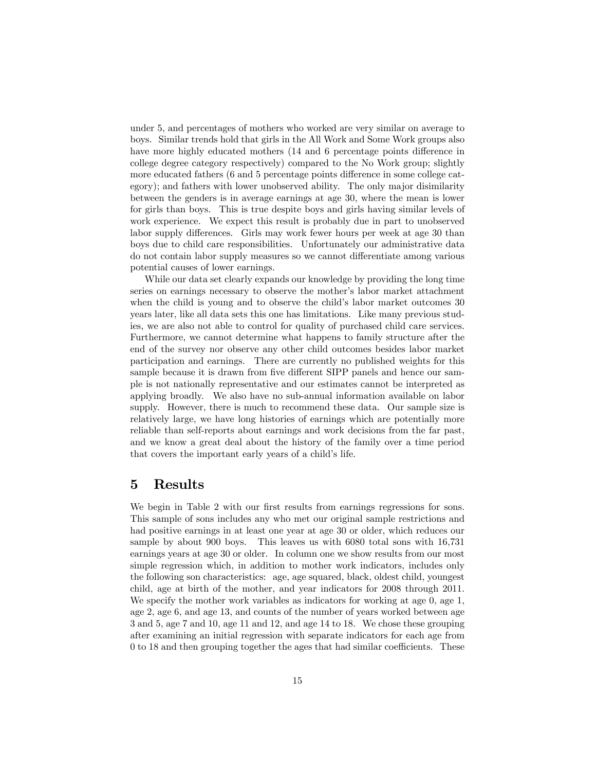under 5, and percentages of mothers who worked are very similar on average to boys. Similar trends hold that girls in the All Work and Some Work groups also have more highly educated mothers (14 and 6 percentage points difference in college degree category respectively) compared to the No Work group; slightly more educated fathers (6 and 5 percentage points difference in some college category); and fathers with lower unobserved ability. The only major disimilarity between the genders is in average earnings at age 30, where the mean is lower for girls than boys. This is true despite boys and girls having similar levels of work experience. We expect this result is probably due in part to unobserved labor supply differences. Girls may work fewer hours per week at age 30 than boys due to child care responsibilities. Unfortunately our administrative data do not contain labor supply measures so we cannot differentiate among various potential causes of lower earnings.

While our data set clearly expands our knowledge by providing the long time series on earnings necessary to observe the mother's labor market attachment when the child is young and to observe the child's labor market outcomes 30 years later, like all data sets this one has limitations. Like many previous studies, we are also not able to control for quality of purchased child care services. Furthermore, we cannot determine what happens to family structure after the end of the survey nor observe any other child outcomes besides labor market participation and earnings. There are currently no published weights for this sample because it is drawn from five different SIPP panels and hence our sample is not nationally representative and our estimates cannot be interpreted as applying broadly. We also have no sub-annual information available on labor supply. However, there is much to recommend these data. Our sample size is relatively large, we have long histories of earnings which are potentially more reliable than self-reports about earnings and work decisions from the far past, and we know a great deal about the history of the family over a time period that covers the important early years of a child's life.

## 5 Results

We begin in Table 2 with our first results from earnings regressions for sons. This sample of sons includes any who met our original sample restrictions and had positive earnings in at least one year at age 30 or older, which reduces our sample by about 900 boys. This leaves us with 6080 total sons with 16,731 earnings years at age 30 or older. In column one we show results from our most simple regression which, in addition to mother work indicators, includes only the following son characteristics: age, age squared, black, oldest child, youngest child, age at birth of the mother, and year indicators for 2008 through 2011. We specify the mother work variables as indicators for working at age 0, age 1, age 2, age 6, and age 13, and counts of the number of years worked between age 3 and 5, age 7 and 10, age 11 and 12, and age 14 to 18. We chose these grouping after examining an initial regression with separate indicators for each age from  $0$  to 18 and then grouping together the ages that had similar coefficients. These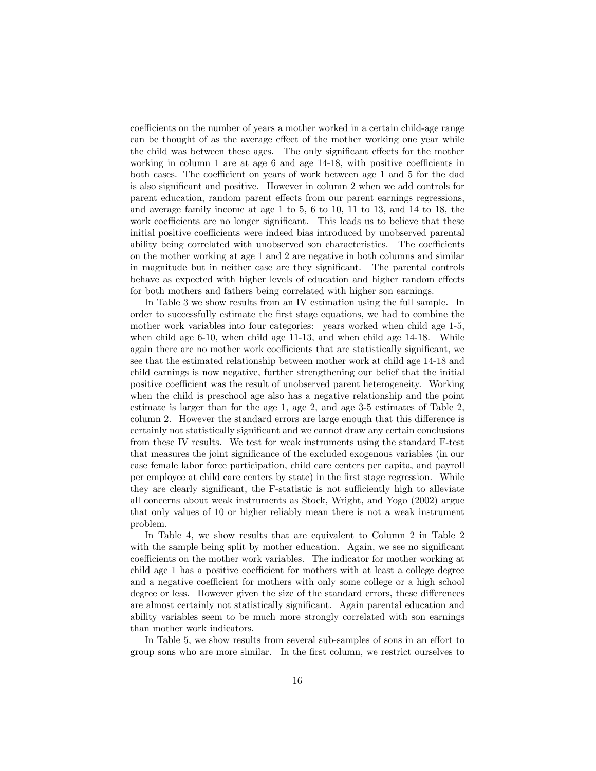coefficients on the number of years a mother worked in a certain child-age range can be thought of as the average effect of the mother working one year while the child was between these ages. The only significant effects for the mother working in column 1 are at age 6 and age  $14-18$ , with positive coefficients in both cases. The coefficient on years of work between age 1 and 5 for the dad is also significant and positive. However in column 2 when we add controls for parent education, random parent effects from our parent earnings regressions, and average family income at age 1 to 5, 6 to 10, 11 to 13, and 14 to 18, the work coefficients are no longer significant. This leads us to believe that these initial positive coefficients were indeed bias introduced by unobserved parental ability being correlated with unobserved son characteristics. The coefficients on the mother working at age 1 and 2 are negative in both columns and similar in magnitude but in neither case are they significant. The parental controls behave as expected with higher levels of education and higher random effects for both mothers and fathers being correlated with higher son earnings.

In Table 3 we show results from an IV estimation using the full sample. In order to successfully estimate the Örst stage equations, we had to combine the mother work variables into four categories: years worked when child age 1-5, when child age 6-10, when child age 11-13, and when child age 14-18. While again there are no mother work coefficients that are statistically significant, we see that the estimated relationship between mother work at child age 14-18 and child earnings is now negative, further strengthening our belief that the initial positive coefficient was the result of unobserved parent heterogeneity. Working when the child is preschool age also has a negative relationship and the point estimate is larger than for the age 1, age 2, and age 3-5 estimates of Table 2, column 2. However the standard errors are large enough that this difference is certainly not statistically signiÖcant and we cannot draw any certain conclusions from these IV results. We test for weak instruments using the standard F-test that measures the joint significance of the excluded exogenous variables (in our case female labor force participation, child care centers per capita, and payroll per employee at child care centers by state) in the Örst stage regression. While they are clearly significant, the F-statistic is not sufficiently high to alleviate all concerns about weak instruments as Stock, Wright, and Yogo (2002) argue that only values of 10 or higher reliably mean there is not a weak instrument problem.

In Table 4, we show results that are equivalent to Column 2 in Table 2 with the sample being split by mother education. Again, we see no significant coefficients on the mother work variables. The indicator for mother working at child age 1 has a positive coefficient for mothers with at least a college degree and a negative coefficient for mothers with only some college or a high school degree or less. However given the size of the standard errors, these differences are almost certainly not statistically significant. Again parental education and ability variables seem to be much more strongly correlated with son earnings than mother work indicators.

In Table 5, we show results from several sub-samples of sons in an effort to group sons who are more similar. In the first column, we restrict ourselves to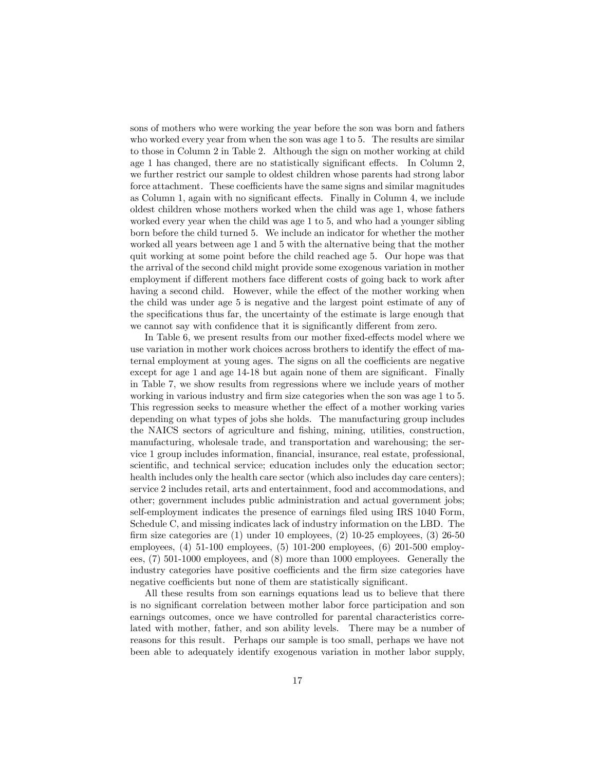sons of mothers who were working the year before the son was born and fathers who worked every year from when the son was age 1 to 5. The results are similar to those in Column 2 in Table 2. Although the sign on mother working at child age 1 has changed, there are no statistically significant effects. In Column  $2$ , we further restrict our sample to oldest children whose parents had strong labor force attachment. These coefficients have the same signs and similar magnitudes as Column 1, again with no significant effects. Finally in Column 4, we include oldest children whose mothers worked when the child was age 1, whose fathers worked every year when the child was age 1 to 5, and who had a younger sibling born before the child turned 5. We include an indicator for whether the mother worked all years between age 1 and 5 with the alternative being that the mother quit working at some point before the child reached age 5. Our hope was that the arrival of the second child might provide some exogenous variation in mother employment if different mothers face different costs of going back to work after having a second child. However, while the effect of the mother working when the child was under age 5 is negative and the largest point estimate of any of the specifications thus far, the uncertainty of the estimate is large enough that we cannot say with confidence that it is significantly different from zero.

In Table 6, we present results from our mother fixed-effects model where we use variation in mother work choices across brothers to identify the effect of maternal employment at young ages. The signs on all the coefficients are negative except for age  $1$  and age  $14$ -18 but again none of them are significant. Finally in Table 7, we show results from regressions where we include years of mother working in various industry and firm size categories when the son was age 1 to 5. This regression seeks to measure whether the effect of a mother working varies depending on what types of jobs she holds. The manufacturing group includes the NAICS sectors of agriculture and Öshing, mining, utilities, construction, manufacturing, wholesale trade, and transportation and warehousing; the service 1 group includes information, financial, insurance, real estate, professional, scientific, and technical service; education includes only the education sector; health includes only the health care sector (which also includes day care centers); service 2 includes retail, arts and entertainment, food and accommodations, and other; government includes public administration and actual government jobs; self-employment indicates the presence of earnings filed using IRS 1040 Form, Schedule C, and missing indicates lack of industry information on the LBD. The firm size categories are  $(1)$  under 10 employees,  $(2)$  10-25 employees,  $(3)$  26-50 employees, (4) 51-100 employees, (5) 101-200 employees, (6) 201-500 employees, (7) 501-1000 employees, and (8) more than 1000 employees. Generally the industry categories have positive coefficients and the firm size categories have negative coefficients but none of them are statistically significant.

All these results from son earnings equations lead us to believe that there is no significant correlation between mother labor force participation and son earnings outcomes, once we have controlled for parental characteristics correlated with mother, father, and son ability levels. There may be a number of reasons for this result. Perhaps our sample is too small, perhaps we have not been able to adequately identify exogenous variation in mother labor supply,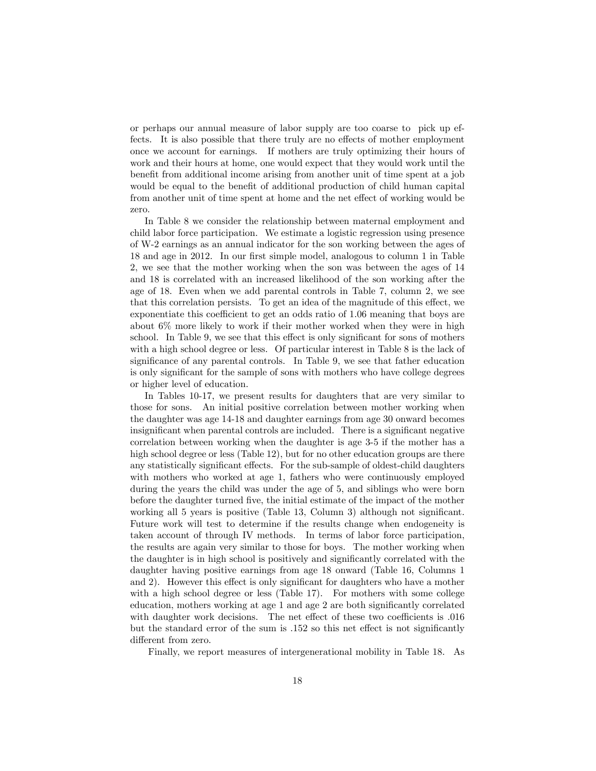or perhaps our annual measure of labor supply are too coarse to pick up effects. It is also possible that there truly are no effects of mother employment once we account for earnings. If mothers are truly optimizing their hours of work and their hours at home, one would expect that they would work until the benefit from additional income arising from another unit of time spent at a job would be equal to the benefit of additional production of child human capital from another unit of time spent at home and the net effect of working would be zero.

In Table 8 we consider the relationship between maternal employment and child labor force participation. We estimate a logistic regression using presence of W-2 earnings as an annual indicator for the son working between the ages of 18 and age in 2012. In our first simple model, analogous to column 1 in Table 2, we see that the mother working when the son was between the ages of 14 and 18 is correlated with an increased likelihood of the son working after the age of 18. Even when we add parental controls in Table 7, column 2, we see that this correlation persists. To get an idea of the magnitude of this effect, we exponentiate this coefficient to get an odds ratio of 1.06 meaning that boys are about 6% more likely to work if their mother worked when they were in high school. In Table 9, we see that this effect is only significant for sons of mothers with a high school degree or less. Of particular interest in Table 8 is the lack of significance of any parental controls. In Table 9, we see that father education is only significant for the sample of sons with mothers who have college degrees or higher level of education.

In Tables 10-17, we present results for daughters that are very similar to those for sons. An initial positive correlation between mother working when the daughter was age 14-18 and daughter earnings from age 30 onward becomes insignificant when parental controls are included. There is a significant negative correlation between working when the daughter is age 3-5 if the mother has a high school degree or less (Table 12), but for no other education groups are there any statistically significant effects. For the sub-sample of oldest-child daughters with mothers who worked at age 1, fathers who were continuously employed during the years the child was under the age of 5, and siblings who were born before the daughter turned Öve, the initial estimate of the impact of the mother working all  $5$  years is positive (Table 13, Column 3) although not significant. Future work will test to determine if the results change when endogeneity is taken account of through IV methods. In terms of labor force participation, the results are again very similar to those for boys. The mother working when the daughter is in high school is positively and significantly correlated with the daughter having positive earnings from age 18 onward (Table 16, Columns 1 and 2). However this effect is only significant for daughters who have a mother with a high school degree or less (Table 17). For mothers with some college education, mothers working at age 1 and age 2 are both significantly correlated with daughter work decisions. The net effect of these two coefficients is  $.016$ but the standard error of the sum is  $.152$  so this net effect is not significantly different from zero.

Finally, we report measures of intergenerational mobility in Table 18. As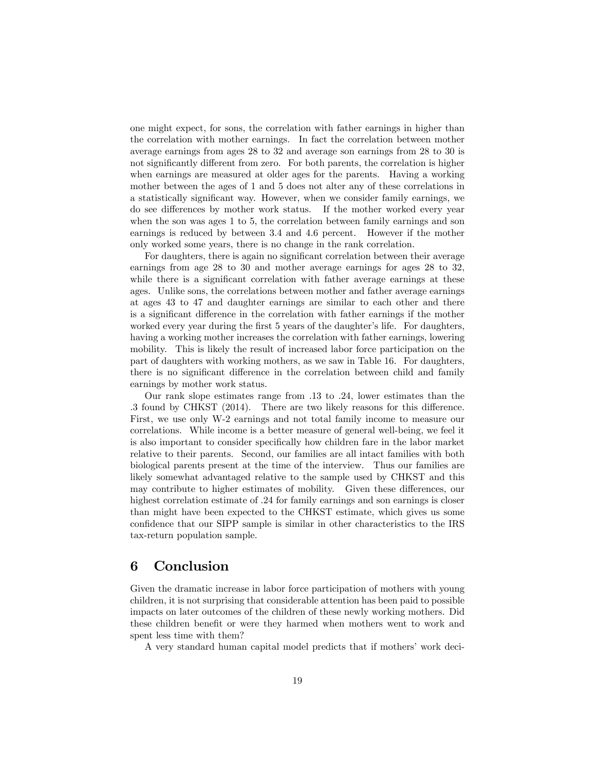one might expect, for sons, the correlation with father earnings in higher than the correlation with mother earnings. In fact the correlation between mother average earnings from ages 28 to 32 and average son earnings from 28 to 30 is not significantly different from zero. For both parents, the correlation is higher when earnings are measured at older ages for the parents. Having a working mother between the ages of 1 and 5 does not alter any of these correlations in a statistically significant way. However, when we consider family earnings, we do see differences by mother work status. If the mother worked every year when the son was ages 1 to 5, the correlation between family earnings and son earnings is reduced by between 3.4 and 4.6 percent. However if the mother only worked some years, there is no change in the rank correlation.

For daughters, there is again no significant correlation between their average earnings from age 28 to 30 and mother average earnings for ages 28 to 32, while there is a significant correlation with father average earnings at these ages. Unlike sons, the correlations between mother and father average earnings at ages 43 to 47 and daughter earnings are similar to each other and there is a significant difference in the correlation with father earnings if the mother worked every year during the first 5 years of the daughter's life. For daughters, having a working mother increases the correlation with father earnings, lowering mobility. This is likely the result of increased labor force participation on the part of daughters with working mothers, as we saw in Table 16. For daughters, there is no significant difference in the correlation between child and family earnings by mother work status.

Our rank slope estimates range from .13 to .24, lower estimates than the .3 found by CHKST  $(2014)$ . There are two likely reasons for this difference. First, we use only W-2 earnings and not total family income to measure our correlations. While income is a better measure of general well-being, we feel it is also important to consider specifically how children fare in the labor market relative to their parents. Second, our families are all intact families with both biological parents present at the time of the interview. Thus our families are likely somewhat advantaged relative to the sample used by CHKST and this may contribute to higher estimates of mobility. Given these differences, our highest correlation estimate of  $.24$  for family earnings and son earnings is closer than might have been expected to the CHKST estimate, which gives us some confidence that our SIPP sample is similar in other characteristics to the IRS tax-return population sample.

## 6 Conclusion

Given the dramatic increase in labor force participation of mothers with young children, it is not surprising that considerable attention has been paid to possible impacts on later outcomes of the children of these newly working mothers. Did these children benefit or were they harmed when mothers went to work and spent less time with them?

A very standard human capital model predicts that if mothers' work deci-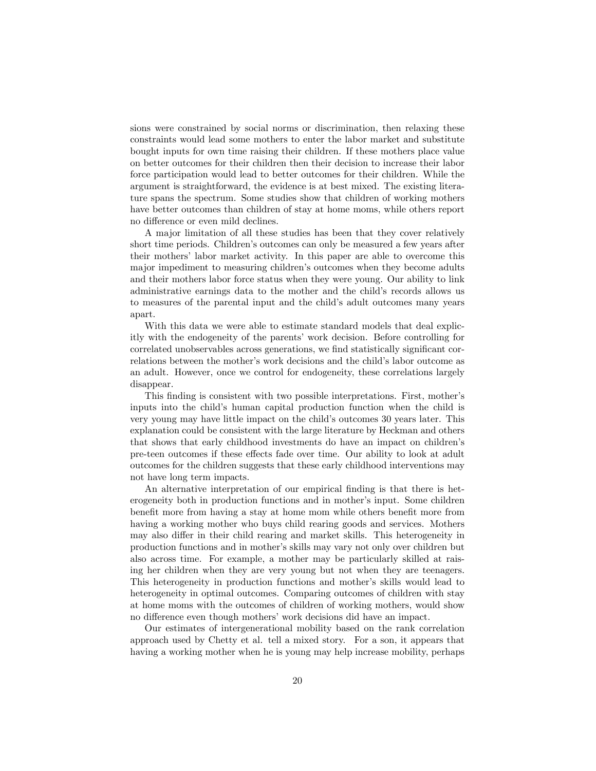sions were constrained by social norms or discrimination, then relaxing these constraints would lead some mothers to enter the labor market and substitute bought inputs for own time raising their children. If these mothers place value on better outcomes for their children then their decision to increase their labor force participation would lead to better outcomes for their children. While the argument is straightforward, the evidence is at best mixed. The existing literature spans the spectrum. Some studies show that children of working mothers have better outcomes than children of stay at home moms, while others report no difference or even mild declines.

A major limitation of all these studies has been that they cover relatively short time periods. Children's outcomes can only be measured a few years after their mothers' labor market activity. In this paper are able to overcome this major impediment to measuring children's outcomes when they become adults and their mothers labor force status when they were young. Our ability to link administrative earnings data to the mother and the child's records allows us to measures of the parental input and the child's adult outcomes many years apart.

With this data we were able to estimate standard models that deal explicitly with the endogeneity of the parents' work decision. Before controlling for correlated unobservables across generations, we find statistically significant correlations between the mother's work decisions and the child's labor outcome as an adult. However, once we control for endogeneity, these correlations largely disappear.

This finding is consistent with two possible interpretations. First, mother's inputs into the child's human capital production function when the child is very young may have little impact on the child's outcomes 30 years later. This explanation could be consistent with the large literature by Heckman and others that shows that early childhood investments do have an impact on children's pre-teen outcomes if these effects fade over time. Our ability to look at adult outcomes for the children suggests that these early childhood interventions may not have long term impacts.

An alternative interpretation of our empirical finding is that there is heterogeneity both in production functions and in mother's input. Some children benefit more from having a stay at home mom while others benefit more from having a working mother who buys child rearing goods and services. Mothers may also differ in their child rearing and market skills. This heterogeneity in production functions and in motherís skills may vary not only over children but also across time. For example, a mother may be particularly skilled at raising her children when they are very young but not when they are teenagers. This heterogeneity in production functions and mother's skills would lead to heterogeneity in optimal outcomes. Comparing outcomes of children with stay at home moms with the outcomes of children of working mothers, would show no difference even though mothers' work decisions did have an impact.

Our estimates of intergenerational mobility based on the rank correlation approach used by Chetty et al. tell a mixed story. For a son, it appears that having a working mother when he is young may help increase mobility, perhaps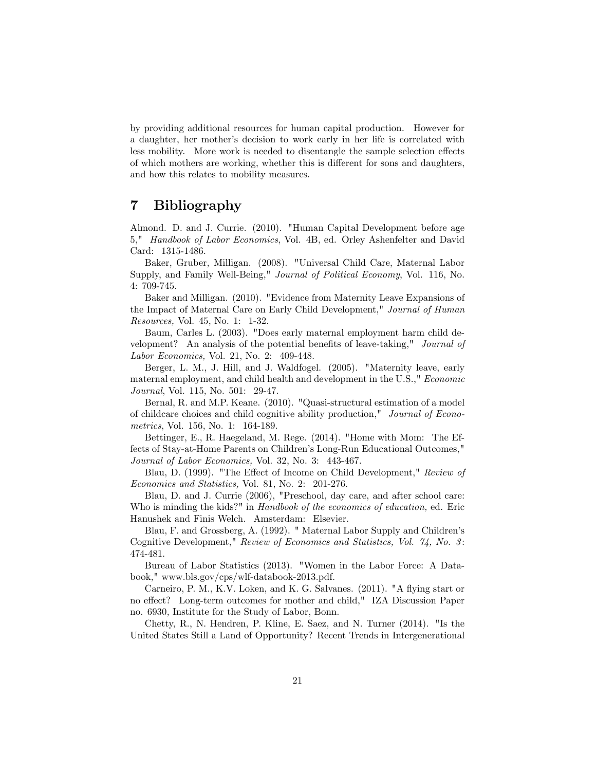by providing additional resources for human capital production. However for a daughter, her mother's decision to work early in her life is correlated with less mobility. More work is needed to disentangle the sample selection effects of which mothers are working, whether this is different for sons and daughters, and how this relates to mobility measures.

# 7 Bibliography

Almond. D. and J. Currie. (2010). "Human Capital Development before age 5," Handbook of Labor Economics, Vol. 4B, ed. Orley Ashenfelter and David Card: 1315-1486.

Baker, Gruber, Milligan. (2008). "Universal Child Care, Maternal Labor Supply, and Family Well-Being," Journal of Political Economy, Vol. 116, No. 4: 709-745.

Baker and Milligan. (2010). "Evidence from Maternity Leave Expansions of the Impact of Maternal Care on Early Child Development," Journal of Human Resources, Vol. 45, No. 1: 1-32.

Baum, Carles L. (2003). "Does early maternal employment harm child development? An analysis of the potential benefits of leave-taking," *Journal of* Labor Economics, Vol. 21, No. 2: 409-448.

Berger, L. M., J. Hill, and J. Waldfogel. (2005). "Maternity leave, early maternal employment, and child health and development in the U.S.," Economic Journal, Vol. 115, No. 501: 29-47.

Bernal, R. and M.P. Keane. (2010). "Quasi-structural estimation of a model of childcare choices and child cognitive ability production," Journal of Econometrics, Vol. 156, No. 1: 164-189.

Bettinger, E., R. Haegeland, M. Rege. (2014). "Home with Mom: The Effects of Stay-at-Home Parents on Children's Long-Run Educational Outcomes," Journal of Labor Economics, Vol. 32, No. 3: 443-467.

Blau, D. (1999). "The Effect of Income on Child Development," Review of Economics and Statistics, Vol. 81, No. 2: 201-276.

Blau, D. and J. Currie (2006), "Preschool, day care, and after school care: Who is minding the kids?" in *Handbook of the economics of education*, ed. Eric Hanushek and Finis Welch. Amsterdam: Elsevier.

Blau, F. and Grossberg, A. (1992). " Maternal Labor Supply and Children's Cognitive Development," Review of Economics and Statistics, Vol. 74, No. 3: 474-481.

Bureau of Labor Statistics (2013). "Women in the Labor Force: A Databook," www.bls.gov/cps/wlf-databook-2013.pdf.

Carneiro, P. M., K.V. Loken, and K. G. Salvanes. (2011). "A flying start or no effect? Long-term outcomes for mother and child," IZA Discussion Paper no. 6930, Institute for the Study of Labor, Bonn.

Chetty, R., N. Hendren, P. Kline, E. Saez, and N. Turner (2014). "Is the United States Still a Land of Opportunity? Recent Trends in Intergenerational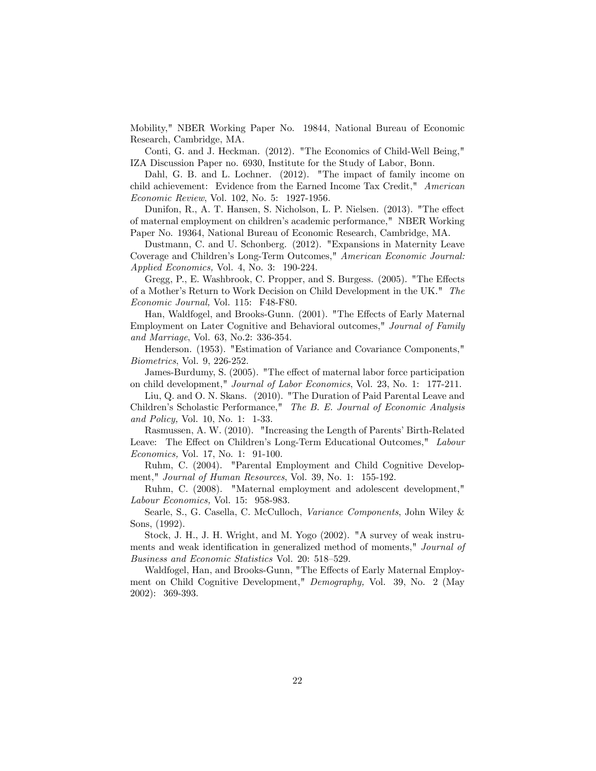Mobility," NBER Working Paper No. 19844, National Bureau of Economic Research, Cambridge, MA.

Conti, G. and J. Heckman. (2012). "The Economics of Child-Well Being," IZA Discussion Paper no. 6930, Institute for the Study of Labor, Bonn.

Dahl, G. B. and L. Lochner. (2012). "The impact of family income on child achievement: Evidence from the Earned Income Tax Credit," American Economic Review, Vol. 102, No. 5: 1927-1956.

Dunifon, R., A. T. Hansen, S. Nicholson, L. P. Nielsen. (2013). "The effect of maternal employment on childrenís academic performance," NBER Working Paper No. 19364, National Bureau of Economic Research, Cambridge, MA.

Dustmann, C. and U. Schonberg. (2012). "Expansions in Maternity Leave Coverage and Children's Long-Term Outcomes," American Economic Journal: Applied Economics, Vol. 4, No. 3: 190-224.

Gregg, P., E. Washbrook, C. Propper, and S. Burgess. (2005). "The Effects of a Mother's Return to Work Decision on Child Development in the UK." The Economic Journal, Vol. 115: F48-F80.

Han, Waldfogel, and Brooks-Gunn. (2001). "The Effects of Early Maternal Employment on Later Cognitive and Behavioral outcomes," Journal of Family and Marriage, Vol. 63, No.2: 336-354.

Henderson. (1953). "Estimation of Variance and Covariance Components," Biometrics, Vol. 9, 226-252.

James-Burdumy, S. (2005). "The effect of maternal labor force participation on child development," Journal of Labor Economics, Vol. 23, No. 1: 177-211.

Liu, Q. and O. N. Skans. (2010). "The Duration of Paid Parental Leave and Children's Scholastic Performance," The B. E. Journal of Economic Analysis and Policy, Vol. 10, No. 1: 1-33.

Rasmussen, A. W. (2010). "Increasing the Length of Parents' Birth-Related Leave: The Effect on Children's Long-Term Educational Outcomes," Labour Economics, Vol. 17, No. 1: 91-100.

Ruhm, C. (2004). "Parental Employment and Child Cognitive Development," Journal of Human Resources, Vol. 39, No. 1: 155-192.

Ruhm, C. (2008). "Maternal employment and adolescent development," Labour Economics, Vol. 15: 958-983.

Searle, S., G. Casella, C. McCulloch, Variance Components, John Wiley & Sons, (1992).

Stock, J. H., J. H. Wright, and M. Yogo (2002). "A survey of weak instruments and weak identification in generalized method of moments," *Journal of* Business and Economic Statistics Vol. 20: 518-529.

Waldfogel, Han, and Brooks-Gunn, "The Effects of Early Maternal Employment on Child Cognitive Development," Demography, Vol. 39, No. 2 (May 2002): 369-393.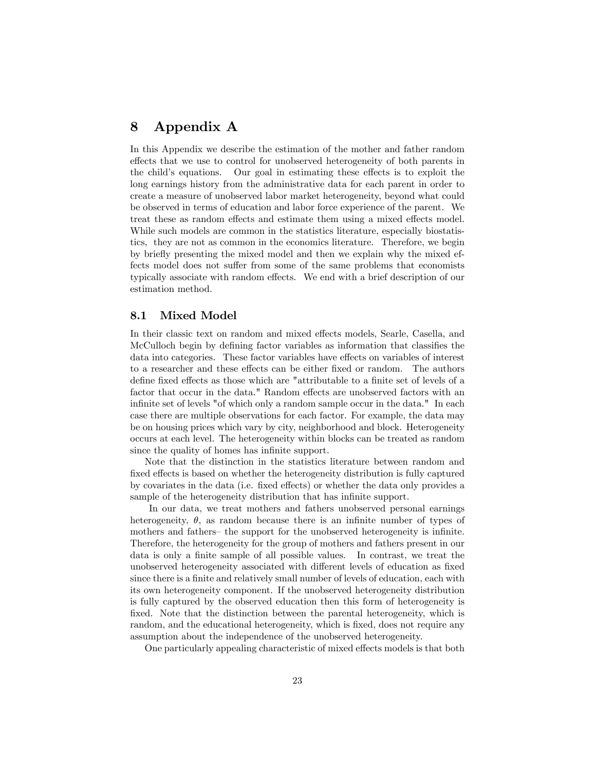# 8 Appendix A

In this Appendix we describe the estimation of the mother and father random effects that we use to control for unobserved heterogeneity of both parents in the child's equations. Our goal in estimating these effects is to exploit the long earnings history from the administrative data for each parent in order to create a measure of unobserved labor market heterogeneity, beyond what could be observed in terms of education and labor force experience of the parent. We treat these as random effects and estimate them using a mixed effects model. While such models are common in the statistics literature, especially biostatistics, they are not as common in the economics literature. Therefore, we begin by brieáy presenting the mixed model and then we explain why the mixed effects model does not suffer from some of the same problems that economists typically associate with random effects. We end with a brief description of our estimation method.

#### 8.1 Mixed Model

In their classic text on random and mixed effects models, Searle, Casella, and McCulloch begin by defining factor variables as information that classifies the data into categories. These factor variables have effects on variables of interest to a researcher and these effects can be either fixed or random. The authors define fixed effects as those which are "attributable to a finite set of levels of a factor that occur in the data." Random effects are unobserved factors with an infinite set of levels "of which only a random sample occur in the data." In each case there are multiple observations for each factor. For example, the data may be on housing prices which vary by city, neighborhood and block. Heterogeneity occurs at each level. The heterogeneity within blocks can be treated as random since the quality of homes has infinite support.

Note that the distinction in the statistics literature between random and fixed effects is based on whether the heterogeneity distribution is fully captured by covariates in the data (i.e. fixed effects) or whether the data only provides a sample of the heterogeneity distribution that has infinite support.

In our data, we treat mothers and fathers unobserved personal earnings heterogeneity,  $\theta$ , as random because there is an infinite number of types of mothers and fathers– the support for the unobserved heterogeneity is infinite. Therefore, the heterogeneity for the group of mothers and fathers present in our data is only a finite sample of all possible values. In contrast, we treat the unobserved heterogeneity associated with different levels of education as fixed since there is a finite and relatively small number of levels of education, each with its own heterogeneity component. If the unobserved heterogeneity distribution is fully captured by the observed education then this form of heterogeneity is fixed. Note that the distinction between the parental heterogeneity, which is random, and the educational heterogeneity, which is fixed, does not require any assumption about the independence of the unobserved heterogeneity.

One particularly appealing characteristic of mixed effects models is that both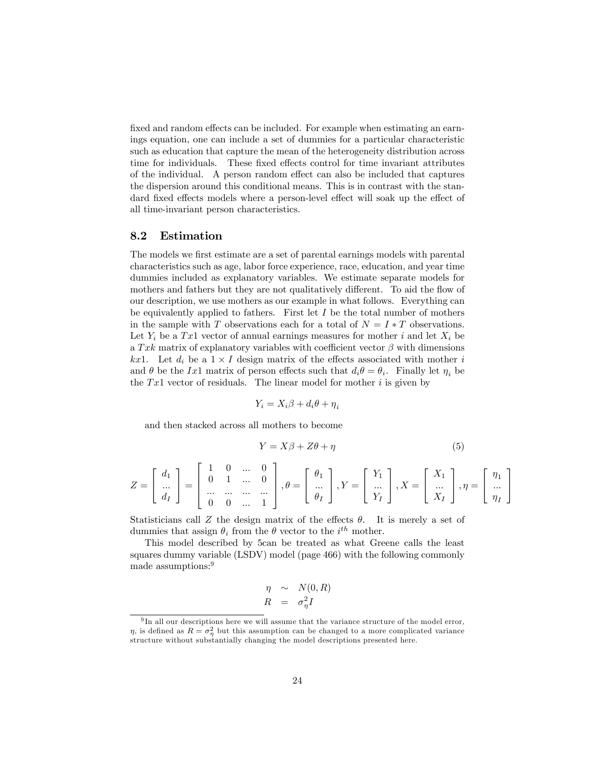fixed and random effects can be included. For example when estimating an earnings equation, one can include a set of dummies for a particular characteristic such as education that capture the mean of the heterogeneity distribution across time for individuals. These fixed effects control for time invariant attributes of the individual. A person random effect can also be included that captures the dispersion around this conditional means. This is in contrast with the standard fixed effects models where a person-level effect will soak up the effect of all time-invariant person characteristics.

#### 8.2 Estimation

The models we first estimate are a set of parental earnings models with parental characteristics such as age, labor force experience, race, education, and year time dummies included as explanatory variables. We estimate separate models for mothers and fathers but they are not qualitatively different. To aid the flow of our description, we use mothers as our example in what follows. Everything can be equivalently applied to fathers. First let  $I$  be the total number of mothers in the sample with T observations each for a total of  $N = I * T$  observations. Let  $Y_i$  be a Tx1 vector of annual earnings measures for mother i and let  $X_i$  be a Txk matrix of explanatory variables with coefficient vector  $\beta$  with dimensions kx1. Let  $d_i$  be a  $1 \times I$  design matrix of the effects associated with mother i and  $\theta$  be the Ix1 matrix of person effects such that  $d_i \theta = \theta_i$ . Finally let  $\eta_i$  be the  $Tx1$  vector of residuals. The linear model for mother i is given by

$$
Y_i = X_i \beta + d_i \theta + \eta_i
$$

and then stacked across all mothers to become

$$
Y = X\beta + Z\theta + \eta \tag{5}
$$

$$
Z = \begin{bmatrix} d_1 \\ \dots \\ d_I \end{bmatrix} = \begin{bmatrix} 1 & 0 & \dots & 0 \\ 0 & 1 & \dots & 0 \\ \dots & \dots & \dots & \dots \\ 0 & 0 & \dots & 1 \end{bmatrix}, \theta = \begin{bmatrix} \theta_1 \\ \dots \\ \theta_I \end{bmatrix}, Y = \begin{bmatrix} Y_1 \\ \dots \\ Y_I \end{bmatrix}, X = \begin{bmatrix} X_1 \\ \dots \\ X_I \end{bmatrix}, \eta = \begin{bmatrix} \eta_1 \\ \dots \\ \eta_I \end{bmatrix}
$$

Statisticians call Z the design matrix of the effects  $\theta$ . It is merely a set of dummies that assign  $\theta_i$  from the  $\theta$  vector to the  $i^{th}$  mother.

This model described by 5can be treated as what Greene calls the least squares dummy variable (LSDV) model (page 466) with the following commonly made assumptions:<sup>9</sup>

$$
\begin{array}{rcl}\n\eta & \sim & N(0, R) \\
R & = & \sigma_{\eta}^2 I\n\end{array}
$$

<sup>&</sup>lt;sup>9</sup>In all our descriptions here we will assume that the variance structure of the model error,  $\eta$ , is defined as  $R = \sigma_{\eta}^2$  but this assumption can be changed to a more complicated variance structure without substantially changing the model descriptions presented here.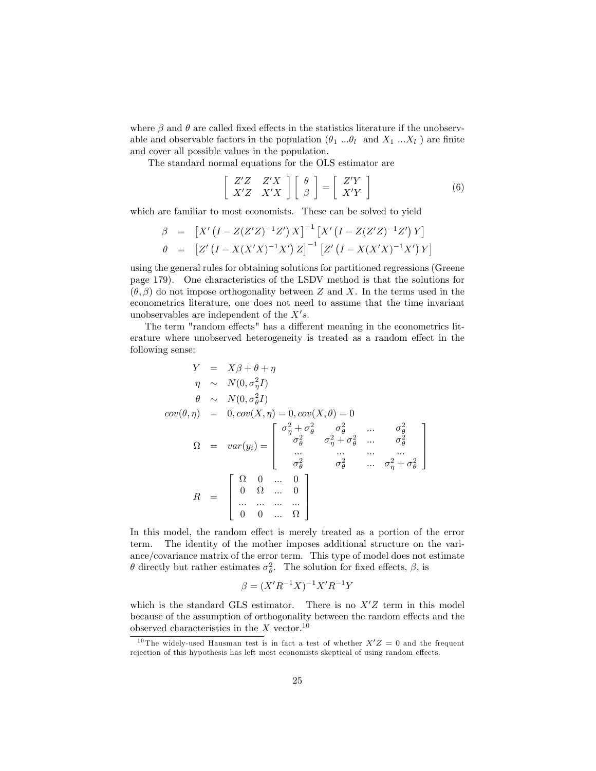where  $\beta$  and  $\theta$  are called fixed effects in the statistics literature if the unobservable and observable factors in the population  $(\theta_1 \dots \theta_l \text{ and } X_1 \dots X_l)$  are finite and cover all possible values in the population.

The standard normal equations for the OLS estimator are

$$
\left[\begin{array}{cc} Z'Z & Z'X \\ X'Z & X'X \end{array}\right] \left[\begin{array}{c} \theta \\ \beta \end{array}\right] = \left[\begin{array}{c} Z'Y \\ X'Y \end{array}\right] \tag{6}
$$

which are familiar to most economists. These can be solved to yield

$$
\beta = [X'(I - Z(Z'Z)^{-1}Z') X]^{-1} [X'(I - Z(Z'Z)^{-1}Z') Y]
$$
  
\n
$$
\theta = [Z'(I - X(X'X)^{-1}X') Z]^{-1} [Z'(I - X(X'X)^{-1}X') Y]
$$

using the general rules for obtaining solutions for partitioned regressions (Greene page 179). One characteristics of the LSDV method is that the solutions for  $(\theta, \beta)$  do not impose orthogonality between Z and X. In the terms used in the econometrics literature, one does not need to assume that the time invariant unobservables are independent of the  $X's$ .

The term "random effects" has a different meaning in the econometrics literature where unobserved heterogeneity is treated as a random effect in the following sense:

$$
Y = X\beta + \theta + \eta
$$
  
\n
$$
\eta \sim N(0, \sigma_{\eta}^{2}I)
$$
  
\n
$$
\theta \sim N(0, \sigma_{\theta}^{2}I)
$$
  
\n
$$
cov(\theta, \eta) = 0, cov(X, \eta) = 0, cov(X, \theta) = 0
$$
  
\n
$$
\Omega = var(y_i) = \begin{bmatrix} \sigma_{\eta}^{2} + \sigma_{\theta}^{2} & \sigma_{\theta}^{2} & \dots & \sigma_{\theta}^{2} \\ \sigma_{\theta}^{2} & \sigma_{\eta}^{2} + \sigma_{\theta}^{2} & \dots & \sigma_{\theta}^{2} \\ \dots & \dots & \dots & \dots \\ \sigma_{\theta}^{2} & \sigma_{\theta}^{2} & \dots & \sigma_{\eta}^{2} + \sigma_{\theta}^{2} \end{bmatrix}
$$
  
\n
$$
R = \begin{bmatrix} \Omega & 0 & \dots & 0 \\ 0 & \Omega & \dots & 0 \\ \dots & \dots & \dots & \dots \\ 0 & 0 & \dots & \Omega \end{bmatrix}
$$

In this model, the random effect is merely treated as a portion of the error term. The identity of the mother imposes additional structure on the variance/covariance matrix of the error term. This type of model does not estimate  $\theta$  directly but rather estimates  $\sigma_{\theta}^2$ . The solution for fixed effects,  $\beta$ , is

$$
\beta = (X'R^{-1}X)^{-1}X'R^{-1}Y
$$

which is the standard GLS estimator. There is no  $X'Z$  term in this model because of the assumption of orthogonality between the random effects and the observed characteristics in the  $X$  vector.<sup>10</sup>

<sup>&</sup>lt;sup>10</sup> The widely-used Hausman test is in fact a test of whether  $X'Z = 0$  and the frequent rejection of this hypothesis has left most economists skeptical of using random effects.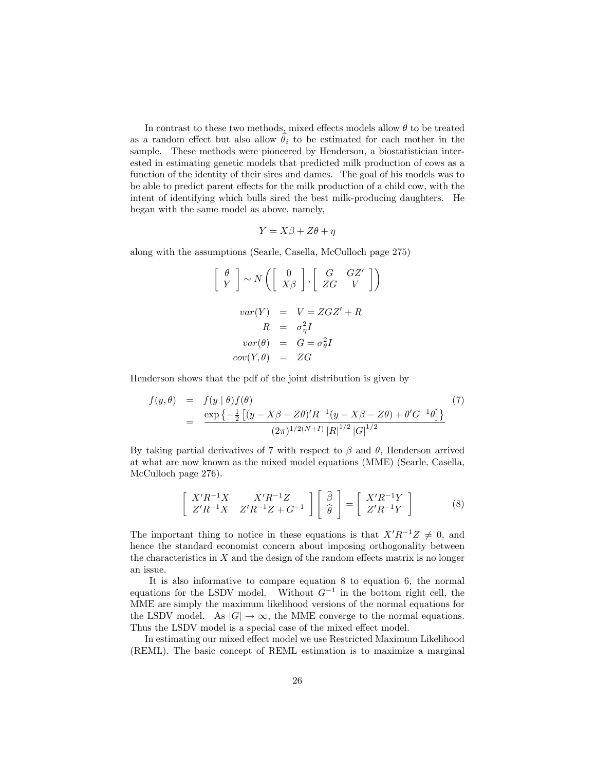In contrast to these two methods, mixed effects models allow  $\theta$  to be treated as a random effect but also allow  $\hat{\theta}_i$  to be estimated for each mother in the sample. These methods were pioneered by Henderson, a biostatistician interested in estimating genetic models that predicted milk production of cows as a function of the identity of their sires and dames. The goal of his models was to be able to predict parent effects for the milk production of a child cow, with the intent of identifying which bulls sired the best milk-producing daughters. He began with the same model as above, namely,

$$
Y = X\beta + Z\theta + \eta
$$

along with the assumptions (Searle, Casella, McCulloch page 275)

$$
\begin{bmatrix}\n\theta \\
Y\n\end{bmatrix} \sim N \begin{bmatrix}\n0 \\
X\beta\n\end{bmatrix}, \begin{bmatrix}\nG & GZ' \\
ZG & V\n\end{bmatrix}
$$
\n
$$
var(Y) = V = ZGZ' + R
$$
\n
$$
R = \sigma_{\eta}^{2}I
$$
\n
$$
var(\theta) = G = \sigma_{\theta}^{2}I
$$
\n
$$
cov(Y, \theta) = ZG
$$

Henderson shows that the pdf of the joint distribution is given by

$$
f(y, \theta) = f(y | \theta) f(\theta)
$$
\n
$$
= \frac{\exp \left\{-\frac{1}{2} \left[ (y - X\beta - Z\theta)' R^{-1} (y - X\beta - Z\theta) + \theta' G^{-1} \theta \right] \right\}}{(2\pi)^{1/2(N+1)} |R|^{1/2} |G|^{1/2}}
$$
\n(7)

By taking partial derivatives of 7 with respect to  $\beta$  and  $\theta$ , Henderson arrived at what are now known as the mixed model equations (MME) (Searle, Casella, McCulloch page 276).

$$
\begin{bmatrix} X'R^{-1}X & X'R^{-1}Z \\ Z'R^{-1}X & Z'R^{-1}Z + G^{-1} \end{bmatrix} \begin{bmatrix} \hat{\beta} \\ \hat{\theta} \end{bmatrix} = \begin{bmatrix} X'R^{-1}Y \\ Z'R^{-1}Y \end{bmatrix}
$$
 (8)

The important thing to notice in these equations is that  $X'R^{-1}Z \neq 0$ , and hence the standard economist concern about imposing orthogonality between the characteristics in  $X$  and the design of the random effects matrix is no longer an issue.

It is also informative to compare equation 8 to equation 6, the normal equations for the LSDV model. Without  $G^{-1}$  in the bottom right cell, the MME are simply the maximum likelihood versions of the normal equations for the LSDV model. As  $|G| \to \infty$ , the MME converge to the normal equations. Thus the LSDV model is a special case of the mixed effect model.

In estimating our mixed effect model we use Restricted Maximum Likelihood (REML). The basic concept of REML estimation is to maximize a marginal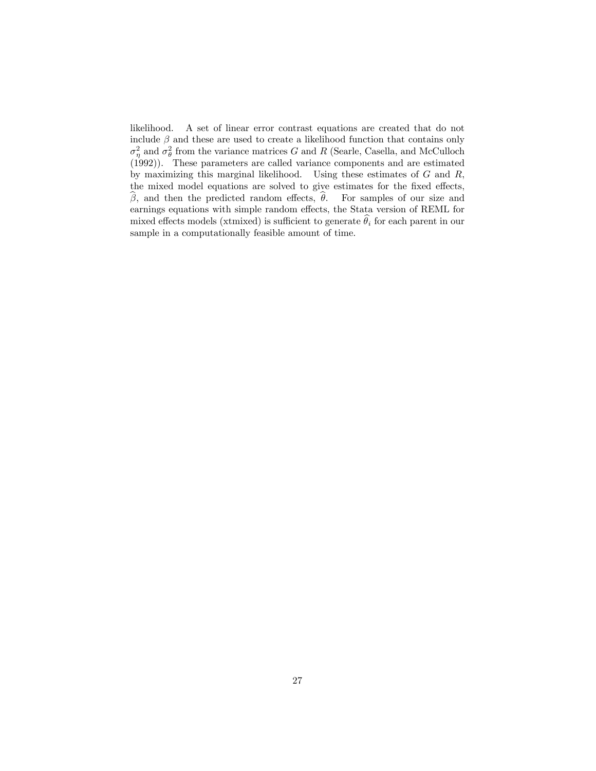likelihood. A set of linear error contrast equations are created that do not include  $\beta$  and these are used to create a likelihood function that contains only  $\sigma_{\eta}^2$  and  $\sigma_{\theta}^2$  from the variance matrices G and R (Searle, Casella, and McCulloch (1992)). These parameters are called variance components and are estimated by maximizing this marginal likelihood. Using these estimates of  $G$  and  $R$ , the mixed model equations are solved to give estimates for the fixed effects,  $\beta$ , and then the predicted random effects,  $\theta$ . For samples of our size and earnings equations with simple random effects, the Stata version of REML for mixed effects models (xtmixed) is sufficient to generate  $\hat{\theta}_i$  for each parent in our sample in a computationally feasible amount of time.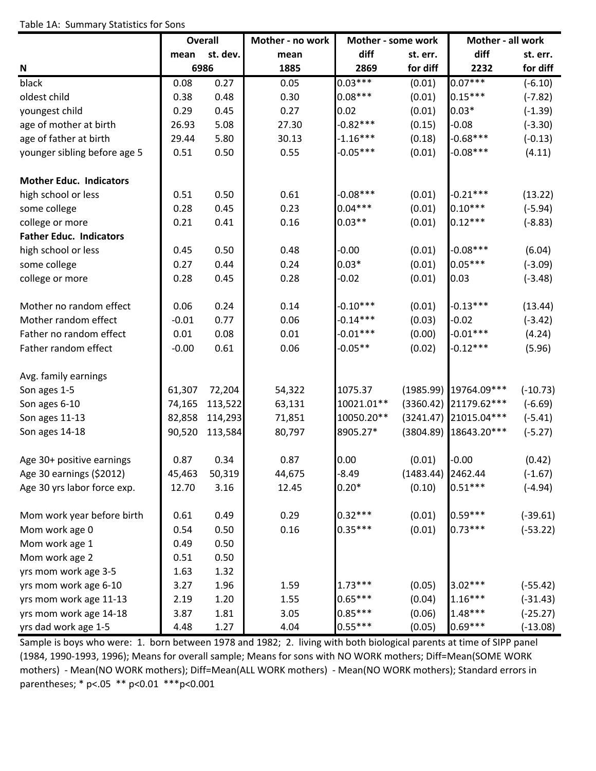|                                |         | <b>Overall</b> | Mother - no work | Mother - some work |                     | Mother - all work     |            |
|--------------------------------|---------|----------------|------------------|--------------------|---------------------|-----------------------|------------|
|                                | mean    | st. dev.       | mean             | diff               | st. err.            | diff                  | st. err.   |
| N                              |         | 6986           | 1885             | 2869               | for diff            | 2232                  | for diff   |
| black                          | 0.08    | 0.27           | 0.05             | $0.03***$          | (0.01)              | $0.07***$             | $(-6.10)$  |
| oldest child                   | 0.38    | 0.48           | 0.30             | $0.08***$          | (0.01)              | $0.15***$             | $(-7.82)$  |
| youngest child                 | 0.29    | 0.45           | 0.27             | 0.02               | (0.01)              | $0.03*$               | $(-1.39)$  |
| age of mother at birth         | 26.93   | 5.08           | 27.30            | $-0.82***$         | (0.15)              | $-0.08$               | $(-3.30)$  |
| age of father at birth         | 29.44   | 5.80           | 30.13            | $-1.16***$         | (0.18)              | $-0.68***$            | $(-0.13)$  |
| younger sibling before age 5   | 0.51    | 0.50           | 0.55             | $-0.05***$         | (0.01)              | $-0.08***$            | (4.11)     |
| <b>Mother Educ. Indicators</b> |         |                |                  |                    |                     |                       |            |
| high school or less            | 0.51    | 0.50           | 0.61             | $-0.08***$         | (0.01)              | $-0.21***$            | (13.22)    |
| some college                   | 0.28    | 0.45           | 0.23             | $0.04***$          | (0.01)              | $0.10***$             | $(-5.94)$  |
| college or more                | 0.21    | 0.41           | 0.16             | $0.03**$           | (0.01)              | $0.12***$             | $(-8.83)$  |
| <b>Father Educ. Indicators</b> |         |                |                  |                    |                     |                       |            |
| high school or less            | 0.45    | 0.50           | 0.48             | $-0.00$            | (0.01)              | $-0.08***$            | (6.04)     |
| some college                   | 0.27    | 0.44           | 0.24             | $0.03*$            | (0.01)              | $0.05***$             | $(-3.09)$  |
| college or more                | 0.28    | 0.45           | 0.28             | $-0.02$            | (0.01)              | 0.03                  | $(-3.48)$  |
| Mother no random effect        | 0.06    | 0.24           | 0.14             | $-0.10***$         | (0.01)              | $-0.13***$            | (13.44)    |
| Mother random effect           | $-0.01$ | 0.77           | 0.06             | $-0.14***$         | (0.03)              | $-0.02$               | $(-3.42)$  |
| Father no random effect        | 0.01    | 0.08           | 0.01             | $-0.01***$         | (0.00)              | $-0.01***$            | (4.24)     |
| Father random effect           | $-0.00$ | 0.61           | 0.06             | $-0.05**$          | (0.02)              | $-0.12***$            | (5.96)     |
| Avg. family earnings           |         |                |                  |                    |                     |                       |            |
| Son ages 1-5                   | 61,307  | 72,204         | 54,322           | 1075.37            |                     | (1985.99) 19764.09*** | $(-10.73)$ |
| Son ages 6-10                  | 74,165  | 113,522        | 63,131           | 10021.01**         |                     | (3360.42) 21179.62*** | $(-6.69)$  |
| Son ages 11-13                 | 82,858  | 114,293        | 71,851           | 10050.20**         |                     | (3241.47) 21015.04*** | $(-5.41)$  |
| Son ages 14-18                 | 90,520  | 113,584        | 80,797           | 8905.27*           |                     | (3804.89) 18643.20*** | $(-5.27)$  |
| Age 30+ positive earnings      | 0.87    | 0.34           | 0.87             | 0.00               | (0.01)              | $-0.00$               | (0.42)     |
| Age 30 earnings (\$2012)       | 45,463  | 50,319         | 44,675           | -8.49              | $(1483.44)$ 2462.44 |                       | $(-1.67)$  |
| Age 30 yrs labor force exp.    | 12.70   | 3.16           | 12.45            | $0.20*$            | (0.10)              | $0.51***$             | $(-4.94)$  |
| Mom work year before birth     | 0.61    | 0.49           | 0.29             | $0.32***$          | (0.01)              | $0.59***$             | $(-39.61)$ |
| Mom work age 0                 | 0.54    | 0.50           | 0.16             | $0.35***$          | (0.01)              | $0.73***$             | $(-53.22)$ |
| Mom work age 1                 | 0.49    | 0.50           |                  |                    |                     |                       |            |
| Mom work age 2                 | 0.51    | 0.50           |                  |                    |                     |                       |            |
| yrs mom work age 3-5           | 1.63    | 1.32           |                  |                    |                     |                       |            |
| yrs mom work age 6-10          | 3.27    | 1.96           | 1.59             | $1.73***$          | (0.05)              | $3.02***$             | $(-55.42)$ |
| yrs mom work age 11-13         | 2.19    | 1.20           | 1.55             | $0.65***$          | (0.04)              | $1.16***$             | $(-31.43)$ |
| yrs mom work age 14-18         | 3.87    | 1.81           | 3.05             | $0.85***$          | (0.06)              | $1.48***$             | $(-25.27)$ |
| yrs dad work age 1-5           | 4.48    | 1.27           | 4.04             | $0.55***$          | (0.05)              | $0.69***$             | $(-13.08)$ |

Sample is boys who were: 1. born between 1978 and 1982; 2. living with both biological parents at time of SIPP panel (1984, 1990‐1993, 1996); Means for overall sample; Means for sons with NO WORK mothers; Diff=Mean(SOME WORK mothers) - Mean(NO WORK mothers); Diff=Mean(ALL WORK mothers) - Mean(NO WORK mothers); Standard errors in parentheses; \* p<.05 \*\* p<0.01 \*\*\*p<0.001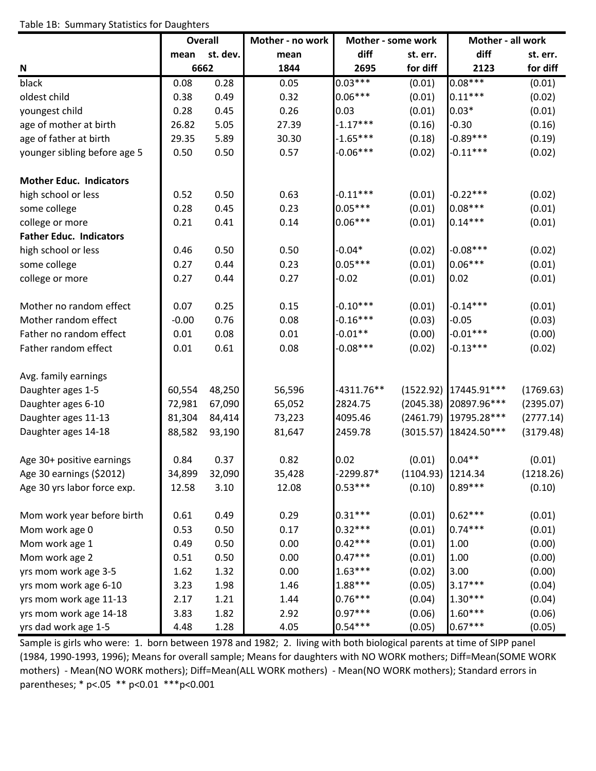### Table 1B: Summary Statistics for Daughters

|                                | <b>Overall</b> |          | Mother - no work | Mother - some work |                     | Mother - all work     |           |
|--------------------------------|----------------|----------|------------------|--------------------|---------------------|-----------------------|-----------|
|                                | mean           | st. dev. | mean             | diff               | st. err.            | diff                  | st. err.  |
| N                              | 6662           |          | 1844             | 2695               | for diff            | 2123                  | for diff  |
| black                          | 0.08           | 0.28     | 0.05             | $0.03***$          | (0.01)              | $0.08***$             | (0.01)    |
| oldest child                   | 0.38           | 0.49     | 0.32             | $0.06***$          | (0.01)              | $0.11***$             | (0.02)    |
| youngest child                 | 0.28           | 0.45     | 0.26             | 0.03               | (0.01)              | $0.03*$               | (0.01)    |
| age of mother at birth         | 26.82          | 5.05     | 27.39            | $-1.17***$         | (0.16)              | $-0.30$               | (0.16)    |
| age of father at birth         | 29.35          | 5.89     | 30.30            | $-1.65***$         | (0.18)              | $-0.89***$            | (0.19)    |
| younger sibling before age 5   | 0.50           | 0.50     | 0.57             | $-0.06***$         | (0.02)              | $-0.11***$            | (0.02)    |
| <b>Mother Educ. Indicators</b> |                |          |                  |                    |                     |                       |           |
| high school or less            | 0.52           | 0.50     | 0.63             | $-0.11***$         | (0.01)              | $-0.22***$            | (0.02)    |
| some college                   | 0.28           | 0.45     | 0.23             | $0.05***$          | (0.01)              | $0.08***$             | (0.01)    |
| college or more                | 0.21           | 0.41     | 0.14             | $0.06***$          | (0.01)              | $0.14***$             | (0.01)    |
| <b>Father Educ. Indicators</b> |                |          |                  |                    |                     |                       |           |
| high school or less            | 0.46           | 0.50     | 0.50             | $-0.04*$           | (0.02)              | $-0.08***$            | (0.02)    |
| some college                   | 0.27           | 0.44     | 0.23             | $0.05***$          | (0.01)              | $0.06***$             | (0.01)    |
| college or more                | 0.27           | 0.44     | 0.27             | $-0.02$            | (0.01)              | 0.02                  | (0.01)    |
| Mother no random effect        | 0.07           | 0.25     | 0.15             | $-0.10***$         | (0.01)              | $-0.14***$            | (0.01)    |
| Mother random effect           | $-0.00$        | 0.76     | 0.08             | $-0.16***$         | (0.03)              | $-0.05$               | (0.03)    |
| Father no random effect        | 0.01           | 0.08     | 0.01             | $-0.01**$          | (0.00)              | $-0.01***$            | (0.00)    |
| Father random effect           | 0.01           | 0.61     | 0.08             | $-0.08***$         | (0.02)              | $-0.13***$            | (0.02)    |
| Avg. family earnings           |                |          |                  |                    |                     |                       |           |
| Daughter ages 1-5              | 60,554         | 48,250   | 56,596           | $-4311.76**$       | (1522.92)           | 17445.91***           | (1769.63) |
| Daughter ages 6-10             | 72,981         | 67,090   | 65,052           | 2824.75            | (2045.38)           | 20897.96***           | (2395.07) |
| Daughter ages 11-13            | 81,304         | 84,414   | 73,223           | 4095.46            |                     | (2461.79) 19795.28*** | (2777.14) |
| Daughter ages 14-18            | 88,582         | 93,190   | 81,647           | 2459.78            | (3015.57)           | 18424.50***           | (3179.48) |
| Age 30+ positive earnings      | 0.84           | 0.37     | 0.82             | 0.02               | (0.01)              | $0.04**$              | (0.01)    |
| Age 30 earnings (\$2012)       | 34,899         | 32,090   | 35,428           | -2299.87*          | $(1104.93)$ 1214.34 |                       | (1218.26) |
| Age 30 yrs labor force exp.    | 12.58          | 3.10     | 12.08            | $0.53***$          | (0.10)              | $0.89***$             | (0.10)    |
| Mom work year before birth     | 0.61           | 0.49     | 0.29             | $0.31***$          | (0.01)              | $0.62***$             | (0.01)    |
| Mom work age 0                 | 0.53           | 0.50     | 0.17             | $0.32***$          | (0.01)              | $0.74***$             | (0.01)    |
| Mom work age 1                 | 0.49           | 0.50     | 0.00             | $0.42***$          | (0.01)              | 1.00                  | (0.00)    |
| Mom work age 2                 | 0.51           | 0.50     | 0.00             | $0.47***$          | (0.01)              | 1.00                  | (0.00)    |
| yrs mom work age 3-5           | 1.62           | 1.32     | 0.00             | $1.63***$          | (0.02)              | 3.00                  | (0.00)    |
| yrs mom work age 6-10          | 3.23           | 1.98     | 1.46             | 1.88***            | (0.05)              | $3.17***$             | (0.04)    |
| yrs mom work age 11-13         | 2.17           | 1.21     | 1.44             | $0.76***$          | (0.04)              | $1.30***$             | (0.04)    |
| yrs mom work age 14-18         | 3.83           | 1.82     | 2.92             | $0.97***$          | (0.06)              | $1.60***$             | (0.06)    |
| yrs dad work age 1-5           | 4.48           | 1.28     | 4.05             | $0.54***$          | (0.05)              | $0.67***$             | (0.05)    |

Sample is girls who were: 1. born between 1978 and 1982; 2. living with both biological parents at time of SIPP panel (1984, 1990‐1993, 1996); Means for overall sample; Means for daughters with NO WORK mothers; Diff=Mean(SOME WORK mothers) - Mean(NO WORK mothers); Diff=Mean(ALL WORK mothers) - Mean(NO WORK mothers); Standard errors in parentheses; \* p<.05 \*\* p<0.01 \*\*\*p<0.001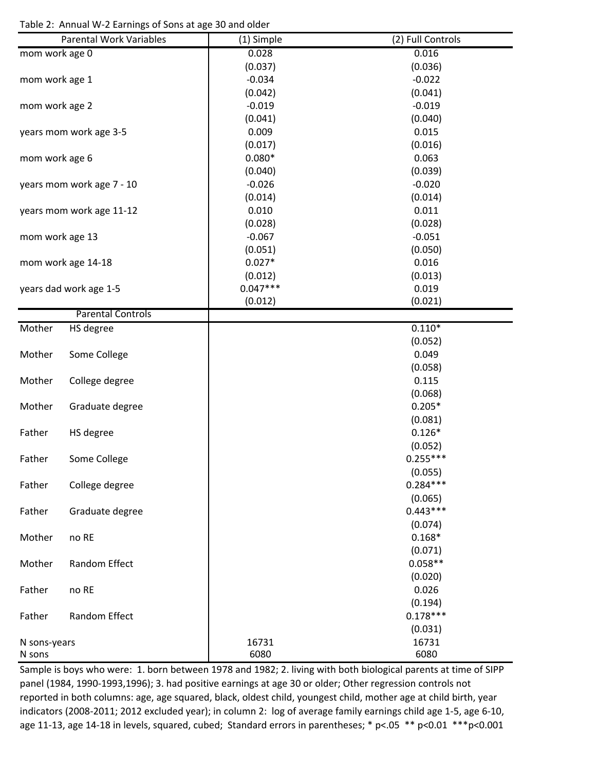Table 2: Annual W‐2 Earnings of Sons at age 30 and older

|                 | <b>Parental Work Variables</b> | (1) Simple | (2) Full Controls |
|-----------------|--------------------------------|------------|-------------------|
| mom work age 0  |                                | 0.028      | 0.016             |
|                 |                                | (0.037)    | (0.036)           |
| mom work age 1  |                                | $-0.034$   | $-0.022$          |
|                 |                                | (0.042)    | (0.041)           |
| mom work age 2  |                                | $-0.019$   | $-0.019$          |
|                 |                                | (0.041)    | (0.040)           |
|                 | years mom work age 3-5         | 0.009      | 0.015             |
|                 |                                | (0.017)    | (0.016)           |
| mom work age 6  |                                | $0.080*$   | 0.063             |
|                 |                                | (0.040)    | (0.039)           |
|                 | years mom work age 7 - 10      | $-0.026$   | $-0.020$          |
|                 |                                | (0.014)    | (0.014)           |
|                 | years mom work age 11-12       | 0.010      | 0.011             |
|                 |                                | (0.028)    | (0.028)           |
|                 |                                | $-0.067$   | $-0.051$          |
| mom work age 13 |                                | (0.051)    | (0.050)           |
|                 |                                | $0.027*$   | 0.016             |
|                 | mom work age 14-18             |            |                   |
|                 |                                | (0.012)    | (0.013)           |
|                 | years dad work age 1-5         | $0.047***$ | 0.019             |
|                 | <b>Parental Controls</b>       | (0.012)    | (0.021)           |
|                 |                                |            |                   |
| Mother          | <b>HS</b> degree               |            | $0.110*$          |
|                 |                                |            | (0.052)           |
| Mother          | Some College                   |            | 0.049             |
|                 |                                |            | (0.058)           |
| Mother          | College degree                 |            | 0.115             |
|                 |                                |            | (0.068)           |
| Mother          | Graduate degree                |            | $0.205*$          |
|                 |                                |            | (0.081)           |
| Father          | HS degree                      |            | $0.126*$          |
|                 |                                |            | (0.052)           |
| Father          | Some College                   |            | $0.255***$        |
|                 |                                |            | (0.055)           |
| Father          | College degree                 |            | $0.284***$        |
|                 |                                |            | (0.065)           |
| Father          | Graduate degree                |            | $0.443***$        |
|                 |                                |            | (0.074)           |
| Mother          | no RE                          |            | $0.168*$          |
|                 |                                |            | (0.071)           |
| Mother          | Random Effect                  |            | $0.058**$         |
|                 |                                |            | (0.020)           |
| Father          | no RE                          |            | 0.026             |
|                 |                                |            | (0.194)           |
| Father          | Random Effect                  |            | $0.178***$        |
|                 |                                |            | (0.031)           |
| N sons-years    |                                | 16731      | 16731             |
| N sons          |                                | 6080       | 6080              |

Sample is boys who were: 1. born between 1978 and 1982; 2. living with both biological parents at time of SIPP panel (1984, 1990-1993,1996); 3. had positive earnings at age 30 or older; Other regression controls not reported in both columns: age, age squared, black, oldest child, youngest child, mother age at child birth, year indicators (2008‐2011; 2012 excluded year); in column 2: log of average family earnings child age 1‐5, age 6‐10, age 11-13, age 14-18 in levels, squared, cubed; Standard errors in parentheses; \* p<.05 \*\* p<0.01 \*\*\* p<0.001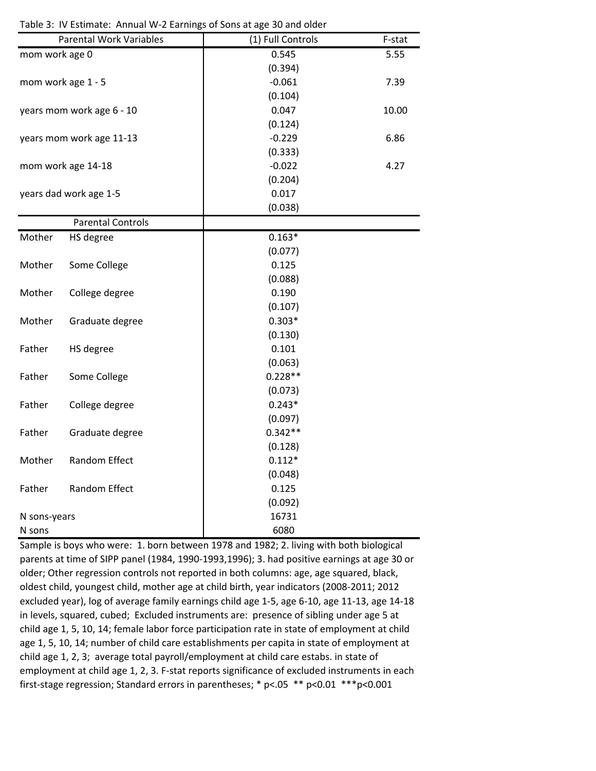|                | <b>Parental Work Variables</b> | (1) Full Controls | F-stat |
|----------------|--------------------------------|-------------------|--------|
| mom work age 0 |                                | 0.545             | 5.55   |
|                |                                | (0.394)           |        |
|                | mom work age 1 - 5             | $-0.061$          | 7.39   |
|                |                                | (0.104)           |        |
|                | years mom work age 6 - 10      | 0.047             | 10.00  |
|                |                                | (0.124)           |        |
|                | years mom work age 11-13       | $-0.229$          | 6.86   |
|                |                                | (0.333)           |        |
|                | mom work age 14-18             | $-0.022$          | 4.27   |
|                |                                | (0.204)           |        |
|                | years dad work age 1-5         | 0.017             |        |
|                |                                | (0.038)           |        |
|                | <b>Parental Controls</b>       |                   |        |
| Mother         | HS degree                      | $0.163*$          |        |
|                |                                | (0.077)           |        |
| Mother         | Some College                   | 0.125             |        |
|                |                                | (0.088)           |        |
| Mother         | College degree                 | 0.190             |        |
|                |                                | (0.107)           |        |
| Mother         | Graduate degree                | $0.303*$          |        |
|                |                                | (0.130)           |        |
| Father         | HS degree                      | 0.101             |        |
|                |                                | (0.063)           |        |
| Father         | Some College                   | $0.228**$         |        |
|                |                                | (0.073)           |        |
| Father         | College degree                 | $0.243*$          |        |
|                |                                | (0.097)           |        |
| Father         | Graduate degree                | $0.342**$         |        |
|                |                                | (0.128)           |        |
| Mother         | Random Effect                  | $0.112*$          |        |
|                |                                | (0.048)           |        |
| Father         | Random Effect                  | 0.125             |        |
|                |                                | (0.092)           |        |
| N sons-years   |                                | 16731             |        |
| N sons         |                                | 6080              |        |

Table 3: IV Estimate: Annual W‐2 Earnings of Sons at age 30 and older

Sample is boys who were: 1. born between 1978 and 1982; 2. living with both biological parents at time of SIPP panel (1984, 1990‐1993,1996); 3. had positive earnings at age 30 or older; Other regression controls not reported in both columns: age, age squared, black, oldest child, youngest child, mother age at child birth, year indicators (2008‐2011; 2012 excluded year), log of average family earnings child age 1‐5, age 6‐10, age 11‐13, age 14‐18 in levels, squared, cubed; Excluded instruments are: presence of sibling under age 5 at child age 1, 5, 10, 14; female labor force participation rate in state of employment at child age 1, 5, 10, 14; number of child care establishments per capita in state of employment at child age 1, 2, 3; average total payroll/employment at child care estabs. in state of employment at child age 1, 2, 3. F-stat reports significance of excluded instruments in each first‐stage regression; Standard errors in parentheses; \* p<.05 \*\* p<0.01 \*\*\*p<0.001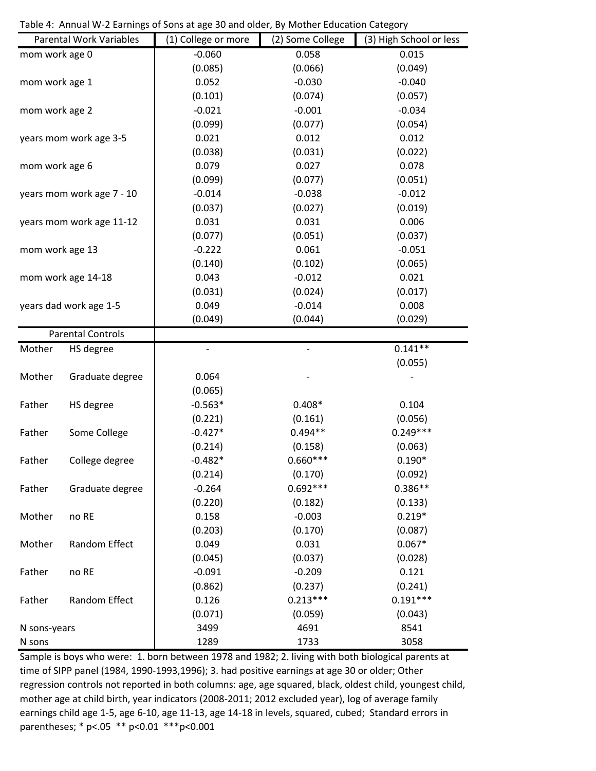Table 4: Annual W‐2 Earnings of Sons at age 30 and older, By Mother Education Category

|                 | <b>Parental Work Variables</b> | $\overline{(1)}$ College or more | (2) Some College         | (3) High School or less |
|-----------------|--------------------------------|----------------------------------|--------------------------|-------------------------|
| mom work age 0  |                                | $-0.060$                         | 0.058                    | 0.015                   |
|                 |                                | (0.085)                          | (0.066)                  | (0.049)                 |
| mom work age 1  |                                | 0.052                            | $-0.030$                 | $-0.040$                |
|                 |                                | (0.101)                          | (0.074)                  | (0.057)                 |
| mom work age 2  |                                | $-0.021$                         | $-0.001$                 | $-0.034$                |
|                 |                                | (0.099)                          | (0.077)                  | (0.054)                 |
|                 | years mom work age 3-5         | 0.021                            | 0.012                    | 0.012                   |
|                 |                                | (0.038)                          | (0.031)                  | (0.022)                 |
| mom work age 6  |                                | 0.079                            | 0.027                    | 0.078                   |
|                 |                                | (0.099)                          | (0.077)                  | (0.051)                 |
|                 | years mom work age 7 - 10      | $-0.014$                         | $-0.038$                 | $-0.012$                |
|                 |                                | (0.037)                          | (0.027)                  | (0.019)                 |
|                 | years mom work age 11-12       | 0.031                            | 0.031                    | 0.006                   |
|                 |                                | (0.077)                          | (0.051)                  | (0.037)                 |
| mom work age 13 |                                | $-0.222$                         | 0.061                    | $-0.051$                |
|                 |                                | (0.140)                          | (0.102)                  | (0.065)                 |
|                 | mom work age 14-18             | 0.043                            | $-0.012$                 | 0.021                   |
|                 |                                | (0.031)                          | (0.024)                  | (0.017)                 |
|                 | years dad work age 1-5         | 0.049                            | $-0.014$                 | 0.008                   |
|                 |                                | (0.049)                          | (0.044)                  | (0.029)                 |
|                 | <b>Parental Controls</b>       |                                  |                          |                         |
| Mother          | HS degree                      | ÷                                | $\overline{\phantom{a}}$ | $0.141**$               |
|                 |                                |                                  |                          | (0.055)                 |
| Mother          | Graduate degree                | 0.064                            |                          |                         |
|                 |                                | (0.065)                          |                          |                         |
| Father          | HS degree                      | $-0.563*$                        | $0.408*$                 | 0.104                   |
|                 |                                | (0.221)                          | (0.161)                  | (0.056)                 |
| Father          | Some College                   | $-0.427*$                        | $0.494**$                | $0.249***$              |
|                 |                                | (0.214)                          | (0.158)                  | (0.063)                 |
| Father          | College degree                 | $-0.482*$                        | $0.660***$               | $0.190*$                |
|                 |                                | (0.214)                          | (0.170)                  | (0.092)                 |
| Father          | Graduate degree                | $-0.264$                         | $0.692***$               | $0.386**$               |
|                 |                                | (0.220)                          | (0.182)                  | (0.133)                 |
| Mother          | no RE                          | 0.158                            | $-0.003$                 | $0.219*$                |
|                 |                                | (0.203)                          | (0.170)                  | (0.087)                 |
| Mother          | Random Effect                  | 0.049                            | 0.031                    | $0.067*$                |
|                 |                                | (0.045)                          | (0.037)                  | (0.028)                 |
| Father          | no RE                          | $-0.091$                         | $-0.209$                 | 0.121                   |
|                 |                                | (0.862)                          | (0.237)                  | (0.241)                 |
| Father          | Random Effect                  | 0.126                            | $0.213***$               | $0.191***$              |
|                 |                                | (0.071)                          | (0.059)                  | (0.043)                 |
| N sons-years    |                                | 3499                             | 4691                     | 8541                    |
| N sons          |                                | 1289                             | 1733                     | 3058                    |

Sample is boys who were: 1. born between 1978 and 1982; 2. living with both biological parents at time of SIPP panel (1984, 1990-1993,1996); 3. had positive earnings at age 30 or older; Other regression controls not reported in both columns: age, age squared, black, oldest child, youngest child, mother age at child birth, year indicators (2008‐2011; 2012 excluded year), log of average family earnings child age 1‐5, age 6‐10, age 11‐13, age 14‐18 in levels, squared, cubed; Standard errors in parentheses; \* p<.05 \*\* p<0.01 \*\*\*p<0.001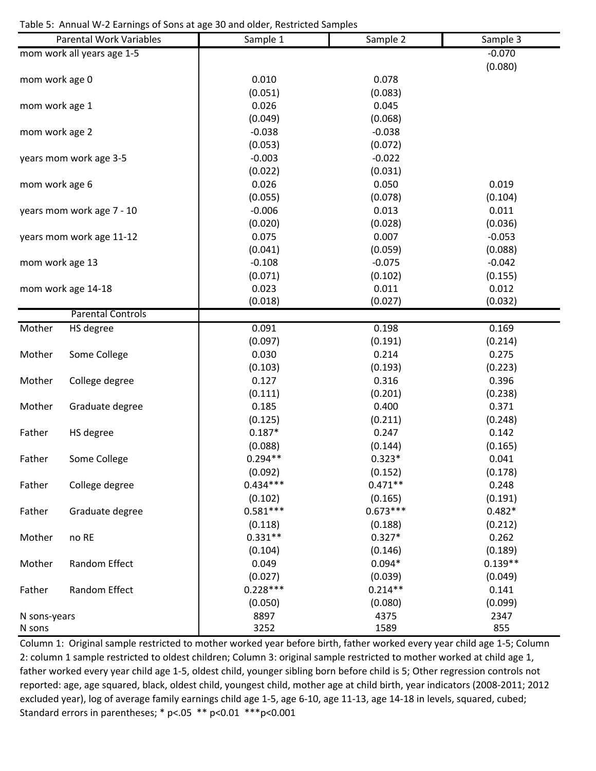Table 5: Annual W‐2 Earnings of Sons at age 30 and older, Restricted Samples

| mom work all years age 1-5<br>$-0.070$<br>(0.080)<br>0.010<br>0.078<br>mom work age 0<br>(0.051)<br>(0.083)<br>0.026<br>0.045<br>mom work age 1<br>(0.049)<br>(0.068)<br>$-0.038$<br>$-0.038$<br>mom work age 2<br>(0.053)<br>(0.072)<br>$-0.003$<br>$-0.022$<br>years mom work age 3-5<br>(0.022)<br>(0.031)<br>0.026<br>0.050<br>0.019<br>mom work age 6<br>(0.104)<br>(0.055)<br>(0.078)<br>$-0.006$<br>0.013<br>0.011<br>years mom work age 7 - 10<br>(0.020)<br>(0.028)<br>(0.036)<br>0.075<br>0.007<br>$-0.053$<br>years mom work age 11-12<br>(0.041)<br>(0.088)<br>(0.059)<br>$-0.108$<br>$-0.075$<br>$-0.042$<br>mom work age 13<br>(0.071)<br>(0.102)<br>(0.155)<br>0.023<br>0.011<br>0.012<br>mom work age 14-18<br>(0.018)<br>(0.027)<br>(0.032)<br><b>Parental Controls</b><br>0.198<br>0.169<br>Mother<br>HS degree<br>0.091<br>(0.097)<br>(0.191)<br>(0.214)<br>0.030<br>0.275<br>Mother<br>Some College<br>0.214<br>(0.103)<br>(0.193)<br>(0.223)<br>Mother<br>College degree<br>0.127<br>0.316<br>0.396<br>(0.111)<br>(0.201)<br>(0.238)<br>0.185<br>0.400<br>0.371<br>Mother<br>Graduate degree<br>(0.125)<br>(0.211)<br>(0.248)<br>$0.187*$<br>Father<br>0.247<br>0.142<br>HS degree<br>(0.088)<br>(0.165)<br>(0.144)<br>$0.294**$<br>$0.323*$<br>0.041<br>Father<br>Some College<br>(0.092)<br>(0.152)<br>(0.178)<br>$0.434***$<br>$0.471**$<br>0.248<br>Father<br>College degree<br>(0.102)<br>(0.191)<br>(0.165)<br>$0.581***$<br>$0.673***$<br>$0.482*$<br>Father<br>Graduate degree<br>(0.212)<br>(0.118)<br>(0.188)<br>$0.331**$<br>$0.327*$<br>0.262<br>no RE<br>Mother<br>(0.189)<br>(0.104)<br>(0.146)<br>$0.139**$<br>$0.094*$<br>Random Effect<br>0.049<br>Mother<br>(0.027)<br>(0.039)<br>(0.049)<br>$0.228***$<br>$0.214**$<br>0.141<br>Random Effect<br>Father<br>(0.099)<br>(0.050)<br>(0.080)<br>8897<br>4375<br>2347<br>N sons-years |        | <b>Parental Work Variables</b> | Sample 1 | Sample 2 | Sample 3 |
|--------------------------------------------------------------------------------------------------------------------------------------------------------------------------------------------------------------------------------------------------------------------------------------------------------------------------------------------------------------------------------------------------------------------------------------------------------------------------------------------------------------------------------------------------------------------------------------------------------------------------------------------------------------------------------------------------------------------------------------------------------------------------------------------------------------------------------------------------------------------------------------------------------------------------------------------------------------------------------------------------------------------------------------------------------------------------------------------------------------------------------------------------------------------------------------------------------------------------------------------------------------------------------------------------------------------------------------------------------------------------------------------------------------------------------------------------------------------------------------------------------------------------------------------------------------------------------------------------------------------------------------------------------------------------------------------------------------------------------------------------------------------------------------------------------------------------------------------------------------------------|--------|--------------------------------|----------|----------|----------|
|                                                                                                                                                                                                                                                                                                                                                                                                                                                                                                                                                                                                                                                                                                                                                                                                                                                                                                                                                                                                                                                                                                                                                                                                                                                                                                                                                                                                                                                                                                                                                                                                                                                                                                                                                                                                                                                                          |        |                                |          |          |          |
|                                                                                                                                                                                                                                                                                                                                                                                                                                                                                                                                                                                                                                                                                                                                                                                                                                                                                                                                                                                                                                                                                                                                                                                                                                                                                                                                                                                                                                                                                                                                                                                                                                                                                                                                                                                                                                                                          |        |                                |          |          |          |
|                                                                                                                                                                                                                                                                                                                                                                                                                                                                                                                                                                                                                                                                                                                                                                                                                                                                                                                                                                                                                                                                                                                                                                                                                                                                                                                                                                                                                                                                                                                                                                                                                                                                                                                                                                                                                                                                          |        |                                |          |          |          |
|                                                                                                                                                                                                                                                                                                                                                                                                                                                                                                                                                                                                                                                                                                                                                                                                                                                                                                                                                                                                                                                                                                                                                                                                                                                                                                                                                                                                                                                                                                                                                                                                                                                                                                                                                                                                                                                                          |        |                                |          |          |          |
|                                                                                                                                                                                                                                                                                                                                                                                                                                                                                                                                                                                                                                                                                                                                                                                                                                                                                                                                                                                                                                                                                                                                                                                                                                                                                                                                                                                                                                                                                                                                                                                                                                                                                                                                                                                                                                                                          |        |                                |          |          |          |
|                                                                                                                                                                                                                                                                                                                                                                                                                                                                                                                                                                                                                                                                                                                                                                                                                                                                                                                                                                                                                                                                                                                                                                                                                                                                                                                                                                                                                                                                                                                                                                                                                                                                                                                                                                                                                                                                          |        |                                |          |          |          |
|                                                                                                                                                                                                                                                                                                                                                                                                                                                                                                                                                                                                                                                                                                                                                                                                                                                                                                                                                                                                                                                                                                                                                                                                                                                                                                                                                                                                                                                                                                                                                                                                                                                                                                                                                                                                                                                                          |        |                                |          |          |          |
|                                                                                                                                                                                                                                                                                                                                                                                                                                                                                                                                                                                                                                                                                                                                                                                                                                                                                                                                                                                                                                                                                                                                                                                                                                                                                                                                                                                                                                                                                                                                                                                                                                                                                                                                                                                                                                                                          |        |                                |          |          |          |
|                                                                                                                                                                                                                                                                                                                                                                                                                                                                                                                                                                                                                                                                                                                                                                                                                                                                                                                                                                                                                                                                                                                                                                                                                                                                                                                                                                                                                                                                                                                                                                                                                                                                                                                                                                                                                                                                          |        |                                |          |          |          |
|                                                                                                                                                                                                                                                                                                                                                                                                                                                                                                                                                                                                                                                                                                                                                                                                                                                                                                                                                                                                                                                                                                                                                                                                                                                                                                                                                                                                                                                                                                                                                                                                                                                                                                                                                                                                                                                                          |        |                                |          |          |          |
|                                                                                                                                                                                                                                                                                                                                                                                                                                                                                                                                                                                                                                                                                                                                                                                                                                                                                                                                                                                                                                                                                                                                                                                                                                                                                                                                                                                                                                                                                                                                                                                                                                                                                                                                                                                                                                                                          |        |                                |          |          |          |
|                                                                                                                                                                                                                                                                                                                                                                                                                                                                                                                                                                                                                                                                                                                                                                                                                                                                                                                                                                                                                                                                                                                                                                                                                                                                                                                                                                                                                                                                                                                                                                                                                                                                                                                                                                                                                                                                          |        |                                |          |          |          |
|                                                                                                                                                                                                                                                                                                                                                                                                                                                                                                                                                                                                                                                                                                                                                                                                                                                                                                                                                                                                                                                                                                                                                                                                                                                                                                                                                                                                                                                                                                                                                                                                                                                                                                                                                                                                                                                                          |        |                                |          |          |          |
|                                                                                                                                                                                                                                                                                                                                                                                                                                                                                                                                                                                                                                                                                                                                                                                                                                                                                                                                                                                                                                                                                                                                                                                                                                                                                                                                                                                                                                                                                                                                                                                                                                                                                                                                                                                                                                                                          |        |                                |          |          |          |
|                                                                                                                                                                                                                                                                                                                                                                                                                                                                                                                                                                                                                                                                                                                                                                                                                                                                                                                                                                                                                                                                                                                                                                                                                                                                                                                                                                                                                                                                                                                                                                                                                                                                                                                                                                                                                                                                          |        |                                |          |          |          |
|                                                                                                                                                                                                                                                                                                                                                                                                                                                                                                                                                                                                                                                                                                                                                                                                                                                                                                                                                                                                                                                                                                                                                                                                                                                                                                                                                                                                                                                                                                                                                                                                                                                                                                                                                                                                                                                                          |        |                                |          |          |          |
|                                                                                                                                                                                                                                                                                                                                                                                                                                                                                                                                                                                                                                                                                                                                                                                                                                                                                                                                                                                                                                                                                                                                                                                                                                                                                                                                                                                                                                                                                                                                                                                                                                                                                                                                                                                                                                                                          |        |                                |          |          |          |
|                                                                                                                                                                                                                                                                                                                                                                                                                                                                                                                                                                                                                                                                                                                                                                                                                                                                                                                                                                                                                                                                                                                                                                                                                                                                                                                                                                                                                                                                                                                                                                                                                                                                                                                                                                                                                                                                          |        |                                |          |          |          |
|                                                                                                                                                                                                                                                                                                                                                                                                                                                                                                                                                                                                                                                                                                                                                                                                                                                                                                                                                                                                                                                                                                                                                                                                                                                                                                                                                                                                                                                                                                                                                                                                                                                                                                                                                                                                                                                                          |        |                                |          |          |          |
|                                                                                                                                                                                                                                                                                                                                                                                                                                                                                                                                                                                                                                                                                                                                                                                                                                                                                                                                                                                                                                                                                                                                                                                                                                                                                                                                                                                                                                                                                                                                                                                                                                                                                                                                                                                                                                                                          |        |                                |          |          |          |
|                                                                                                                                                                                                                                                                                                                                                                                                                                                                                                                                                                                                                                                                                                                                                                                                                                                                                                                                                                                                                                                                                                                                                                                                                                                                                                                                                                                                                                                                                                                                                                                                                                                                                                                                                                                                                                                                          |        |                                |          |          |          |
|                                                                                                                                                                                                                                                                                                                                                                                                                                                                                                                                                                                                                                                                                                                                                                                                                                                                                                                                                                                                                                                                                                                                                                                                                                                                                                                                                                                                                                                                                                                                                                                                                                                                                                                                                                                                                                                                          |        |                                |          |          |          |
|                                                                                                                                                                                                                                                                                                                                                                                                                                                                                                                                                                                                                                                                                                                                                                                                                                                                                                                                                                                                                                                                                                                                                                                                                                                                                                                                                                                                                                                                                                                                                                                                                                                                                                                                                                                                                                                                          |        |                                |          |          |          |
|                                                                                                                                                                                                                                                                                                                                                                                                                                                                                                                                                                                                                                                                                                                                                                                                                                                                                                                                                                                                                                                                                                                                                                                                                                                                                                                                                                                                                                                                                                                                                                                                                                                                                                                                                                                                                                                                          |        |                                |          |          |          |
|                                                                                                                                                                                                                                                                                                                                                                                                                                                                                                                                                                                                                                                                                                                                                                                                                                                                                                                                                                                                                                                                                                                                                                                                                                                                                                                                                                                                                                                                                                                                                                                                                                                                                                                                                                                                                                                                          |        |                                |          |          |          |
|                                                                                                                                                                                                                                                                                                                                                                                                                                                                                                                                                                                                                                                                                                                                                                                                                                                                                                                                                                                                                                                                                                                                                                                                                                                                                                                                                                                                                                                                                                                                                                                                                                                                                                                                                                                                                                                                          |        |                                |          |          |          |
|                                                                                                                                                                                                                                                                                                                                                                                                                                                                                                                                                                                                                                                                                                                                                                                                                                                                                                                                                                                                                                                                                                                                                                                                                                                                                                                                                                                                                                                                                                                                                                                                                                                                                                                                                                                                                                                                          |        |                                |          |          |          |
|                                                                                                                                                                                                                                                                                                                                                                                                                                                                                                                                                                                                                                                                                                                                                                                                                                                                                                                                                                                                                                                                                                                                                                                                                                                                                                                                                                                                                                                                                                                                                                                                                                                                                                                                                                                                                                                                          |        |                                |          |          |          |
|                                                                                                                                                                                                                                                                                                                                                                                                                                                                                                                                                                                                                                                                                                                                                                                                                                                                                                                                                                                                                                                                                                                                                                                                                                                                                                                                                                                                                                                                                                                                                                                                                                                                                                                                                                                                                                                                          |        |                                |          |          |          |
|                                                                                                                                                                                                                                                                                                                                                                                                                                                                                                                                                                                                                                                                                                                                                                                                                                                                                                                                                                                                                                                                                                                                                                                                                                                                                                                                                                                                                                                                                                                                                                                                                                                                                                                                                                                                                                                                          |        |                                |          |          |          |
|                                                                                                                                                                                                                                                                                                                                                                                                                                                                                                                                                                                                                                                                                                                                                                                                                                                                                                                                                                                                                                                                                                                                                                                                                                                                                                                                                                                                                                                                                                                                                                                                                                                                                                                                                                                                                                                                          |        |                                |          |          |          |
|                                                                                                                                                                                                                                                                                                                                                                                                                                                                                                                                                                                                                                                                                                                                                                                                                                                                                                                                                                                                                                                                                                                                                                                                                                                                                                                                                                                                                                                                                                                                                                                                                                                                                                                                                                                                                                                                          |        |                                |          |          |          |
|                                                                                                                                                                                                                                                                                                                                                                                                                                                                                                                                                                                                                                                                                                                                                                                                                                                                                                                                                                                                                                                                                                                                                                                                                                                                                                                                                                                                                                                                                                                                                                                                                                                                                                                                                                                                                                                                          |        |                                |          |          |          |
|                                                                                                                                                                                                                                                                                                                                                                                                                                                                                                                                                                                                                                                                                                                                                                                                                                                                                                                                                                                                                                                                                                                                                                                                                                                                                                                                                                                                                                                                                                                                                                                                                                                                                                                                                                                                                                                                          |        |                                |          |          |          |
|                                                                                                                                                                                                                                                                                                                                                                                                                                                                                                                                                                                                                                                                                                                                                                                                                                                                                                                                                                                                                                                                                                                                                                                                                                                                                                                                                                                                                                                                                                                                                                                                                                                                                                                                                                                                                                                                          |        |                                |          |          |          |
|                                                                                                                                                                                                                                                                                                                                                                                                                                                                                                                                                                                                                                                                                                                                                                                                                                                                                                                                                                                                                                                                                                                                                                                                                                                                                                                                                                                                                                                                                                                                                                                                                                                                                                                                                                                                                                                                          |        |                                |          |          |          |
|                                                                                                                                                                                                                                                                                                                                                                                                                                                                                                                                                                                                                                                                                                                                                                                                                                                                                                                                                                                                                                                                                                                                                                                                                                                                                                                                                                                                                                                                                                                                                                                                                                                                                                                                                                                                                                                                          |        |                                |          |          |          |
|                                                                                                                                                                                                                                                                                                                                                                                                                                                                                                                                                                                                                                                                                                                                                                                                                                                                                                                                                                                                                                                                                                                                                                                                                                                                                                                                                                                                                                                                                                                                                                                                                                                                                                                                                                                                                                                                          |        |                                |          |          |          |
|                                                                                                                                                                                                                                                                                                                                                                                                                                                                                                                                                                                                                                                                                                                                                                                                                                                                                                                                                                                                                                                                                                                                                                                                                                                                                                                                                                                                                                                                                                                                                                                                                                                                                                                                                                                                                                                                          |        |                                |          |          |          |
|                                                                                                                                                                                                                                                                                                                                                                                                                                                                                                                                                                                                                                                                                                                                                                                                                                                                                                                                                                                                                                                                                                                                                                                                                                                                                                                                                                                                                                                                                                                                                                                                                                                                                                                                                                                                                                                                          |        |                                |          |          |          |
|                                                                                                                                                                                                                                                                                                                                                                                                                                                                                                                                                                                                                                                                                                                                                                                                                                                                                                                                                                                                                                                                                                                                                                                                                                                                                                                                                                                                                                                                                                                                                                                                                                                                                                                                                                                                                                                                          |        |                                |          |          |          |
|                                                                                                                                                                                                                                                                                                                                                                                                                                                                                                                                                                                                                                                                                                                                                                                                                                                                                                                                                                                                                                                                                                                                                                                                                                                                                                                                                                                                                                                                                                                                                                                                                                                                                                                                                                                                                                                                          |        |                                |          |          |          |
|                                                                                                                                                                                                                                                                                                                                                                                                                                                                                                                                                                                                                                                                                                                                                                                                                                                                                                                                                                                                                                                                                                                                                                                                                                                                                                                                                                                                                                                                                                                                                                                                                                                                                                                                                                                                                                                                          |        |                                |          |          |          |
|                                                                                                                                                                                                                                                                                                                                                                                                                                                                                                                                                                                                                                                                                                                                                                                                                                                                                                                                                                                                                                                                                                                                                                                                                                                                                                                                                                                                                                                                                                                                                                                                                                                                                                                                                                                                                                                                          | N sons |                                | 3252     | 1589     | 855      |

Column 1: Original sample restricted to mother worked year before birth, father worked every year child age 1‐5; Column 2: column 1 sample restricted to oldest children; Column 3: original sample restricted to mother worked at child age 1, father worked every year child age 1‐5, oldest child, younger sibling born before child is 5; Other regression controls not reported: age, age squared, black, oldest child, youngest child, mother age at child birth, year indicators (2008‐2011; 2012 excluded year), log of average family earnings child age 1‐5, age 6‐10, age 11‐13, age 14‐18 in levels, squared, cubed; Standard errors in parentheses; \* p<.05 \*\* p<0.01 \*\*\*p<0.001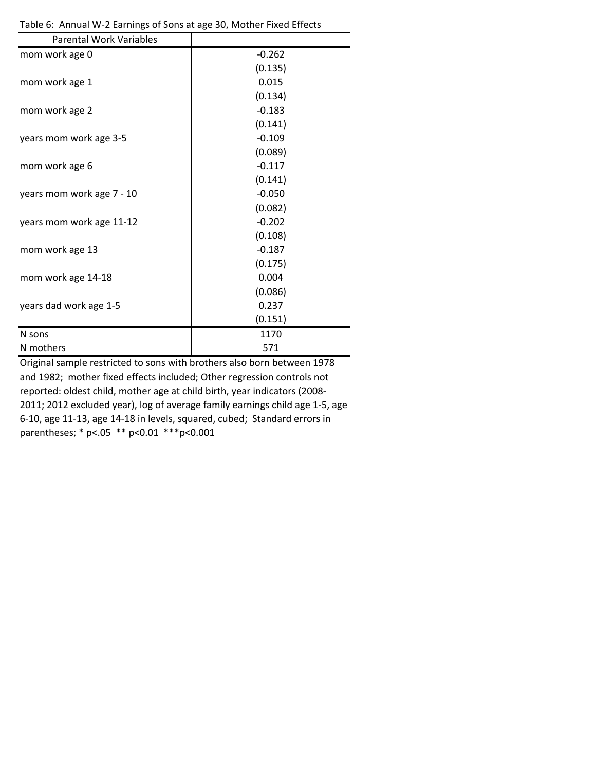| <b>Parental Work Variables</b> |          |
|--------------------------------|----------|
| mom work age 0                 | $-0.262$ |
|                                | (0.135)  |
| mom work age 1                 | 0.015    |
|                                | (0.134)  |
| mom work age 2                 | $-0.183$ |
|                                | (0.141)  |
| years mom work age 3-5         | $-0.109$ |
|                                | (0.089)  |
| mom work age 6                 | $-0.117$ |
|                                | (0.141)  |
| years mom work age 7 - 10      | $-0.050$ |
|                                | (0.082)  |
| years mom work age 11-12       | $-0.202$ |
|                                | (0.108)  |
| mom work age 13                | $-0.187$ |
|                                | (0.175)  |
| mom work age 14-18             | 0.004    |
|                                | (0.086)  |
| years dad work age 1-5         | 0.237    |
|                                | (0.151)  |
| N sons                         | 1170     |
| N mothers                      | 571      |

Table 6: Annual W‐2 Earnings of Sons at age 30, Mother Fixed Effects

Original sample restricted to sons with brothers also born between 1978 and 1982; mother fixed effects included; Other regression controls not reported: oldest child, mother age at child birth, year indicators (2008‐ 2011; 2012 excluded year), log of average family earnings child age 1‐5, age 6‐10, age 11‐13, age 14‐18 in levels, squared, cubed; Standard errors in parentheses; \* p<.05 \*\* p<0.01 \*\*\*p<0.001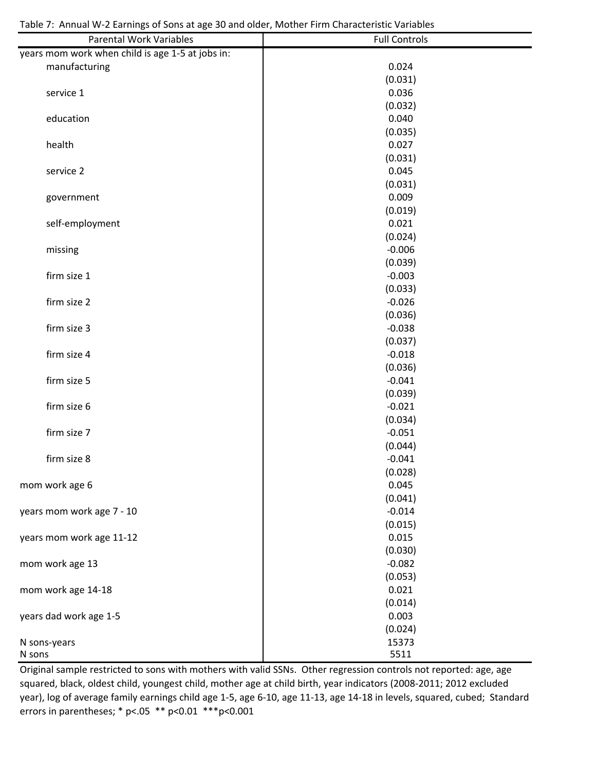| <b>Parental Work Variables</b>                   | <b>Full Controls</b> |
|--------------------------------------------------|----------------------|
| years mom work when child is age 1-5 at jobs in: |                      |
| manufacturing                                    | 0.024                |
|                                                  | (0.031)              |
| service 1                                        | 0.036                |
|                                                  | (0.032)              |
| education                                        | 0.040                |
|                                                  | (0.035)              |
| health                                           | 0.027                |
|                                                  | (0.031)              |
| service 2                                        | 0.045                |
|                                                  | (0.031)              |
| government                                       | 0.009                |
|                                                  | (0.019)              |
| self-employment                                  | 0.021                |
|                                                  | (0.024)              |
| missing                                          | $-0.006$             |
|                                                  | (0.039)              |
| firm size 1                                      | $-0.003$             |
|                                                  | (0.033)              |
| firm size 2                                      |                      |
|                                                  | $-0.026$             |
|                                                  | (0.036)              |
| firm size 3                                      | $-0.038$             |
|                                                  | (0.037)              |
| firm size 4                                      | $-0.018$             |
|                                                  | (0.036)              |
| firm size 5                                      | $-0.041$             |
|                                                  | (0.039)              |
| firm size 6                                      | $-0.021$             |
|                                                  | (0.034)              |
| firm size 7                                      | $-0.051$             |
|                                                  | (0.044)              |
| firm size 8                                      | $-0.041$             |
|                                                  | (0.028)              |
| mom work age 6                                   | 0.045                |
|                                                  | (0.041)              |
| years mom work age 7 - 10                        | $-0.014$             |
|                                                  | (0.015)              |
| years mom work age 11-12                         | 0.015                |
|                                                  | (0.030)              |
| mom work age 13                                  | $-0.082$             |
|                                                  | (0.053)              |
| mom work age 14-18                               | 0.021                |
|                                                  | (0.014)              |
| years dad work age 1-5                           | 0.003                |
|                                                  | (0.024)              |
| N sons-years                                     | 15373                |
| N sons                                           | 5511                 |

Original sample restricted to sons with mothers with valid SSNs. Other regression controls not reported: age, age squared, black, oldest child, youngest child, mother age at child birth, year indicators (2008‐2011; 2012 excluded year), log of average family earnings child age 1‐5, age 6‐10, age 11‐13, age 14‐18 in levels, squared, cubed; Standard errors in parentheses; \* p<.05 \*\* p<0.01 \*\*\* p<0.001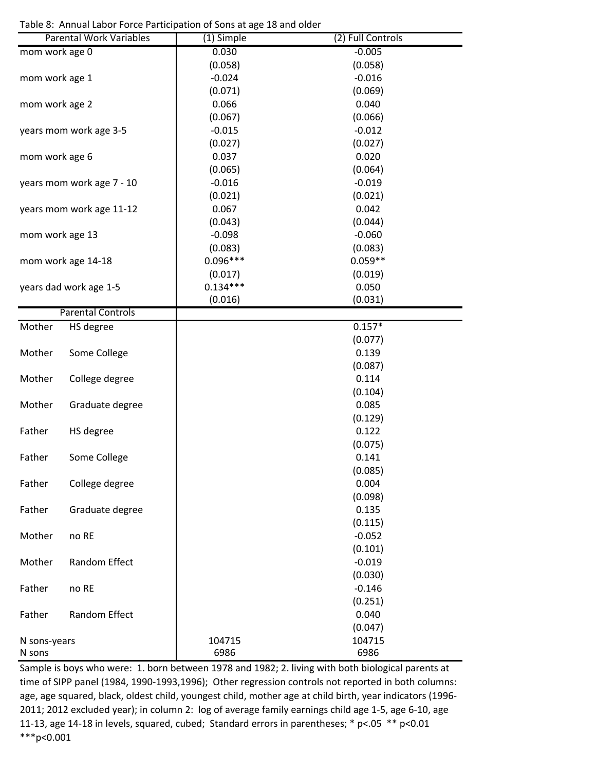Table 8: Annual Labor Force Participation of Sons at age 18 and older

|                        | <b>Parental Work Variables</b> | (1) Simple | (2) Full Controls |
|------------------------|--------------------------------|------------|-------------------|
| mom work age 0         |                                | 0.030      | $-0.005$          |
|                        |                                | (0.058)    | (0.058)           |
| mom work age 1         |                                | $-0.024$   | $-0.016$          |
|                        |                                | (0.071)    | (0.069)           |
| mom work age 2         |                                | 0.066      | 0.040             |
|                        |                                | (0.067)    | (0.066)           |
|                        | years mom work age 3-5         | $-0.015$   | $-0.012$          |
|                        |                                | (0.027)    | (0.027)           |
|                        |                                | 0.037      | 0.020             |
| mom work age 6         |                                |            |                   |
|                        |                                | (0.065)    | (0.064)           |
|                        | years mom work age 7 - 10      | $-0.016$   | $-0.019$          |
|                        |                                | (0.021)    | (0.021)           |
|                        | years mom work age 11-12       | 0.067      | 0.042             |
|                        |                                | (0.043)    | (0.044)           |
| mom work age 13        |                                | $-0.098$   | $-0.060$          |
|                        |                                | (0.083)    | (0.083)           |
|                        | mom work age 14-18             | $0.096***$ | $0.059**$         |
|                        |                                | (0.017)    | (0.019)           |
| years dad work age 1-5 |                                | $0.134***$ | 0.050             |
|                        |                                | (0.016)    | (0.031)           |
|                        | <b>Parental Controls</b>       |            |                   |
| Mother                 | HS degree                      |            | $0.157*$          |
|                        |                                |            | (0.077)           |
| Mother                 | Some College                   |            | 0.139             |
|                        |                                |            |                   |
|                        |                                |            | (0.087)           |
| Mother                 | College degree                 |            | 0.114             |
|                        |                                |            | (0.104)           |
| Mother                 | Graduate degree                |            | 0.085             |
|                        |                                |            | (0.129)           |
| Father                 | HS degree                      |            | 0.122             |
|                        |                                |            | (0.075)           |
| Father                 | Some College                   |            | 0.141             |
|                        |                                |            | (0.085)           |
| Father                 | College degree                 |            | 0.004             |
|                        |                                |            | (0.098)           |
| Father                 | Graduate degree                |            | 0.135             |
|                        |                                |            | (0.115)           |
| Mother                 | no RE                          |            | $-0.052$          |
|                        |                                |            | (0.101)           |
| Mother                 | Random Effect                  |            | $-0.019$          |
|                        |                                |            | (0.030)           |
|                        |                                |            |                   |
| Father                 | no RE                          |            | $-0.146$          |
|                        |                                |            | (0.251)           |
| Father                 | Random Effect                  |            | 0.040             |
|                        |                                |            | (0.047)           |
| N sons-years           |                                | 104715     | 104715            |
| N sons                 |                                | 6986       | 6986              |

Sample is boys who were: 1. born between 1978 and 1982; 2. living with both biological parents at time of SIPP panel (1984, 1990-1993,1996); Other regression controls not reported in both columns: age, age squared, black, oldest child, youngest child, mother age at child birth, year indicators (1996‐ 2011; 2012 excluded year); in column 2: log of average family earnings child age 1‐5, age 6‐10, age 11‐13, age 14‐18 in levels, squared, cubed; Standard errors in parentheses; \* p<.05 \*\* p<0.01 \*\*\*p<0.001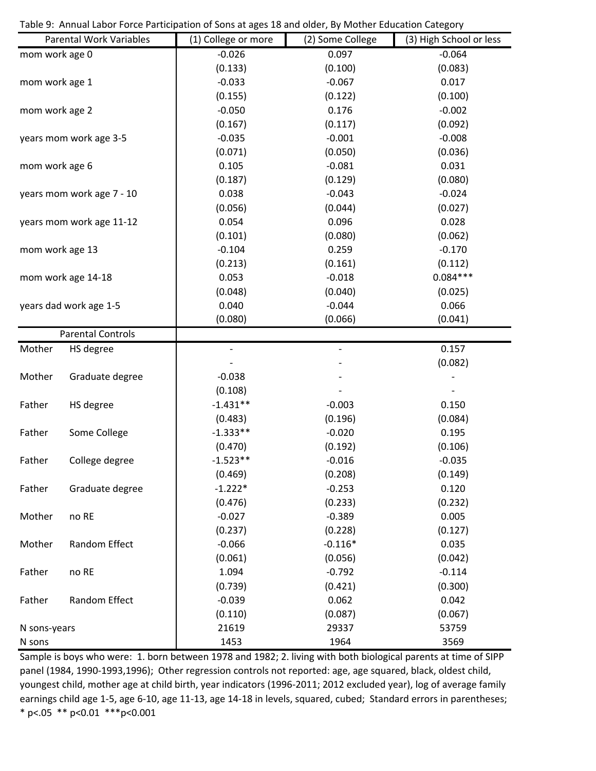Table 9: Annual Labor Force Participation of Sons at ages 18 and older, By Mother Education Category

|                 | <b>Parental Work Variables</b> | (1) College or more | (2) Some College         | (3) High School or less |
|-----------------|--------------------------------|---------------------|--------------------------|-------------------------|
| mom work age 0  |                                | $-0.026$            | 0.097                    | $-0.064$                |
|                 |                                | (0.133)             | (0.100)                  | (0.083)                 |
| mom work age 1  |                                | $-0.033$            | $-0.067$                 | 0.017                   |
|                 |                                | (0.155)             | (0.122)                  | (0.100)                 |
| mom work age 2  |                                | $-0.050$            | 0.176                    | $-0.002$                |
|                 |                                | (0.167)             | (0.117)                  | (0.092)                 |
|                 | years mom work age 3-5         | $-0.035$            | $-0.001$                 | $-0.008$                |
|                 |                                | (0.071)             | (0.050)                  | (0.036)                 |
| mom work age 6  |                                | 0.105               | $-0.081$                 | 0.031                   |
|                 |                                | (0.187)             | (0.129)                  | (0.080)                 |
|                 | years mom work age 7 - 10      | 0.038               | $-0.043$                 | $-0.024$                |
|                 |                                | (0.056)             | (0.044)                  | (0.027)                 |
|                 | years mom work age 11-12       | 0.054               | 0.096                    | 0.028                   |
|                 |                                | (0.101)             | (0.080)                  | (0.062)                 |
| mom work age 13 |                                | $-0.104$            | 0.259                    | $-0.170$                |
|                 |                                | (0.213)             | (0.161)                  | (0.112)                 |
|                 | mom work age 14-18             | 0.053               | $-0.018$                 | $0.084***$              |
|                 |                                | (0.048)             | (0.040)                  | (0.025)                 |
|                 | years dad work age 1-5         | 0.040               | $-0.044$                 | 0.066                   |
|                 |                                | (0.080)             | (0.066)                  | (0.041)                 |
|                 | <b>Parental Controls</b>       |                     |                          |                         |
| Mother          | HS degree                      | $\qquad \qquad -$   | $\overline{\phantom{0}}$ | 0.157                   |
|                 |                                |                     |                          | (0.082)                 |
| Mother          | Graduate degree                | $-0.038$            |                          |                         |
|                 |                                | (0.108)             |                          |                         |
| Father          | HS degree                      | $-1.431**$          | $-0.003$                 | 0.150                   |
|                 |                                | (0.483)             | (0.196)                  | (0.084)                 |
| Father          | Some College                   | $-1.333**$          | $-0.020$                 | 0.195                   |
|                 |                                | (0.470)             | (0.192)                  | (0.106)                 |
| Father          | College degree                 | $-1.523**$          | $-0.016$                 | $-0.035$                |
|                 |                                | (0.469)             | (0.208)                  | (0.149)                 |
| Father          | Graduate degree                | $-1.222*$           | $-0.253$                 | 0.120                   |
|                 |                                | (0.476)             | (0.233)                  | (0.232)                 |
| Mother          | no RE                          | $-0.027$            | $-0.389$                 | 0.005                   |
|                 |                                | (0.237)             | (0.228)                  | (0.127)                 |
| Mother          | Random Effect                  | $-0.066$            | $-0.116*$                | 0.035                   |
|                 |                                | (0.061)             | (0.056)                  | (0.042)                 |
| Father          | no RE                          | 1.094               | $-0.792$                 | $-0.114$                |
|                 |                                | (0.739)             | (0.421)                  | (0.300)                 |
| Father          | Random Effect                  | $-0.039$            | 0.062                    | 0.042                   |
|                 |                                | (0.110)             | (0.087)                  | (0.067)                 |
| N sons-years    |                                | 21619               | 29337                    | 53759                   |
| N sons          |                                | 1453                | 1964                     | 3569                    |

Sample is boys who were: 1. born between 1978 and 1982; 2. living with both biological parents at time of SIPP panel (1984, 1990-1993,1996); Other regression controls not reported: age, age squared, black, oldest child, youngest child, mother age at child birth, year indicators (1996‐2011; 2012 excluded year), log of average family earnings child age 1‐5, age 6‐10, age 11‐13, age 14‐18 in levels, squared, cubed; Standard errors in parentheses; \* p<.05 \*\* p<0.01 \*\*\*p<0.001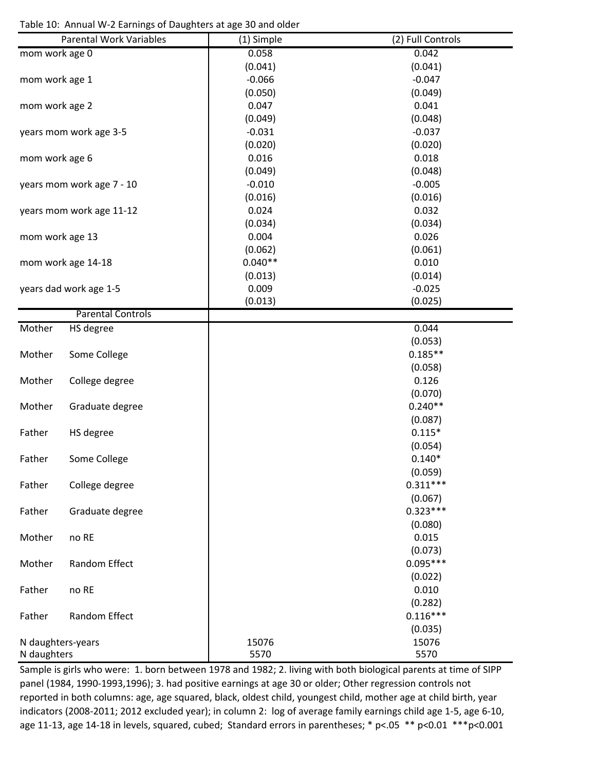Table 10: Annual W‐2 Earnings of Daughters at age 30 and older

|                   | <b>Parental Work Variables</b> | (1) Simple | (2) Full Controls |
|-------------------|--------------------------------|------------|-------------------|
| mom work age 0    |                                | 0.058      | 0.042             |
|                   |                                | (0.041)    | (0.041)           |
| mom work age 1    |                                | $-0.066$   | $-0.047$          |
|                   |                                | (0.050)    | (0.049)           |
| mom work age 2    |                                | 0.047      | 0.041             |
|                   |                                | (0.049)    | (0.048)           |
|                   | years mom work age 3-5         | $-0.031$   | $-0.037$          |
|                   |                                | (0.020)    | (0.020)           |
| mom work age 6    |                                | 0.016      | 0.018             |
|                   |                                | (0.049)    | (0.048)           |
|                   | years mom work age 7 - 10      | $-0.010$   | $-0.005$          |
|                   |                                | (0.016)    | (0.016)           |
|                   | years mom work age 11-12       | 0.024      | 0.032             |
|                   |                                | (0.034)    | (0.034)           |
|                   |                                | 0.004      | 0.026             |
| mom work age 13   |                                | (0.062)    | (0.061)           |
|                   | mom work age 14-18             | $0.040**$  | 0.010             |
|                   |                                | (0.013)    | (0.014)           |
|                   |                                | 0.009      |                   |
|                   | years dad work age 1-5         |            | $-0.025$          |
|                   | <b>Parental Controls</b>       | (0.013)    | (0.025)           |
| Mother            |                                |            | 0.044             |
|                   | HS degree                      |            |                   |
|                   |                                |            | (0.053)           |
| Mother            | Some College                   |            | $0.185**$         |
|                   |                                |            | (0.058)           |
| Mother            | College degree                 |            | 0.126             |
|                   |                                |            | (0.070)           |
| Mother            | Graduate degree                |            | $0.240**$         |
|                   |                                |            | (0.087)           |
| Father            | HS degree                      |            | $0.115*$          |
|                   |                                |            | (0.054)           |
| Father            | Some College                   |            | $0.140*$          |
|                   |                                |            | (0.059)           |
| Father            | College degree                 |            | $0.311***$        |
|                   |                                |            | (0.067)           |
| Father            | Graduate degree                |            | $0.323***$        |
|                   |                                |            | (0.080)           |
| Mother            | no RE                          |            | 0.015             |
|                   |                                |            | (0.073)           |
| Mother            | Random Effect                  |            | $0.095***$        |
|                   |                                |            | (0.022)           |
| Father            | no RE                          |            | 0.010             |
|                   |                                |            | (0.282)           |
| Father            | Random Effect                  |            | $0.116***$        |
|                   |                                |            | (0.035)           |
| N daughters-years |                                | 15076      | 15076             |
| N daughters       |                                | 5570       | 5570              |

Sample is girls who were: 1. born between 1978 and 1982; 2. living with both biological parents at time of SIPP panel (1984, 1990-1993,1996); 3. had positive earnings at age 30 or older; Other regression controls not reported in both columns: age, age squared, black, oldest child, youngest child, mother age at child birth, year indicators (2008‐2011; 2012 excluded year); in column 2: log of average family earnings child age 1‐5, age 6‐10, age 11-13, age 14-18 in levels, squared, cubed; Standard errors in parentheses; \* p<.05 \*\* p<0.01 \*\*\* p<0.001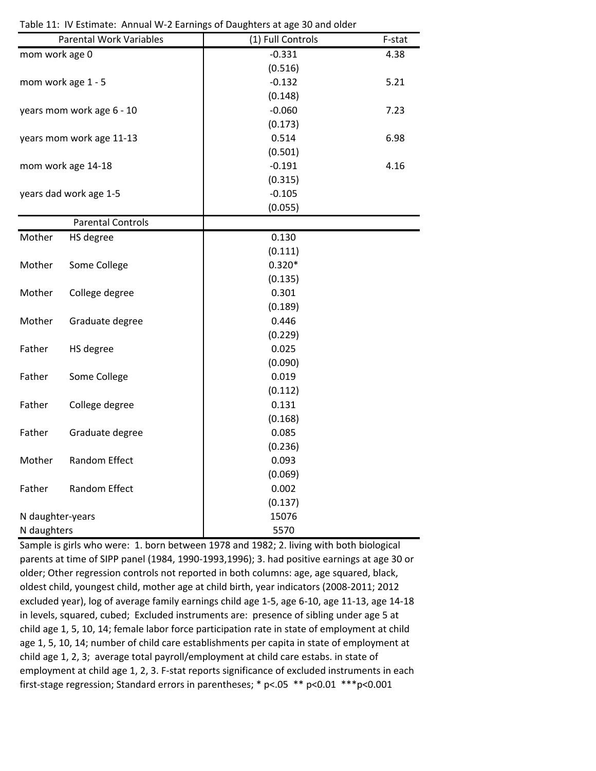|                  | <b>Parental Work Variables</b> | (1) Full Controls | F-stat |
|------------------|--------------------------------|-------------------|--------|
| mom work age 0   |                                | $-0.331$          | 4.38   |
|                  |                                | (0.516)           |        |
|                  | mom work age 1 - 5             | $-0.132$          | 5.21   |
|                  |                                | (0.148)           |        |
|                  | years mom work age 6 - 10      | $-0.060$          | 7.23   |
|                  |                                | (0.173)           |        |
|                  | years mom work age 11-13       | 0.514             | 6.98   |
|                  |                                | (0.501)           |        |
|                  | mom work age 14-18             | $-0.191$          | 4.16   |
|                  |                                | (0.315)           |        |
|                  | years dad work age 1-5         | $-0.105$          |        |
|                  |                                | (0.055)           |        |
|                  | <b>Parental Controls</b>       |                   |        |
| Mother           | HS degree                      | 0.130             |        |
|                  |                                | (0.111)           |        |
| Mother           | Some College                   | $0.320*$          |        |
|                  |                                | (0.135)           |        |
| Mother           | College degree                 | 0.301             |        |
|                  |                                | (0.189)           |        |
| Mother           | Graduate degree                | 0.446             |        |
|                  |                                | (0.229)           |        |
| Father           | HS degree                      | 0.025             |        |
|                  |                                | (0.090)           |        |
| Father           | Some College                   | 0.019             |        |
|                  |                                | (0.112)           |        |
| Father           | College degree                 | 0.131             |        |
|                  |                                | (0.168)           |        |
| Father           | Graduate degree                | 0.085             |        |
|                  |                                | (0.236)           |        |
| Mother           | Random Effect                  | 0.093             |        |
|                  |                                | (0.069)           |        |
| Father           | <b>Random Effect</b>           | 0.002             |        |
|                  |                                | (0.137)           |        |
| N daughter-years |                                | 15076             |        |
| N daughters      |                                | 5570              |        |

Sample is girls who were: 1. born between 1978 and 1982; 2. living with both biological parents at time of SIPP panel (1984, 1990‐1993,1996); 3. had positive earnings at age 30 or older; Other regression controls not reported in both columns: age, age squared, black, oldest child, youngest child, mother age at child birth, year indicators (2008‐2011; 2012 excluded year), log of average family earnings child age 1‐5, age 6‐10, age 11‐13, age 14‐18 in levels, squared, cubed; Excluded instruments are: presence of sibling under age 5 at child age 1, 5, 10, 14; female labor force participation rate in state of employment at child age 1, 5, 10, 14; number of child care establishments per capita in state of employment at child age 1, 2, 3; average total payroll/employment at child care estabs. in state of employment at child age 1, 2, 3. F-stat reports significance of excluded instruments in each first‐stage regression; Standard errors in parentheses; \* p<.05 \*\* p<0.01 \*\*\*p<0.001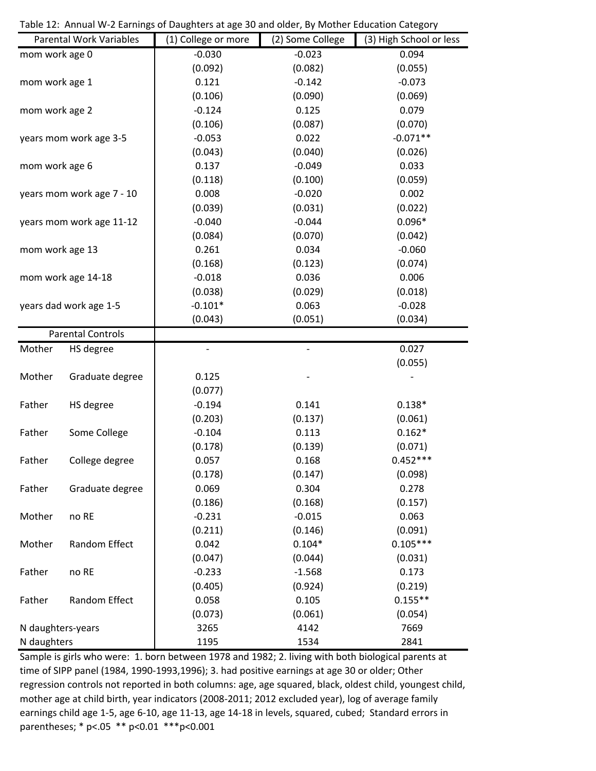|                          | <b>Parental Work Variables</b> | (1) College or more | (2) Some College | (3) High School or less |
|--------------------------|--------------------------------|---------------------|------------------|-------------------------|
| mom work age 0           |                                | $-0.030$            | $-0.023$         | 0.094                   |
|                          |                                | (0.092)             | (0.082)          | (0.055)                 |
| mom work age 1           |                                | 0.121               | $-0.142$         | $-0.073$                |
|                          |                                | (0.106)             | (0.090)          | (0.069)                 |
| mom work age 2           |                                | $-0.124$            | 0.125            | 0.079                   |
|                          |                                | (0.106)             | (0.087)          | (0.070)                 |
|                          | years mom work age 3-5         | $-0.053$            | 0.022            | $-0.071**$              |
|                          |                                | (0.043)             | (0.040)          | (0.026)                 |
| mom work age 6           |                                | 0.137               | $-0.049$         | 0.033                   |
|                          |                                | (0.118)             | (0.100)          | (0.059)                 |
|                          | years mom work age 7 - 10      | 0.008               | $-0.020$         | 0.002                   |
|                          |                                | (0.039)             | (0.031)          | (0.022)                 |
|                          | years mom work age 11-12       | $-0.040$            | $-0.044$         | $0.096*$                |
|                          |                                | (0.084)             | (0.070)          | (0.042)                 |
| mom work age 13          |                                | 0.261               | 0.034            | $-0.060$                |
|                          |                                | (0.168)             | (0.123)          | (0.074)                 |
|                          | mom work age 14-18             | $-0.018$            | 0.036            | 0.006                   |
|                          |                                | (0.038)             | (0.029)          | (0.018)                 |
| years dad work age 1-5   |                                | $-0.101*$           | 0.063            | $-0.028$                |
|                          |                                | (0.043)             | (0.051)          | (0.034)                 |
| <b>Parental Controls</b> |                                |                     |                  |                         |
| Mother                   | HS degree                      |                     |                  | 0.027                   |
|                          |                                |                     |                  | (0.055)                 |
| Mother                   | Graduate degree                | 0.125               |                  |                         |
|                          |                                | (0.077)             |                  |                         |
| Father                   | HS degree                      | $-0.194$            | 0.141            | $0.138*$                |
|                          |                                | (0.203)             | (0.137)          | (0.061)                 |
| Father                   | Some College                   | $-0.104$            | 0.113            | $0.162*$                |
|                          |                                | (0.178)             | (0.139)          | (0.071)                 |
| Father                   | College degree                 | 0.057               | 0.168            | $0.452***$              |
|                          |                                | (0.178)             | (0.147)          | (0.098)                 |
| Father                   | Graduate degree                | 0.069               | 0.304            | 0.278                   |
|                          |                                | (0.186)             | (0.168)          | (0.157)                 |
| Mother                   | no RE                          | $-0.231$            | $-0.015$         | 0.063                   |
|                          |                                | (0.211)             | (0.146)          | (0.091)                 |
| Mother                   | Random Effect                  | 0.042               | $0.104*$         | $0.105***$              |
|                          |                                | (0.047)             | (0.044)          | (0.031)                 |
| Father                   | no RE                          | $-0.233$            | $-1.568$         | 0.173                   |
|                          |                                | (0.405)             | (0.924)          | (0.219)                 |
| Father                   | Random Effect                  | 0.058               | 0.105            | $0.155**$               |
|                          |                                | (0.073)             | (0.061)          | (0.054)                 |
| N daughters-years        |                                | 3265                | 4142             | 7669                    |
| N daughters              |                                | 1195                | 1534             | 2841                    |

Table 12: Annual W‐2 Earnings of Daughters at age 30 and older, By Mother Education Category

Sample is girls who were: 1. born between 1978 and 1982; 2. living with both biological parents at time of SIPP panel (1984, 1990-1993,1996); 3. had positive earnings at age 30 or older; Other regression controls not reported in both columns: age, age squared, black, oldest child, youngest child, mother age at child birth, year indicators (2008‐2011; 2012 excluded year), log of average family earnings child age 1‐5, age 6‐10, age 11‐13, age 14‐18 in levels, squared, cubed; Standard errors in parentheses; \* p<.05 \*\* p<0.01 \*\*\*p<0.001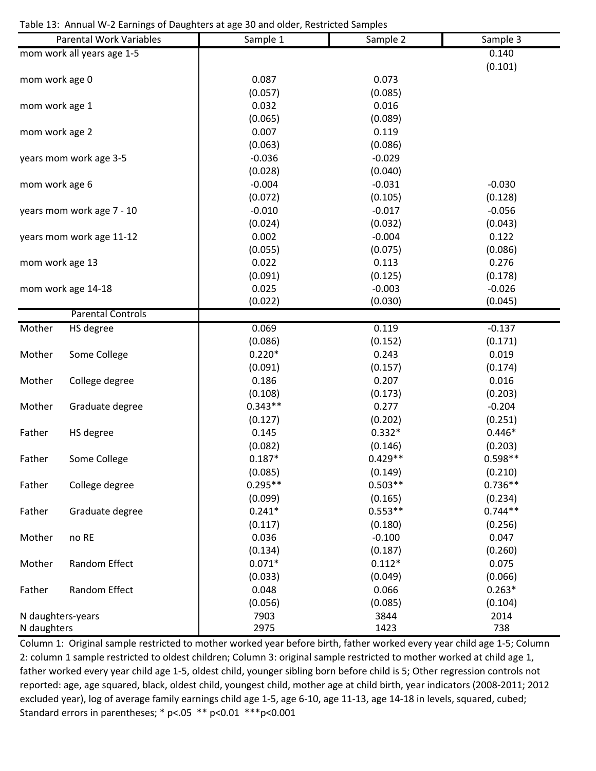Table 13: Annual W‐2 Earnings of Daughters at age 30 and older, Restricted Samples

|                   | <b>Parental Work Variables</b> | Sample 1  | Sample 2  | Sample 3  |
|-------------------|--------------------------------|-----------|-----------|-----------|
|                   | mom work all years age 1-5     |           |           | 0.140     |
|                   |                                |           |           | (0.101)   |
| mom work age 0    |                                | 0.087     | 0.073     |           |
|                   |                                | (0.057)   | (0.085)   |           |
| mom work age 1    |                                | 0.032     | 0.016     |           |
|                   |                                | (0.065)   | (0.089)   |           |
| mom work age 2    |                                | 0.007     | 0.119     |           |
|                   |                                | (0.063)   | (0.086)   |           |
|                   | years mom work age 3-5         | $-0.036$  | $-0.029$  |           |
|                   |                                | (0.028)   | (0.040)   |           |
| mom work age 6    |                                | $-0.004$  | $-0.031$  | $-0.030$  |
|                   |                                | (0.072)   | (0.105)   | (0.128)   |
|                   | years mom work age 7 - 10      | $-0.010$  | $-0.017$  | $-0.056$  |
|                   |                                | (0.024)   | (0.032)   | (0.043)   |
|                   | years mom work age 11-12       | 0.002     | $-0.004$  | 0.122     |
|                   |                                | (0.055)   | (0.075)   | (0.086)   |
| mom work age 13   |                                | 0.022     | 0.113     | 0.276     |
|                   |                                | (0.091)   | (0.125)   | (0.178)   |
|                   | mom work age 14-18             | 0.025     | $-0.003$  | $-0.026$  |
|                   |                                | (0.022)   | (0.030)   | (0.045)   |
|                   | <b>Parental Controls</b>       |           |           |           |
| Mother            | HS degree                      | 0.069     | 0.119     | $-0.137$  |
|                   |                                | (0.086)   | (0.152)   | (0.171)   |
| Mother            | Some College                   | $0.220*$  | 0.243     | 0.019     |
|                   |                                | (0.091)   | (0.157)   | (0.174)   |
| Mother            | College degree                 | 0.186     | 0.207     | 0.016     |
|                   |                                | (0.108)   | (0.173)   | (0.203)   |
| Mother            | Graduate degree                | $0.343**$ | 0.277     | $-0.204$  |
|                   |                                | (0.127)   | (0.202)   | (0.251)   |
| Father            | HS degree                      | 0.145     | $0.332*$  | $0.446*$  |
|                   |                                | (0.082)   | (0.146)   | (0.203)   |
| Father            | Some College                   | $0.187*$  | $0.429**$ | $0.598**$ |
|                   |                                | (0.085)   | (0.149)   | (0.210)   |
| Father            | College degree                 | $0.295**$ | $0.503**$ | $0.736**$ |
|                   |                                | (0.099)   | (0.165)   | (0.234)   |
| Father            | Graduate degree                | $0.241*$  | $0.553**$ | $0.744**$ |
|                   |                                | (0.117)   | (0.180)   | (0.256)   |
| Mother            | no RE                          | 0.036     | $-0.100$  | 0.047     |
|                   |                                | (0.134)   | (0.187)   | (0.260)   |
| Mother            | Random Effect                  | $0.071*$  | $0.112*$  | 0.075     |
|                   |                                | (0.033)   | (0.049)   | (0.066)   |
| Father            | Random Effect                  | 0.048     | 0.066     | $0.263*$  |
|                   |                                | (0.056)   | (0.085)   | (0.104)   |
| N daughters-years |                                | 7903      | 3844      | 2014      |
| N daughters       |                                | 2975      | 1423      | 738       |

Column 1: Original sample restricted to mother worked year before birth, father worked every year child age 1‐5; Column 2: column 1 sample restricted to oldest children; Column 3: original sample restricted to mother worked at child age 1, father worked every year child age 1‐5, oldest child, younger sibling born before child is 5; Other regression controls not reported: age, age squared, black, oldest child, youngest child, mother age at child birth, year indicators (2008‐2011; 2012 excluded year), log of average family earnings child age 1‐5, age 6‐10, age 11‐13, age 14‐18 in levels, squared, cubed; Standard errors in parentheses; \* p<.05 \*\* p<0.01 \*\*\*p<0.001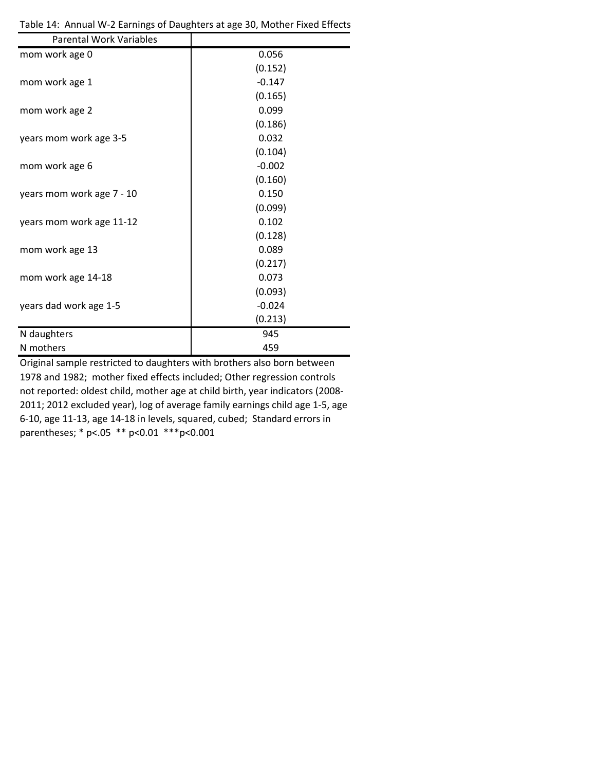| <b>Parental Work Variables</b> |          |
|--------------------------------|----------|
| mom work age 0                 | 0.056    |
|                                | (0.152)  |
| mom work age 1                 | $-0.147$ |
|                                | (0.165)  |
| mom work age 2                 | 0.099    |
|                                | (0.186)  |
| years mom work age 3-5         | 0.032    |
|                                | (0.104)  |
| mom work age 6                 | $-0.002$ |
|                                | (0.160)  |
| years mom work age 7 - 10      | 0.150    |
|                                | (0.099)  |
| years mom work age 11-12       | 0.102    |
|                                | (0.128)  |
| mom work age 13                | 0.089    |
|                                | (0.217)  |
| mom work age 14-18             | 0.073    |
|                                | (0.093)  |
| years dad work age 1-5         | $-0.024$ |
|                                | (0.213)  |
| N daughters                    | 945      |
| N mothers                      | 459      |

Table 14: Annual W‐2 Earnings of Daughters at age 30, Mother Fixed Effects

Original sample restricted to daughters with brothers also born between 1978 and 1982; mother fixed effects included; Other regression controls not reported: oldest child, mother age at child birth, year indicators (2008‐ 2011; 2012 excluded year), log of average family earnings child age 1‐5, age 6‐10, age 11‐13, age 14‐18 in levels, squared, cubed; Standard errors in parentheses; \* p<.05 \*\* p<0.01 \*\*\*p<0.001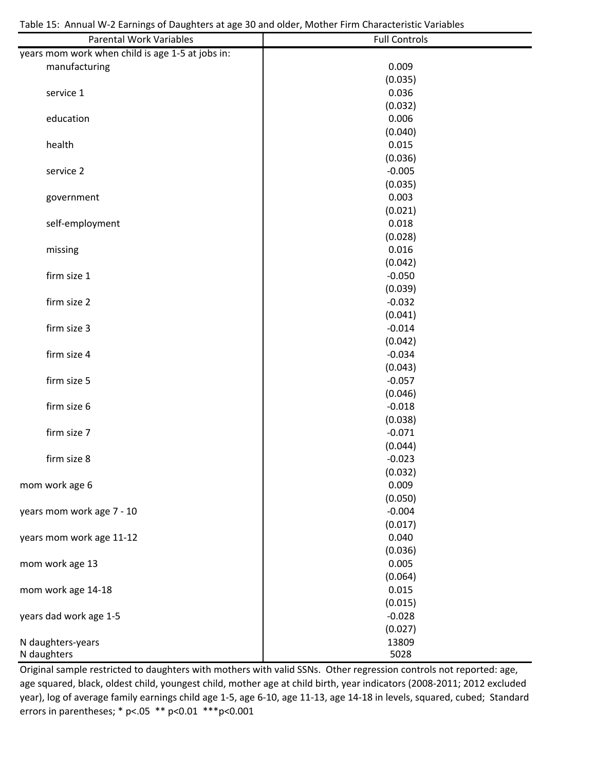| <b>Parental Work Variables</b>                   | <b>Full Controls</b> |
|--------------------------------------------------|----------------------|
| years mom work when child is age 1-5 at jobs in: |                      |
| manufacturing                                    | 0.009                |
|                                                  | (0.035)              |
| service 1                                        | 0.036                |
|                                                  | (0.032)              |
| education                                        | 0.006                |
|                                                  | (0.040)              |
| health                                           | 0.015                |
|                                                  | (0.036)              |
| service 2                                        | $-0.005$             |
|                                                  | (0.035)              |
| government                                       | 0.003                |
|                                                  | (0.021)              |
| self-employment                                  | 0.018                |
|                                                  | (0.028)              |
| missing                                          | 0.016                |
|                                                  | (0.042)              |
| firm size 1                                      | $-0.050$             |
|                                                  | (0.039)              |
| firm size 2                                      | $-0.032$             |
|                                                  | (0.041)              |
| firm size 3                                      | $-0.014$             |
|                                                  | (0.042)              |
| firm size 4                                      | $-0.034$             |
|                                                  | (0.043)              |
| firm size 5                                      | $-0.057$             |
|                                                  | (0.046)              |
| firm size 6                                      | $-0.018$             |
|                                                  | (0.038)              |
| firm size 7                                      | $-0.071$             |
|                                                  | (0.044)              |
| firm size 8                                      | $-0.023$             |
|                                                  | (0.032)              |
| mom work age 6                                   | 0.009                |
|                                                  | (0.050)              |
| years mom work age 7 - 10                        | $-0.004$             |
|                                                  | (0.017)              |
| years mom work age 11-12                         | 0.040                |
|                                                  | (0.036)              |
| mom work age 13                                  | 0.005                |
|                                                  | (0.064)              |
| mom work age 14-18                               | 0.015                |
|                                                  | (0.015)              |
| years dad work age 1-5                           | $-0.028$             |
|                                                  | (0.027)              |
|                                                  | 13809                |
| N daughters-years<br>N daughters                 | 5028                 |
|                                                  |                      |

Original sample restricted to daughters with mothers with valid SSNs. Other regression controls not reported: age, age squared, black, oldest child, youngest child, mother age at child birth, year indicators (2008‐2011; 2012 excluded year), log of average family earnings child age 1‐5, age 6‐10, age 11‐13, age 14‐18 in levels, squared, cubed; Standard errors in parentheses; \* p<.05 \*\* p<0.01 \*\*\*p<0.001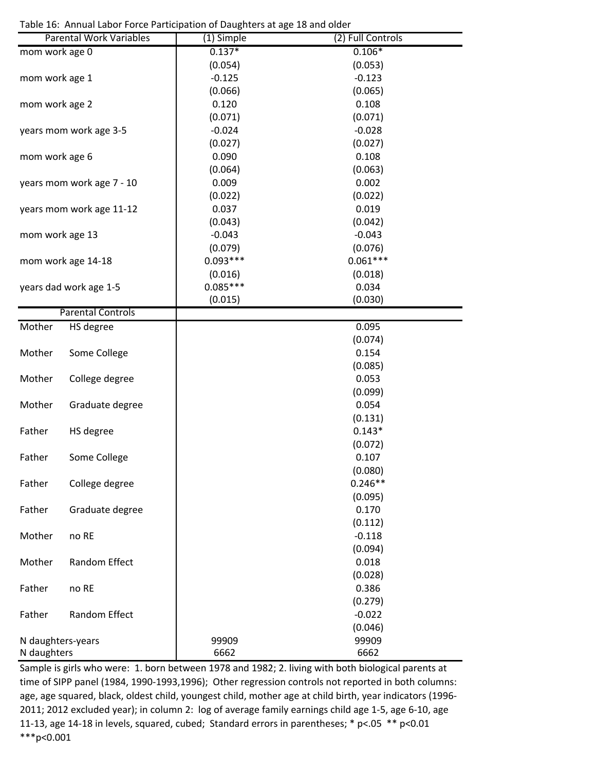Table 16: Annual Labor Force Participation of Daughters at age 18 and older

| $0.137*$<br>$0.106*$<br>mom work age 0<br>(0.054)<br>(0.053)<br>$-0.125$<br>$-0.123$<br>mom work age 1<br>(0.066)<br>(0.065)<br>0.120<br>0.108<br>mom work age 2<br>(0.071)<br>(0.071)<br>$-0.024$<br>$-0.028$<br>years mom work age 3-5<br>(0.027)<br>(0.027) |  |
|----------------------------------------------------------------------------------------------------------------------------------------------------------------------------------------------------------------------------------------------------------------|--|
|                                                                                                                                                                                                                                                                |  |
|                                                                                                                                                                                                                                                                |  |
|                                                                                                                                                                                                                                                                |  |
|                                                                                                                                                                                                                                                                |  |
|                                                                                                                                                                                                                                                                |  |
|                                                                                                                                                                                                                                                                |  |
|                                                                                                                                                                                                                                                                |  |
|                                                                                                                                                                                                                                                                |  |
| 0.090<br>0.108<br>mom work age 6                                                                                                                                                                                                                               |  |
| (0.064)<br>(0.063)                                                                                                                                                                                                                                             |  |
| 0.009<br>0.002<br>years mom work age 7 - 10                                                                                                                                                                                                                    |  |
| (0.022)<br>(0.022)                                                                                                                                                                                                                                             |  |
| 0.037<br>0.019<br>years mom work age 11-12                                                                                                                                                                                                                     |  |
| (0.043)<br>(0.042)                                                                                                                                                                                                                                             |  |
| $-0.043$<br>$-0.043$<br>mom work age 13                                                                                                                                                                                                                        |  |
| (0.079)<br>(0.076)                                                                                                                                                                                                                                             |  |
| $0.093***$<br>$0.061***$<br>mom work age 14-18                                                                                                                                                                                                                 |  |
|                                                                                                                                                                                                                                                                |  |
| (0.016)<br>(0.018)<br>$0.085***$                                                                                                                                                                                                                               |  |
| 0.034<br>years dad work age 1-5                                                                                                                                                                                                                                |  |
| (0.015)<br>(0.030)<br><b>Parental Controls</b>                                                                                                                                                                                                                 |  |
| Mother<br>0.095                                                                                                                                                                                                                                                |  |
| HS degree                                                                                                                                                                                                                                                      |  |
| (0.074)                                                                                                                                                                                                                                                        |  |
| 0.154<br>Mother<br>Some College                                                                                                                                                                                                                                |  |
| (0.085)                                                                                                                                                                                                                                                        |  |
| Mother<br>0.053<br>College degree                                                                                                                                                                                                                              |  |
| (0.099)                                                                                                                                                                                                                                                        |  |
| 0.054<br>Mother<br>Graduate degree                                                                                                                                                                                                                             |  |
| (0.131)                                                                                                                                                                                                                                                        |  |
| $0.143*$<br>Father<br>HS degree                                                                                                                                                                                                                                |  |
| (0.072)                                                                                                                                                                                                                                                        |  |
| 0.107<br>Father<br>Some College                                                                                                                                                                                                                                |  |
| (0.080)                                                                                                                                                                                                                                                        |  |
| $0.246**$<br>College degree<br>Father                                                                                                                                                                                                                          |  |
| (0.095)                                                                                                                                                                                                                                                        |  |
| Father<br>Graduate degree<br>0.170                                                                                                                                                                                                                             |  |
| (0.112)                                                                                                                                                                                                                                                        |  |
| $-0.118$<br>no RE<br>Mother                                                                                                                                                                                                                                    |  |
| (0.094)                                                                                                                                                                                                                                                        |  |
| Mother<br>Random Effect<br>0.018                                                                                                                                                                                                                               |  |
| (0.028)                                                                                                                                                                                                                                                        |  |
| 0.386<br>Father<br>no RE                                                                                                                                                                                                                                       |  |
| (0.279)                                                                                                                                                                                                                                                        |  |
| Random Effect<br>$-0.022$<br>Father                                                                                                                                                                                                                            |  |
| (0.046)                                                                                                                                                                                                                                                        |  |
| 99909<br>99909<br>N daughters-years                                                                                                                                                                                                                            |  |
| 6662<br>6662<br>N daughters                                                                                                                                                                                                                                    |  |

Sample is girls who were: 1. born between 1978 and 1982; 2. living with both biological parents at time of SIPP panel (1984, 1990-1993,1996); Other regression controls not reported in both columns: age, age squared, black, oldest child, youngest child, mother age at child birth, year indicators (1996‐ 2011; 2012 excluded year); in column 2: log of average family earnings child age 1‐5, age 6‐10, age 11‐13, age 14‐18 in levels, squared, cubed; Standard errors in parentheses; \* p<.05 \*\* p<0.01 \*\*\*p<0.001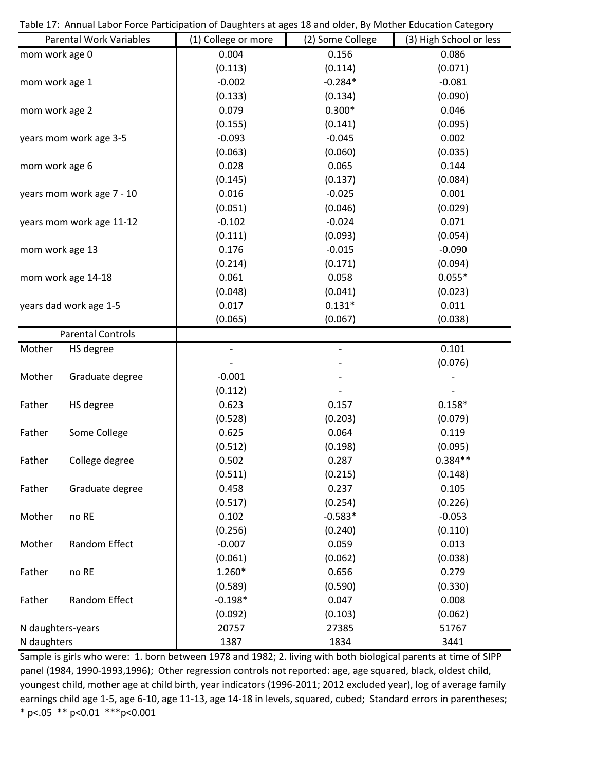Table 17: Annual Labor Force Participation of Daughters at ages 18 and older, By Mother Education Category

|                                                                                                                                                                                                                                                                                                                                                                     |                 | (1) College or more          | (2) Some College             | (3) High School or less |
|---------------------------------------------------------------------------------------------------------------------------------------------------------------------------------------------------------------------------------------------------------------------------------------------------------------------------------------------------------------------|-----------------|------------------------------|------------------------------|-------------------------|
|                                                                                                                                                                                                                                                                                                                                                                     |                 | 0.004                        | 0.156                        | 0.086                   |
|                                                                                                                                                                                                                                                                                                                                                                     |                 | (0.113)                      | (0.114)                      | (0.071)                 |
| <b>Parental Work Variables</b><br>mom work age 0<br>mom work age 1<br>mom work age 2<br>years mom work age 3-5<br>mom work age 6<br>years mom work age 7 - 10<br>years mom work age 11-12<br>mom work age 13<br>mom work age 14-18<br>years dad work age 1-5<br><b>Parental Controls</b><br>Mother<br>HS degree<br>Mother<br>Graduate degree<br>Father<br>HS degree |                 | $-0.002$                     | $-0.284*$                    | $-0.081$                |
|                                                                                                                                                                                                                                                                                                                                                                     |                 | (0.133)                      | (0.134)                      | (0.090)                 |
|                                                                                                                                                                                                                                                                                                                                                                     |                 | 0.079                        | $0.300*$                     | 0.046                   |
|                                                                                                                                                                                                                                                                                                                                                                     |                 | (0.155)                      | (0.141)                      | (0.095)                 |
|                                                                                                                                                                                                                                                                                                                                                                     |                 | $-0.093$                     | $-0.045$                     | 0.002                   |
|                                                                                                                                                                                                                                                                                                                                                                     |                 | (0.063)                      | (0.060)                      | (0.035)                 |
|                                                                                                                                                                                                                                                                                                                                                                     |                 | 0.028                        | 0.065                        | 0.144                   |
|                                                                                                                                                                                                                                                                                                                                                                     |                 | (0.145)                      | (0.137)                      | (0.084)                 |
|                                                                                                                                                                                                                                                                                                                                                                     |                 | 0.016                        | $-0.025$                     | 0.001                   |
|                                                                                                                                                                                                                                                                                                                                                                     |                 | (0.051)                      | (0.046)                      | (0.029)                 |
|                                                                                                                                                                                                                                                                                                                                                                     |                 | $-0.102$                     | $-0.024$                     | 0.071                   |
|                                                                                                                                                                                                                                                                                                                                                                     |                 | (0.111)                      | (0.093)                      | (0.054)                 |
|                                                                                                                                                                                                                                                                                                                                                                     |                 | 0.176                        | $-0.015$                     | $-0.090$                |
|                                                                                                                                                                                                                                                                                                                                                                     |                 | (0.214)                      | (0.171)                      | (0.094)                 |
|                                                                                                                                                                                                                                                                                                                                                                     |                 | 0.061                        | 0.058                        | $0.055*$                |
|                                                                                                                                                                                                                                                                                                                                                                     |                 | (0.048)                      | (0.041)                      | (0.023)                 |
|                                                                                                                                                                                                                                                                                                                                                                     |                 | 0.017                        | $0.131*$                     | 0.011                   |
|                                                                                                                                                                                                                                                                                                                                                                     |                 | (0.065)                      | (0.067)                      | (0.038)                 |
|                                                                                                                                                                                                                                                                                                                                                                     |                 |                              |                              |                         |
|                                                                                                                                                                                                                                                                                                                                                                     |                 | $\qquad \qquad \blacksquare$ | $\qquad \qquad \blacksquare$ | 0.101                   |
|                                                                                                                                                                                                                                                                                                                                                                     |                 |                              |                              | (0.076)                 |
|                                                                                                                                                                                                                                                                                                                                                                     |                 | $-0.001$                     |                              |                         |
|                                                                                                                                                                                                                                                                                                                                                                     |                 | (0.112)                      |                              |                         |
|                                                                                                                                                                                                                                                                                                                                                                     |                 | 0.623                        | 0.157                        | $0.158*$                |
|                                                                                                                                                                                                                                                                                                                                                                     |                 | (0.528)                      | (0.203)                      | (0.079)                 |
| Father                                                                                                                                                                                                                                                                                                                                                              | Some College    | 0.625                        | 0.064                        | 0.119                   |
|                                                                                                                                                                                                                                                                                                                                                                     |                 | (0.512)                      | (0.198)                      | (0.095)                 |
| Father                                                                                                                                                                                                                                                                                                                                                              | College degree  | 0.502                        | 0.287                        | $0.384**$               |
|                                                                                                                                                                                                                                                                                                                                                                     |                 | (0.511)                      | (0.215)                      | (0.148)                 |
| Father                                                                                                                                                                                                                                                                                                                                                              | Graduate degree | 0.458                        | 0.237                        | 0.105                   |
|                                                                                                                                                                                                                                                                                                                                                                     |                 | (0.517)                      | (0.254)                      | (0.226)                 |
| Mother                                                                                                                                                                                                                                                                                                                                                              | no RE           | 0.102                        | $-0.583*$                    | $-0.053$                |
|                                                                                                                                                                                                                                                                                                                                                                     |                 | (0.256)                      | (0.240)                      | (0.110)                 |
| Mother                                                                                                                                                                                                                                                                                                                                                              | Random Effect   | $-0.007$                     | 0.059                        | 0.013                   |
|                                                                                                                                                                                                                                                                                                                                                                     |                 | (0.061)                      | (0.062)                      | (0.038)                 |
| Father                                                                                                                                                                                                                                                                                                                                                              | no RE           | 1.260*                       | 0.656                        | 0.279                   |
|                                                                                                                                                                                                                                                                                                                                                                     |                 | (0.589)                      | (0.590)                      | (0.330)                 |
| Father                                                                                                                                                                                                                                                                                                                                                              | Random Effect   | $-0.198*$                    | 0.047                        | 0.008                   |
|                                                                                                                                                                                                                                                                                                                                                                     |                 | (0.092)                      | (0.103)                      | (0.062)                 |
| N daughters-years                                                                                                                                                                                                                                                                                                                                                   |                 | 20757                        | 27385                        | 51767                   |
| N daughters                                                                                                                                                                                                                                                                                                                                                         |                 | 1387                         | 1834                         | 3441                    |

Sample is girls who were: 1. born between 1978 and 1982; 2. living with both biological parents at time of SIPP panel (1984, 1990-1993,1996); Other regression controls not reported: age, age squared, black, oldest child, youngest child, mother age at child birth, year indicators (1996‐2011; 2012 excluded year), log of average family earnings child age 1‐5, age 6‐10, age 11‐13, age 14‐18 in levels, squared, cubed; Standard errors in parentheses; \* p<.05 \*\* p<0.01 \*\*\*p<0.001